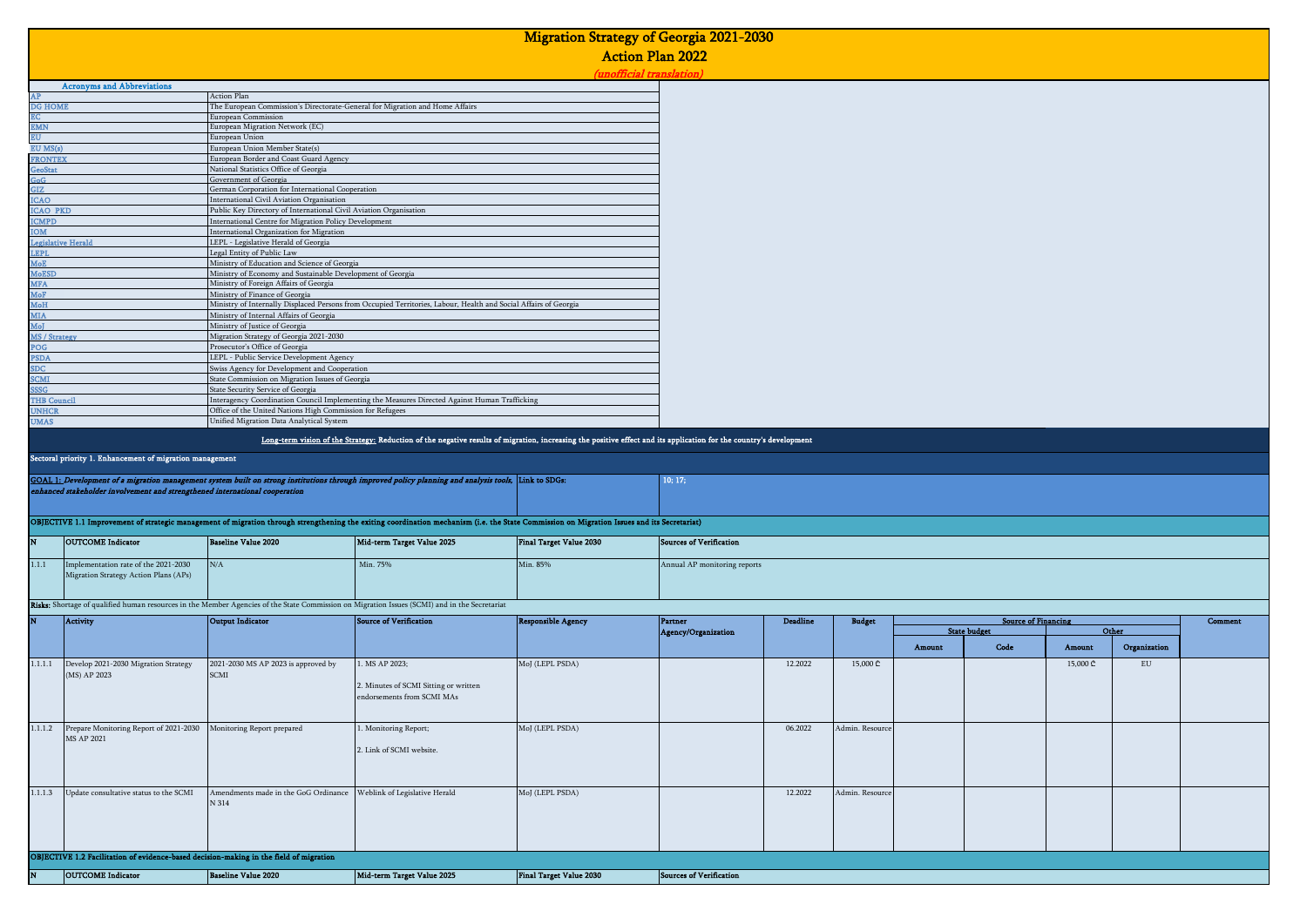|                           |                                                                                        |                                                                                                      |                                                                                                                                                                                             |                                | <b>Migration Strategy of Georgia 2021-2030</b> |                 |                 |        |                            |          |              |         |
|---------------------------|----------------------------------------------------------------------------------------|------------------------------------------------------------------------------------------------------|---------------------------------------------------------------------------------------------------------------------------------------------------------------------------------------------|--------------------------------|------------------------------------------------|-----------------|-----------------|--------|----------------------------|----------|--------------|---------|
|                           |                                                                                        |                                                                                                      |                                                                                                                                                                                             |                                | <b>Action Plan 2022</b>                        |                 |                 |        |                            |          |              |         |
|                           |                                                                                        |                                                                                                      |                                                                                                                                                                                             |                                | (unofficial translation)                       |                 |                 |        |                            |          |              |         |
| AP                        | <b>Acronyms and Abbreviations</b>                                                      | Action Plan                                                                                          |                                                                                                                                                                                             |                                |                                                |                 |                 |        |                            |          |              |         |
| <b>DG HOME</b>            |                                                                                        | The European Commission's Directorate-General for Migration and Home Affairs                         |                                                                                                                                                                                             |                                |                                                |                 |                 |        |                            |          |              |         |
| EC<br><b>EMN</b>          |                                                                                        | European Commission<br>European Migration Network (EC)                                               |                                                                                                                                                                                             |                                |                                                |                 |                 |        |                            |          |              |         |
| <b>EU</b>                 |                                                                                        | European Union                                                                                       |                                                                                                                                                                                             |                                |                                                |                 |                 |        |                            |          |              |         |
| EUMS(s)<br><b>FRONTEX</b> |                                                                                        | European Union Member State(s)                                                                       |                                                                                                                                                                                             |                                |                                                |                 |                 |        |                            |          |              |         |
| GeoStat                   |                                                                                        | European Border and Coast Guard Agency<br>National Statistics Office of Georgia                      |                                                                                                                                                                                             |                                |                                                |                 |                 |        |                            |          |              |         |
| GoG                       |                                                                                        | Government of Georgia                                                                                |                                                                                                                                                                                             |                                |                                                |                 |                 |        |                            |          |              |         |
| GIZ<br><b>ICAO</b>        |                                                                                        | German Corporation for International Cooperation<br>International Civil Aviation Organisation        |                                                                                                                                                                                             |                                |                                                |                 |                 |        |                            |          |              |         |
| <b>ICAO PKD</b>           |                                                                                        | Public Key Directory of International Civil Aviation Organisation                                    |                                                                                                                                                                                             |                                |                                                |                 |                 |        |                            |          |              |         |
| <b>ICMPD</b>              |                                                                                        | International Centre for Migration Policy Development                                                |                                                                                                                                                                                             |                                |                                                |                 |                 |        |                            |          |              |         |
| <b>MOI</b>                | Legislative Herald                                                                     | International Organization for Migration<br>LEPL - Legislative Herald of Georgia                     |                                                                                                                                                                                             |                                |                                                |                 |                 |        |                            |          |              |         |
| <b>LEPL</b>               |                                                                                        | Legal Entity of Public Law                                                                           |                                                                                                                                                                                             |                                |                                                |                 |                 |        |                            |          |              |         |
| MoE                       |                                                                                        | Ministry of Education and Science of Georgia                                                         |                                                                                                                                                                                             |                                |                                                |                 |                 |        |                            |          |              |         |
| <b>MoESD</b>              |                                                                                        | Ministry of Economy and Sustainable Development of Georgia<br>Ministry of Foreign Affairs of Georgia |                                                                                                                                                                                             |                                |                                                |                 |                 |        |                            |          |              |         |
| <b>MFA</b><br>MoF         |                                                                                        | Ministry of Finance of Georgia                                                                       |                                                                                                                                                                                             |                                |                                                |                 |                 |        |                            |          |              |         |
| <b>MoH</b>                |                                                                                        |                                                                                                      | Ministry of Internally Displaced Persons from Occupied Territories, Labour, Health and Social Affairs of Georgia                                                                            |                                |                                                |                 |                 |        |                            |          |              |         |
| <b>MIA</b>                |                                                                                        | Ministry of Internal Affairs of Georgia                                                              |                                                                                                                                                                                             |                                |                                                |                 |                 |        |                            |          |              |         |
| MoJ<br>MS / Strategy      |                                                                                        | Ministry of Justice of Georgia<br>Migration Strategy of Georgia 2021-2030                            |                                                                                                                                                                                             |                                |                                                |                 |                 |        |                            |          |              |         |
| POG                       |                                                                                        | Prosecutor's Office of Georgia                                                                       |                                                                                                                                                                                             |                                |                                                |                 |                 |        |                            |          |              |         |
| <b>PSDA</b>               |                                                                                        | LEPL - Public Service Development Agency                                                             |                                                                                                                                                                                             |                                |                                                |                 |                 |        |                            |          |              |         |
| SDC<br><b>SCMI</b>        |                                                                                        | Swiss Agency for Development and Cooperation<br>State Commission on Migration Issues of Georgia      |                                                                                                                                                                                             |                                |                                                |                 |                 |        |                            |          |              |         |
| SSSG                      |                                                                                        | State Security Service of Georgia                                                                    |                                                                                                                                                                                             |                                |                                                |                 |                 |        |                            |          |              |         |
| <b>THB Counci</b>         |                                                                                        |                                                                                                      | Interagency Coordination Council Implementing the Measures Directed Against Human Trafficking                                                                                               |                                |                                                |                 |                 |        |                            |          |              |         |
| UNHCR<br><b>UMAS</b>      |                                                                                        | Office of the United Nations High Commission for Refugees                                            |                                                                                                                                                                                             |                                |                                                |                 |                 |        |                            |          |              |         |
|                           |                                                                                        | Unified Migration Data Analytical System                                                             |                                                                                                                                                                                             |                                |                                                |                 |                 |        |                            |          |              |         |
|                           |                                                                                        |                                                                                                      | Long-term vision of the Strategy: Reduction of the negative results of migration, increasing the positive effect and its application for the country's development                          |                                |                                                |                 |                 |        |                            |          |              |         |
|                           |                                                                                        |                                                                                                      |                                                                                                                                                                                             |                                |                                                |                 |                 |        |                            |          |              |         |
|                           | Sectoral priority 1. Enhancement of migration management                               |                                                                                                      |                                                                                                                                                                                             |                                |                                                |                 |                 |        |                            |          |              |         |
|                           |                                                                                        |                                                                                                      |                                                                                                                                                                                             |                                |                                                |                 |                 |        |                            |          |              |         |
|                           |                                                                                        |                                                                                                      | GOAL 1: Development of a migration management system built on strong institutions through improved policy planning and analysis tools, Link to SDGs:                                        |                                | 10; 17;                                        |                 |                 |        |                            |          |              |         |
|                           | enhanced stakeholder involvement and strengthened international cooperation            |                                                                                                      |                                                                                                                                                                                             |                                |                                                |                 |                 |        |                            |          |              |         |
|                           |                                                                                        |                                                                                                      |                                                                                                                                                                                             |                                |                                                |                 |                 |        |                            |          |              |         |
|                           |                                                                                        |                                                                                                      | OBJECTIVE 1.1 Improvement of strategic management of migration through strengthening the exiting coordination mechanism (i.e. the State Commission on Migration Issues and its Secretariat) |                                |                                                |                 |                 |        |                            |          |              |         |
|                           | <b>OUTCOME</b> Indicator                                                               | <b>Baseline Value 2020</b>                                                                           | Mid-term Target Value 2025                                                                                                                                                                  | <b>Final Target Value 2030</b> | <b>Sources of Verification</b>                 |                 |                 |        |                            |          |              |         |
| 1.1.1                     | Implementation rate of the 2021-2030                                                   | $\rm N/A$                                                                                            | Min. 75%                                                                                                                                                                                    | Min. 85%                       | Annual AP monitoring reports                   |                 |                 |        |                            |          |              |         |
|                           | Migration Strategy Action Plans (APs)                                                  |                                                                                                      |                                                                                                                                                                                             |                                |                                                |                 |                 |        |                            |          |              |         |
|                           |                                                                                        |                                                                                                      |                                                                                                                                                                                             |                                |                                                |                 |                 |        |                            |          |              |         |
|                           |                                                                                        |                                                                                                      | Risks: Shortage of qualified human resources in the Member Agencies of the State Commission on Migration Issues (SCMI) and in the Secretariat                                               |                                |                                                |                 |                 |        |                            |          |              |         |
|                           | Activity                                                                               | <b>Output Indicator</b>                                                                              | <b>Source of Verification</b>                                                                                                                                                               | <b>Responsible Agency</b>      | <b>Partner</b>                                 | <b>Deadline</b> | <b>Budget</b>   |        | <b>Source of Financing</b> |          |              | Comment |
|                           |                                                                                        |                                                                                                      |                                                                                                                                                                                             |                                | Agency/Organization                            |                 |                 |        | <b>State budget</b>        |          | Other        |         |
|                           |                                                                                        |                                                                                                      |                                                                                                                                                                                             |                                |                                                |                 |                 | Amount | Code                       | Amount   | Organization |         |
| 1.1.1.1                   | Develop 2021-2030 Migration Strategy                                                   | 2021-2030 MS AP 2023 is approved by                                                                  | . MS AP 2023;                                                                                                                                                                               | MoJ (LEPL PSDA)                |                                                | 12.2022         | 15,000 ₾        |        |                            | 15,000 ₾ | ${\rm EU}$   |         |
|                           | (MS) AP 2023                                                                           | <b>SCMI</b>                                                                                          |                                                                                                                                                                                             |                                |                                                |                 |                 |        |                            |          |              |         |
|                           |                                                                                        |                                                                                                      | 2. Minutes of SCMI Sitting or written                                                                                                                                                       |                                |                                                |                 |                 |        |                            |          |              |         |
|                           |                                                                                        |                                                                                                      | endorsements from SCMI MAs                                                                                                                                                                  |                                |                                                |                 |                 |        |                            |          |              |         |
|                           |                                                                                        |                                                                                                      |                                                                                                                                                                                             |                                |                                                |                 |                 |        |                            |          |              |         |
| 1.1.1.2                   | Prepare Monitoring Report of 2021-2030 Monitoring Report prepared                      |                                                                                                      | Monitoring Report;                                                                                                                                                                          | MoJ (LEPL PSDA)                |                                                | 06.2022         | Admin. Resource |        |                            |          |              |         |
|                           | MS AP 2021                                                                             |                                                                                                      | 2. Link of SCMI website.                                                                                                                                                                    |                                |                                                |                 |                 |        |                            |          |              |         |
|                           |                                                                                        |                                                                                                      |                                                                                                                                                                                             |                                |                                                |                 |                 |        |                            |          |              |         |
|                           |                                                                                        |                                                                                                      |                                                                                                                                                                                             |                                |                                                |                 |                 |        |                            |          |              |         |
| 1.1.1.3                   | Update consultative status to the SCMI                                                 | Amendments made in the GoG Ordinance                                                                 | Weblink of Legislative Herald                                                                                                                                                               | MoJ (LEPL PSDA)                |                                                | 12.2022         | Admin. Resource |        |                            |          |              |         |
|                           |                                                                                        | N 314                                                                                                |                                                                                                                                                                                             |                                |                                                |                 |                 |        |                            |          |              |         |
|                           |                                                                                        |                                                                                                      |                                                                                                                                                                                             |                                |                                                |                 |                 |        |                            |          |              |         |
|                           |                                                                                        |                                                                                                      |                                                                                                                                                                                             |                                |                                                |                 |                 |        |                            |          |              |         |
|                           |                                                                                        |                                                                                                      |                                                                                                                                                                                             |                                |                                                |                 |                 |        |                            |          |              |         |
|                           | OBJECTIVE 1.2 Facilitation of evidence-based decision-making in the field of migration |                                                                                                      |                                                                                                                                                                                             |                                |                                                |                 |                 |        |                            |          |              |         |
|                           | <b>OUTCOME</b> Indicator                                                               | <b>Baseline Value 2020</b>                                                                           | Mid-term Target Value 2025                                                                                                                                                                  | <b>Final Target Value 2030</b> | <b>Sources of Verification</b>                 |                 |                 |        |                            |          |              |         |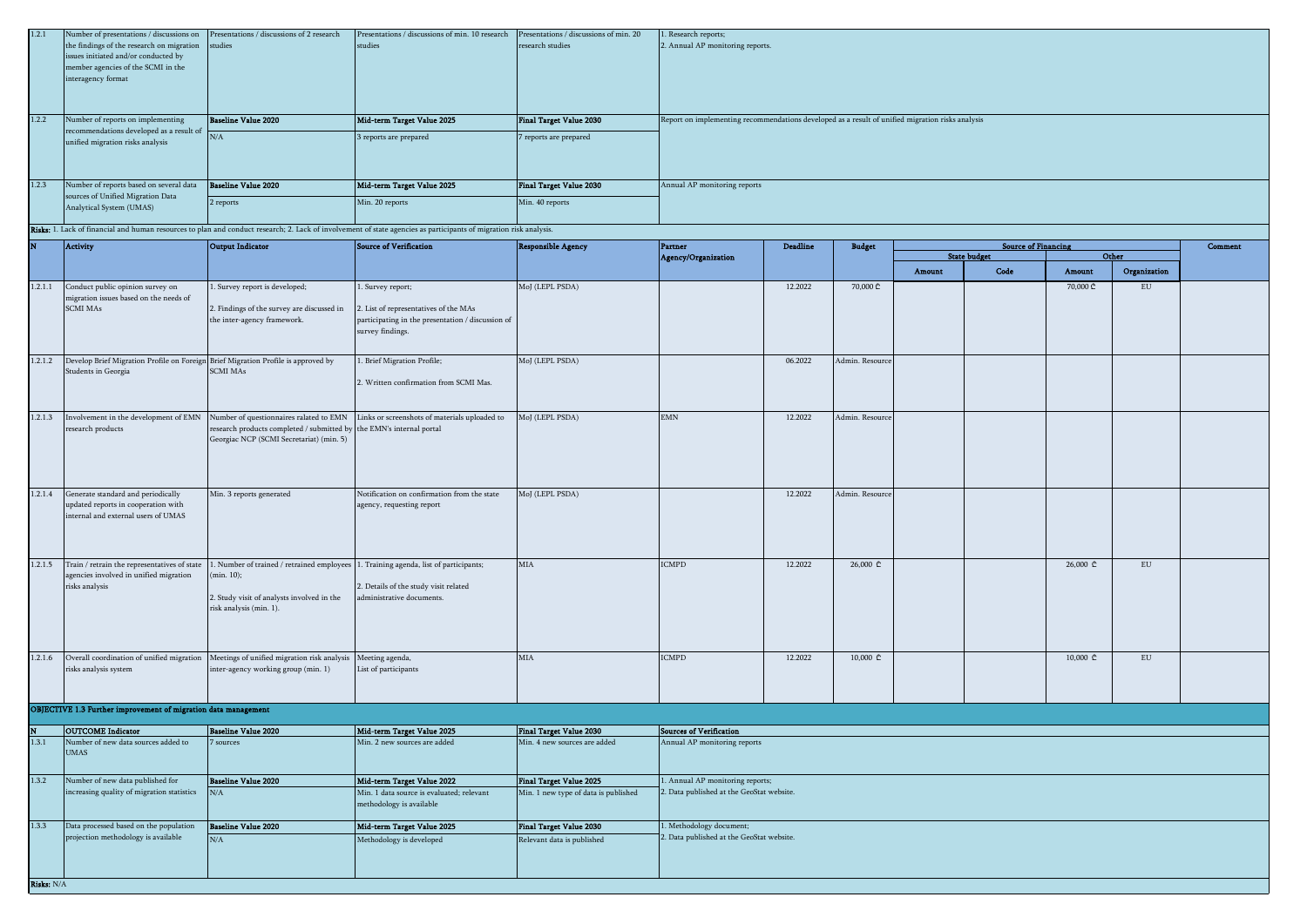| 1.2.1      | Number of presentations / discussions on<br>the findings of the research on migration<br>issues initiated and/or conducted by<br>member agencies of the SCMI in the<br>interagency format | Presentations / discussions of 2 research<br>studies                                                             | Presentations / discussions of min. 10 research Presentations / discussions of min. 20<br>studies                                                                                            | research studies                     | . Research reports;<br>2. Annual AP monitoring reports.                                          |                 |                            |        |                                                   |                           |              |         |
|------------|-------------------------------------------------------------------------------------------------------------------------------------------------------------------------------------------|------------------------------------------------------------------------------------------------------------------|----------------------------------------------------------------------------------------------------------------------------------------------------------------------------------------------|--------------------------------------|--------------------------------------------------------------------------------------------------|-----------------|----------------------------|--------|---------------------------------------------------|---------------------------|--------------|---------|
| 1.2.2      | Number of reports on implementing                                                                                                                                                         | <b>Baseline Value 2020</b>                                                                                       | Mid-term Target Value 2025                                                                                                                                                                   | <b>Final Target Value 2030</b>       | Report on implementing recommendations developed as a result of unified migration risks analysis |                 |                            |        |                                                   |                           |              |         |
|            | recommendations developed as a result of<br>unified migration risks analysis                                                                                                              | N/A                                                                                                              | 3 reports are prepared                                                                                                                                                                       | 7 reports are prepared               |                                                                                                  |                 |                            |        |                                                   |                           |              |         |
| 1.2.3      | Number of reports based on several data<br>sources of Unified Migration Data                                                                                                              | <b>Baseline Value 2020</b>                                                                                       | Mid-term Target Value 2025                                                                                                                                                                   | <b>Final Target Value 2030</b>       | Annual AP monitoring reports                                                                     |                 |                            |        |                                                   |                           |              |         |
|            | Analytical System (UMAS)                                                                                                                                                                  | 2 reports                                                                                                        | Min. 20 reports                                                                                                                                                                              | Min. 40 reports                      |                                                                                                  |                 |                            |        |                                                   |                           |              |         |
|            |                                                                                                                                                                                           |                                                                                                                  | Risks: 1. Lack of financial and human resources to plan and conduct research; 2. Lack of involvement of state agencies as participants of migration risk analysis.<br>Source of Verification |                                      |                                                                                                  |                 |                            |        |                                                   |                           |              | Comment |
|            | <b>Activity</b>                                                                                                                                                                           | <b>Output Indicator</b>                                                                                          |                                                                                                                                                                                              | <b>Responsible Agency</b>            | Partner<br>Agency/Organization                                                                   | <b>Deadline</b> | <b>Budget</b>              |        | <b>Source of Financing</b><br><b>State budget</b> |                           | Other        |         |
|            |                                                                                                                                                                                           |                                                                                                                  |                                                                                                                                                                                              |                                      |                                                                                                  |                 |                            | Amount | Code                                              | Amount                    | Organization |         |
| 1.2.1.1    | Conduct public opinion survey on                                                                                                                                                          | . Survey report is developed;                                                                                    | 1. Survey report;                                                                                                                                                                            | MoJ (LEPL PSDA)                      |                                                                                                  | 12.2022         | 70,000 ₾                   |        |                                                   | 70,000 ₾                  | ${\rm EU}$   |         |
|            | migration issues based on the needs of<br><b>SCMI MAs</b>                                                                                                                                 | 2. Findings of the survey are discussed in<br>the inter-agency framework.                                        | . List of representatives of the MAs<br>participating in the presentation / discussion of<br>survey findings.                                                                                |                                      |                                                                                                  |                 |                            |        |                                                   |                           |              |         |
| 1.2.1.2    | Develop Brief Migration Profile on Foreign Brief Migration Profile is approved by                                                                                                         |                                                                                                                  | . Brief Migration Profile;                                                                                                                                                                   | MoJ (LEPL PSDA)                      |                                                                                                  | 06.2022         | Admin. Resource            |        |                                                   |                           |              |         |
|            | Students in Georgia                                                                                                                                                                       | <b>SCMI MAs</b>                                                                                                  | 2. Written confirmation from SCMI Mas.                                                                                                                                                       |                                      |                                                                                                  |                 |                            |        |                                                   |                           |              |         |
| 1.2.1.3    | Involvement in the development of EMN<br>research products                                                                                                                                | research products completed / submitted by the EMN's internal portal<br>Georgiac NCP (SCMI Secretariat) (min. 5) | Number of questionnaires ralated to EMN Links or screenshots of materials uploaded to                                                                                                        | MoJ (LEPL PSDA)                      | <b>EMN</b>                                                                                       | 12.2022         | Admin. Resource            |        |                                                   |                           |              |         |
| 1.2.1.4    | Generate standard and periodically<br>updated reports in cooperation with<br>internal and external users of UMAS                                                                          | Min. 3 reports generated                                                                                         | Notification on confirmation from the state<br>agency, requesting report                                                                                                                     | MoJ (LEPL PSDA)                      |                                                                                                  | 12.2022         | Admin. Resource            |        |                                                   |                           |              |         |
| 1.2.1.5    | Train / retrain the representatives of state                                                                                                                                              | 1. Number of trained / retrained employees 1. Training agenda, list of participants;                             |                                                                                                                                                                                              | MIA                                  | <b>ICMPD</b>                                                                                     | 12.2022         | $26,000$ $@$               |        |                                                   | $26,000 \text{ } \subset$ | EU           |         |
|            | agencies involved in unified migration<br>risks analysis                                                                                                                                  | (min. 10);<br>2. Study visit of analysts involved in the<br>risk analysis (min. 1).                              | 2. Details of the study visit related<br>administrative documents.                                                                                                                           |                                      |                                                                                                  |                 |                            |        |                                                   |                           |              |         |
| 1.2.1.6    | Overall coordination of unified migration<br>risks analysis system                                                                                                                        | Meetings of unified migration risk analysis Meeting agenda,<br>inter-agency working group (min. 1)               | List of participants                                                                                                                                                                         | MIA                                  | <b>CMPD</b>                                                                                      | 12.2022         | $10,000$ $\textcircled{r}$ |        |                                                   | $10,000 \text{ } \subset$ | ${\rm EU}$   |         |
|            | OBJECTIVE 1.3 Further improvement of migration data management                                                                                                                            |                                                                                                                  |                                                                                                                                                                                              |                                      |                                                                                                  |                 |                            |        |                                                   |                           |              |         |
|            | <b>OUTCOME</b> Indicator                                                                                                                                                                  | Baseline Value 2020                                                                                              | Mid-term Target Value 2025                                                                                                                                                                   | <b>Final Target Value 2030</b>       | Sources of Verification                                                                          |                 |                            |        |                                                   |                           |              |         |
| 1.3.1      | Number of new data sources added to<br><b>UMAS</b>                                                                                                                                        | sources                                                                                                          | Min. 2 new sources are added                                                                                                                                                                 | Min. 4 new sources are added         | Annual AP monitoring reports                                                                     |                 |                            |        |                                                   |                           |              |         |
| 1.3.2      | Number of new data published for                                                                                                                                                          | <b>Baseline Value 2020</b>                                                                                       | Mid-term Target Value 2022                                                                                                                                                                   | <b>Final Target Value 2025</b>       | . Annual AP monitoring reports;                                                                  |                 |                            |        |                                                   |                           |              |         |
|            | increasing quality of migration statistics                                                                                                                                                | N/A                                                                                                              | Min. 1 data source is evaluated; relevant<br>methodology is available                                                                                                                        | Min. 1 new type of data is published | 2. Data published at the GeoStat website.                                                        |                 |                            |        |                                                   |                           |              |         |
| 1.3.3      | Data processed based on the population                                                                                                                                                    | <b>Baseline Value 2020</b>                                                                                       | Mid-term Target Value 2025                                                                                                                                                                   | <b>Final Target Value 2030</b>       | Methodology document;                                                                            |                 |                            |        |                                                   |                           |              |         |
|            | projection methodology is available                                                                                                                                                       | N/A                                                                                                              | Methodology is developed                                                                                                                                                                     | Relevant data is published           | 2. Data published at the GeoStat website.                                                        |                 |                            |        |                                                   |                           |              |         |
| Risks: N/A |                                                                                                                                                                                           |                                                                                                                  |                                                                                                                                                                                              |                                      |                                                                                                  |                 |                            |        |                                                   |                           |              |         |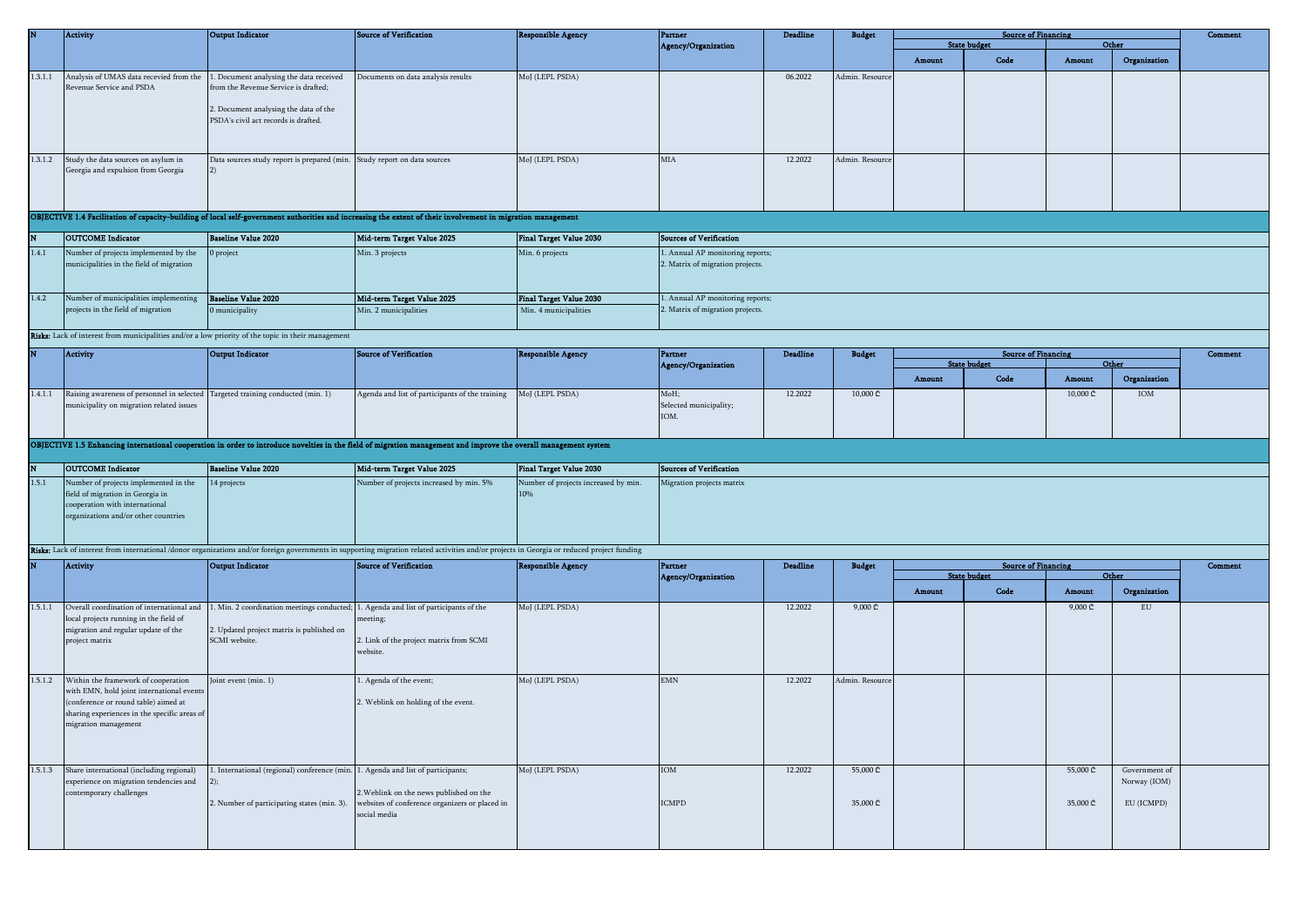|         | Activity                                                                                                                                                                                         | Output Indicator                                                                                                                                                 | <b>Source of Verification</b>                                                                                                                                                                                                          | <b>Responsible Agency</b>                        | <b>Partner</b>                                                       | <b>Deadline</b> | <b>Budget</b>           |        | <b>Source of Financing</b>  |                              |                       | Comment |
|---------|--------------------------------------------------------------------------------------------------------------------------------------------------------------------------------------------------|------------------------------------------------------------------------------------------------------------------------------------------------------------------|----------------------------------------------------------------------------------------------------------------------------------------------------------------------------------------------------------------------------------------|--------------------------------------------------|----------------------------------------------------------------------|-----------------|-------------------------|--------|-----------------------------|------------------------------|-----------------------|---------|
|         |                                                                                                                                                                                                  |                                                                                                                                                                  |                                                                                                                                                                                                                                        |                                                  | Agency/Organization                                                  |                 |                         | Amount | <b>State budget</b><br>Code | Amount                       | Other<br>Organization |         |
| 1.3.1.1 | Analysis of UMAS data recevied from the<br>Revenue Service and PSDA                                                                                                                              | 1. Document analysing the data received<br>from the Revenue Service is drafted;<br>2. Document analysing the data of the<br>PSDA's civil act records is drafted. | Documents on data analysis results                                                                                                                                                                                                     | MoJ (LEPL PSDA)                                  |                                                                      | 06.2022         | Admin. Resource         |        |                             |                              |                       |         |
| 1.3.1.2 | Study the data sources on asylum in<br>Georgia and expulsion from Georgia                                                                                                                        | Data sources study report is prepared (min. Study report on data sources<br>$ 2\rangle$                                                                          |                                                                                                                                                                                                                                        | MoJ (LEPL PSDA)                                  | MIA                                                                  | 12.2022         | Admin. Resource         |        |                             |                              |                       |         |
|         |                                                                                                                                                                                                  |                                                                                                                                                                  | OBJECTIVE 1.4 Facilitation of capacity-building of local self-government authorities and increasing the extent of their involvement in migration management                                                                            |                                                  |                                                                      |                 |                         |        |                             |                              |                       |         |
|         | <b>OUTCOME</b> Indicator                                                                                                                                                                         | <b>Baseline Value 2020</b>                                                                                                                                       | Mid-term Target Value 2025                                                                                                                                                                                                             | Final Target Value 2030                          | Sources of Verification                                              |                 |                         |        |                             |                              |                       |         |
| 1.4.1   | Number of projects implemented by the<br>municipalities in the field of migration                                                                                                                | project                                                                                                                                                          | Min. 3 projects                                                                                                                                                                                                                        | Min. 6 projects                                  | 1. Annual AP monitoring reports;<br>2. Matrix of migration projects. |                 |                         |        |                             |                              |                       |         |
| 1.4.2   | Number of municipalities implementing<br>projects in the field of migration                                                                                                                      | Baseline Value 2020<br>0 municipality                                                                                                                            | Mid-term Target Value 2025<br>Min. 2 municipalities                                                                                                                                                                                    | Final Target Value 2030<br>Min. 4 municipalities | . Annual AP monitoring reports;<br>. Matrix of migration projects.   |                 |                         |        |                             |                              |                       |         |
|         | Risks: Lack of interest from municipalities and/or a low priority of the topic in their management                                                                                               |                                                                                                                                                                  |                                                                                                                                                                                                                                        |                                                  |                                                                      |                 |                         |        |                             |                              |                       |         |
|         | Activity                                                                                                                                                                                         | Output Indicator                                                                                                                                                 | <b>Source of Verification</b>                                                                                                                                                                                                          | <b>Responsible Agency</b>                        | Partner                                                              | <b>Deadline</b> | <b>Budget</b>           |        | <b>Source of Financing</b>  |                              |                       | Comment |
|         |                                                                                                                                                                                                  |                                                                                                                                                                  |                                                                                                                                                                                                                                        |                                                  | <b>Agency/Organization</b>                                           |                 |                         | Amount | <b>State budget</b><br>Code | Other<br>Amount              | Organization          |         |
| 1.4.1.1 | Raising awareness of personnel in selected Targeted training conducted (min. 1)<br>municipality on migration related issues                                                                      |                                                                                                                                                                  | Agenda and list of participants of the training                                                                                                                                                                                        | Mol (LEPL PSDA)                                  | MoH;<br>Selected municipality;<br>IOM.                               | 12.2022         | $10,000 \subset $       |        |                             | $10,000 \text{ } \mathbb{C}$ | IOM                   |         |
|         |                                                                                                                                                                                                  |                                                                                                                                                                  | OBJECTIVE 1.5 Enhancing international cooperation in order to introduce novelties in the field of migration management and improve the overall management system                                                                       |                                                  |                                                                      |                 |                         |        |                             |                              |                       |         |
|         | <b>OUTCOME</b> Indicator                                                                                                                                                                         | <b>Baseline Value 2020</b>                                                                                                                                       | Mid-term Target Value 2025                                                                                                                                                                                                             | <b>Final Target Value 2030</b>                   | <b>Sources of Verification</b>                                       |                 |                         |        |                             |                              |                       |         |
| 1.5.1   | Number of projects implemented in the<br>field of migration in Georgia in<br>cooperation with international<br>organizations and/or other countries                                              | 14 projects                                                                                                                                                      | Number of projects increased by min. 5%<br>Risks: Lack of interest from international /donor organizations and/or foreign governments in supporting migration related activities and/or projects in Georgia or reduced project funding | Number of projects increased by min.<br>10%      | Migration projects matrix                                            |                 |                         |        |                             |                              |                       |         |
|         | <b>Activity</b>                                                                                                                                                                                  | <b>Output Indicator</b>                                                                                                                                          | <b>Source of Verification</b>                                                                                                                                                                                                          | <b>Responsible Agency</b>                        | <b>Partner</b>                                                       | <b>Deadline</b> | <b>Budget</b>           |        | <b>Source of Financing</b>  |                              |                       | Comment |
|         |                                                                                                                                                                                                  |                                                                                                                                                                  |                                                                                                                                                                                                                                        |                                                  | Agency/Organization                                                  |                 |                         | Amount | <b>State budget</b><br>Code | Amount                       | Other<br>Organization |         |
| 1.5.1.1 | Overall coordination of international and<br>local projects running in the field of<br>migration and regular update of the<br>project matrix                                                     | . Min. 2 coordination meetings conducted; 1. Agenda and list of participants of the<br>2. Updated project matrix is published on<br>SCMI website.                | neeting;<br>2. Link of the project matrix from SCMI<br>website.                                                                                                                                                                        | MoJ (LEPL PSDA)                                  |                                                                      | 12.2022         | $9,000 \Leftrightarrow$ |        |                             | $9,000 \text{ } \mathbb{C}$  | ${\rm EU}$            |         |
| 1.5.1.2 | Within the framework of cooperation<br>with EMN, hold joint international events<br>(conference or round table) aimed at<br>sharing experiences in the specific areas of<br>nigration management | Joint event (min. 1)                                                                                                                                             | Agenda of the event;<br>2. Weblink on holding of the event.                                                                                                                                                                            | MoJ (LEPL PSDA)                                  | <b>EMN</b>                                                           | 12.2022         | Admin. Resource         |        |                             |                              |                       |         |
|         |                                                                                                                                                                                                  |                                                                                                                                                                  |                                                                                                                                                                                                                                        |                                                  |                                                                      |                 |                         |        |                             |                              |                       |         |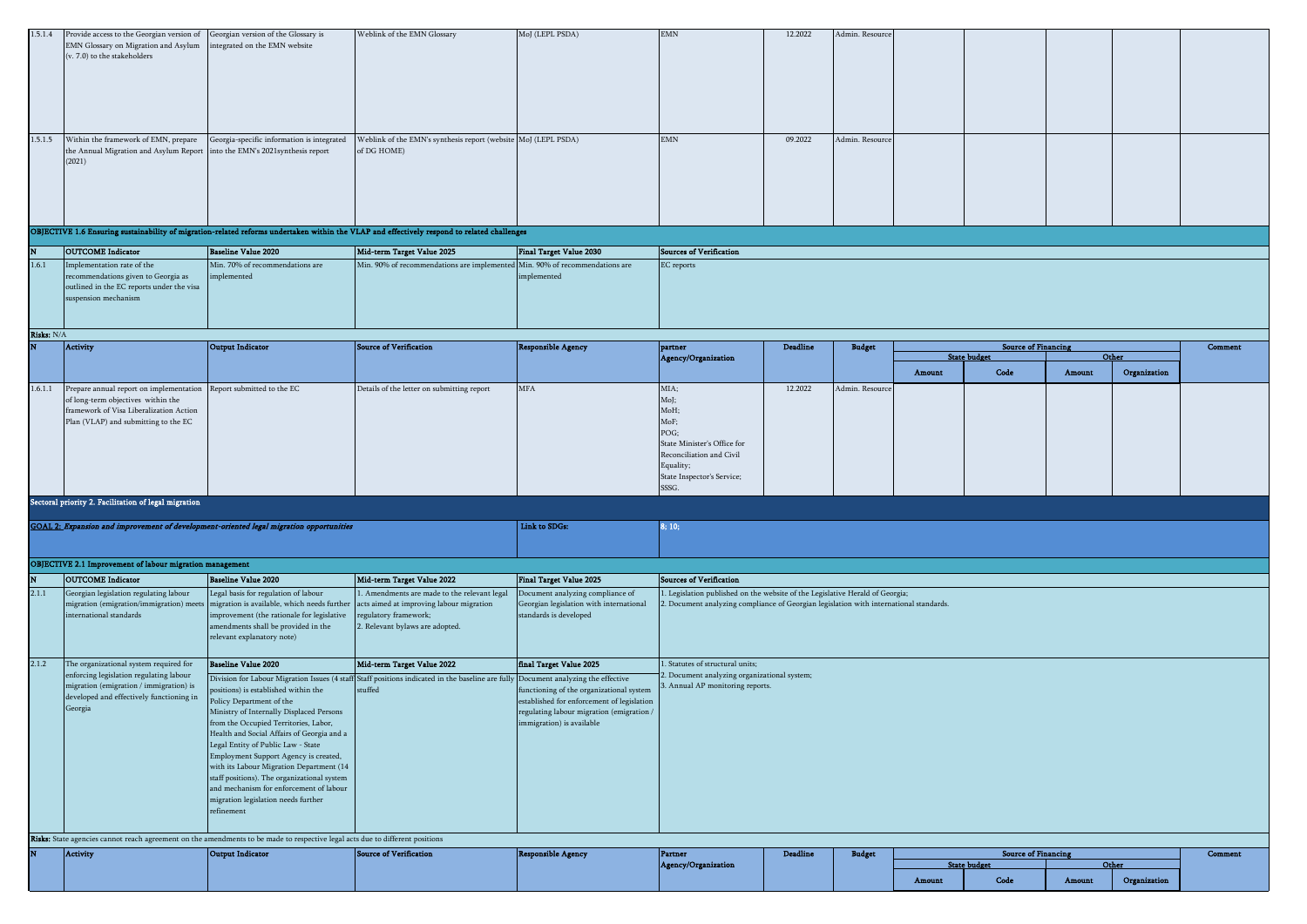| 1.5.1.4             | Provide access to the Georgian version of<br>EMN Glossary on Migration and Asylum<br>(v. 7.0) to the stakeholders                                                | Georgian version of the Glossary is<br>ntegrated on the EMN website                                                                                                                                                                                                                                                                                                                                                                                                            | Weblink of the EMN Glossary                                                                                                                          | MoJ (LEPL PSDA)                                                                                                                                                  | $\text{EMN}$                                                                                                                                                         | 12.2022         | Admin. Resource |        |                                                   |        |                       |         |
|---------------------|------------------------------------------------------------------------------------------------------------------------------------------------------------------|--------------------------------------------------------------------------------------------------------------------------------------------------------------------------------------------------------------------------------------------------------------------------------------------------------------------------------------------------------------------------------------------------------------------------------------------------------------------------------|------------------------------------------------------------------------------------------------------------------------------------------------------|------------------------------------------------------------------------------------------------------------------------------------------------------------------|----------------------------------------------------------------------------------------------------------------------------------------------------------------------|-----------------|-----------------|--------|---------------------------------------------------|--------|-----------------------|---------|
| 1.5.1.5             | Within the framework of EMN, prepare                                                                                                                             | Georgia-specific information is integrated                                                                                                                                                                                                                                                                                                                                                                                                                                     | Weblink of the EMN's synthesis report (website MoJ (LEPL PSDA)                                                                                       |                                                                                                                                                                  | <b>EMN</b>                                                                                                                                                           | 09.2022         | Admin. Resourc  |        |                                                   |        |                       |         |
|                     | the Annual Migration and Asylum Report<br>(2021)                                                                                                                 | nto the EMN's 2021 synthesis report                                                                                                                                                                                                                                                                                                                                                                                                                                            | of DG HOME)                                                                                                                                          |                                                                                                                                                                  |                                                                                                                                                                      |                 |                 |        |                                                   |        |                       |         |
|                     |                                                                                                                                                                  |                                                                                                                                                                                                                                                                                                                                                                                                                                                                                | OBJECTIVE 1.6 Ensuring sustainability of migration-related reforms undertaken within the VLAP and effectively respond to related challenges          |                                                                                                                                                                  |                                                                                                                                                                      |                 |                 |        |                                                   |        |                       |         |
|                     | <b>OUTCOME</b> Indicator                                                                                                                                         | <b>Baseline Value 2020</b>                                                                                                                                                                                                                                                                                                                                                                                                                                                     | Mid-term Target Value 2025                                                                                                                           | <b>Final Target Value 2030</b>                                                                                                                                   | <b>Sources of Verification</b>                                                                                                                                       |                 |                 |        |                                                   |        |                       |         |
| 1.6.1<br>Risks: N/A | Implementation rate of the<br>recommendations given to Georgia as<br>outlined in the EC reports under the visa<br>suspension mechanism                           | Min. 70% of recommendations are<br>implemented                                                                                                                                                                                                                                                                                                                                                                                                                                 | Min. 90% of recommendations are implemented Min. 90% of recommendations are                                                                          | implemented                                                                                                                                                      | <b>EC</b> reports                                                                                                                                                    |                 |                 |        |                                                   |        |                       |         |
|                     | Activity                                                                                                                                                         | Output Indicator                                                                                                                                                                                                                                                                                                                                                                                                                                                               | <b>Source of Verification</b>                                                                                                                        | <b>Responsible Agency</b>                                                                                                                                        | partner                                                                                                                                                              | <b>Deadline</b> | <b>Budget</b>   |        | <b>Source of Financing</b>                        |        |                       | Comment |
|                     |                                                                                                                                                                  |                                                                                                                                                                                                                                                                                                                                                                                                                                                                                |                                                                                                                                                      |                                                                                                                                                                  | Agency/Organization                                                                                                                                                  |                 |                 | Amount | <b>State budget</b><br>Code                       | Amount | Other<br>Organization |         |
| 1.6.1.1             | Prepare annual report on implementation<br>of long-term objectives within the<br>framework of Visa Liberalization Action<br>Plan (VLAP) and submitting to the EC | Report submitted to the EC                                                                                                                                                                                                                                                                                                                                                                                                                                                     | Details of the letter on submitting report                                                                                                           | <b>MFA</b>                                                                                                                                                       | MIA;<br>MoJ;<br>MoH;<br>MoF;<br>POG;<br>State Minister's Office for<br>Reconciliation and Civil<br>Equality;<br>State Inspector's Service;<br>SSSG.                  | 12.2022         | Admin. Resource |        |                                                   |        |                       |         |
|                     | Sectoral priority 2. Facilitation of legal migration                                                                                                             |                                                                                                                                                                                                                                                                                                                                                                                                                                                                                |                                                                                                                                                      |                                                                                                                                                                  |                                                                                                                                                                      |                 |                 |        |                                                   |        |                       |         |
|                     |                                                                                                                                                                  | GOAL 2: Expansion and improvement of development-oriented legal migration opportunities                                                                                                                                                                                                                                                                                                                                                                                        |                                                                                                                                                      | Link to SDGs:                                                                                                                                                    | 8; 10;                                                                                                                                                               |                 |                 |        |                                                   |        |                       |         |
|                     | <b>OBJECTIVE 2.1 Improvement of labour migration management</b>                                                                                                  |                                                                                                                                                                                                                                                                                                                                                                                                                                                                                |                                                                                                                                                      |                                                                                                                                                                  |                                                                                                                                                                      |                 |                 |        |                                                   |        |                       |         |
|                     | <b>OUTCOME</b> Indicator                                                                                                                                         | <b>Baseline Value 2020</b>                                                                                                                                                                                                                                                                                                                                                                                                                                                     | Mid-term Target Value 2022                                                                                                                           | <b>Final Target Value 2025</b>                                                                                                                                   | <b>Sources of Verification</b>                                                                                                                                       |                 |                 |        |                                                   |        |                       |         |
| 2.1.1               | Georgian legislation regulating labour<br>international standards                                                                                                | Legal basis for regulation of labour<br>migration (emigration/immigration) meets migration is available, which needs further<br>improvement (the rationale for legislative<br>amendments shall be provided in the<br>relevant explanatory note)                                                                                                                                                                                                                                | 1. Amendments are made to the relevant legal<br>acts aimed at improving labour migration<br>regulatory framework;<br>2. Relevant bylaws are adopted. | Document analyzing compliance of<br>Georgian legislation with international<br>standards is developed                                                            | 1. Legislation published on the website of the Legislative Herald of Georgia;<br>Document analyzing compliance of Georgian legislation with international standards. |                 |                 |        |                                                   |        |                       |         |
| 2.1.2               | The organizational system required for<br>enforcing legislation regulating labour                                                                                | <b>Baseline Value 2020</b>                                                                                                                                                                                                                                                                                                                                                                                                                                                     | Mid-term Target Value 2022                                                                                                                           | final Target Value 2025                                                                                                                                          | 1. Statutes of structural units;<br>. Document analyzing organizational system;                                                                                      |                 |                 |        |                                                   |        |                       |         |
|                     | migration (emigration / immigration) is<br>developed and effectively functioning in<br>Georgia                                                                   | ositions) is established within the<br>Policy Department of the<br>Ministry of Internally Displaced Persons<br>from the Occupied Territories, Labor,<br>Health and Social Affairs of Georgia and a<br>Legal Entity of Public Law - State<br>Employment Support Agency is created,<br>with its Labour Migration Department (14<br>staff positions). The organizational system<br>and mechanism for enforcement of labour<br>migration legislation needs further<br>$refinement$ | Division for Labour Migration Issues (4 staff Staff positions indicated in the baseline are fully Document analyzing the effective<br>stuffed        | functioning of the organizational system<br>established for enforcement of legislation<br>regulating labour migration (emigration /<br>immigration) is available | Annual AP monitoring reports.                                                                                                                                        |                 |                 |        |                                                   |        |                       |         |
|                     |                                                                                                                                                                  | Risks: State agencies cannot reach agreement on the amendments to be made to respective legal acts due to different positions                                                                                                                                                                                                                                                                                                                                                  |                                                                                                                                                      |                                                                                                                                                                  |                                                                                                                                                                      |                 |                 |        |                                                   |        |                       |         |
|                     | Activity                                                                                                                                                         | Output Indicator                                                                                                                                                                                                                                                                                                                                                                                                                                                               | <b>Source of Verification</b>                                                                                                                        | <b>Responsible Agency</b>                                                                                                                                        | Partner<br>Agency/Organization                                                                                                                                       | <b>Deadline</b> | <b>Budget</b>   |        | <b>Source of Financing</b><br><b>State budget</b> |        | Other                 | Comment |
|                     |                                                                                                                                                                  |                                                                                                                                                                                                                                                                                                                                                                                                                                                                                |                                                                                                                                                      |                                                                                                                                                                  |                                                                                                                                                                      |                 |                 | Amount | Code                                              | Amount | Organization          |         |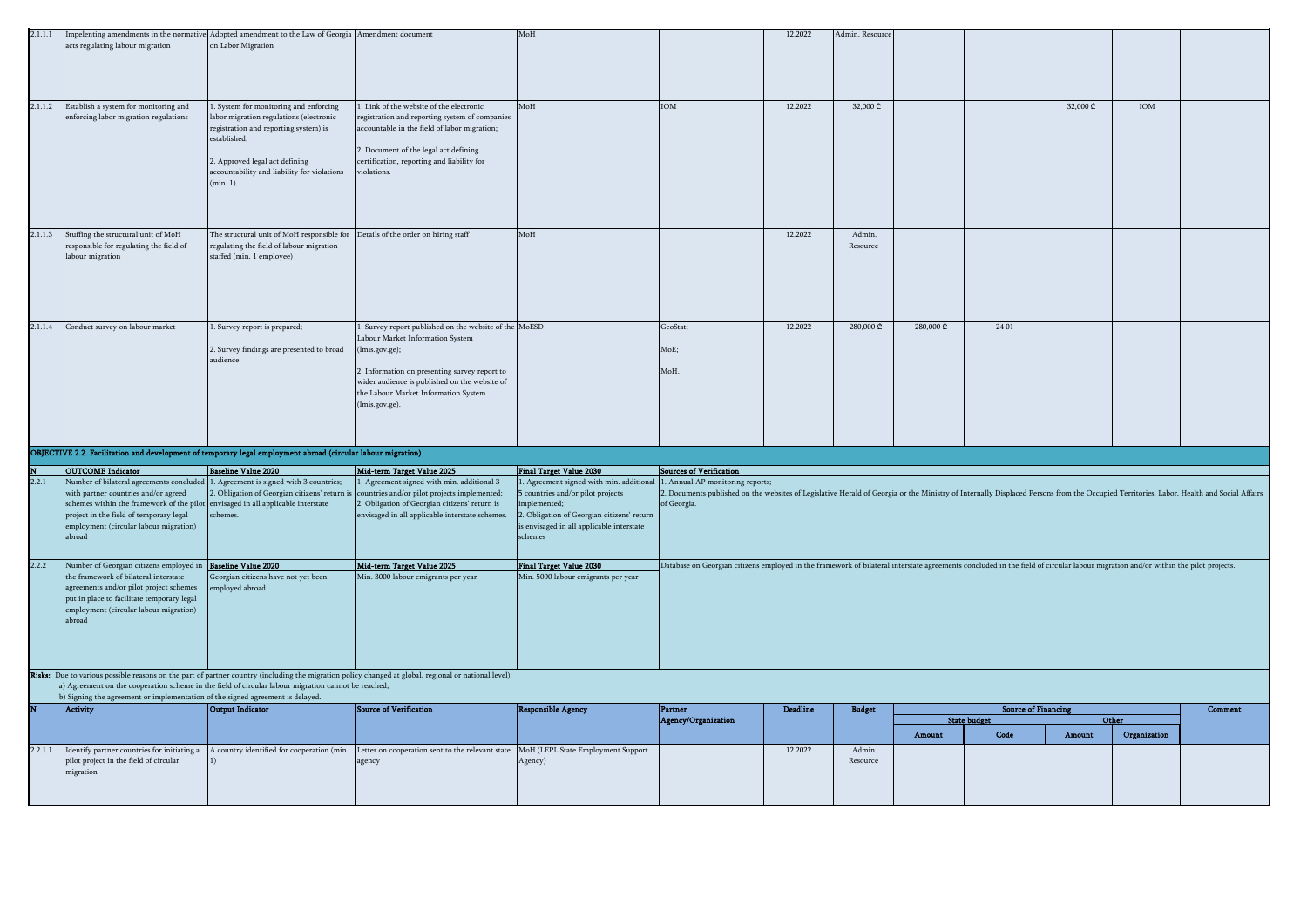| 2.1.1.1 |                                                                                                                                                                                                                                                                                                              | Impelenting amendments in the normative Adopted amendment to the Law of Georgia Amendment document                                                                                                                                       |                                                                                                                                                                                                                                                                          | MoH                                                                                                                                                                                           |                                                                                                                                                                                                                                           | 12.2022         | Admin. Resource    |           |                            |          |              |         |
|---------|--------------------------------------------------------------------------------------------------------------------------------------------------------------------------------------------------------------------------------------------------------------------------------------------------------------|------------------------------------------------------------------------------------------------------------------------------------------------------------------------------------------------------------------------------------------|--------------------------------------------------------------------------------------------------------------------------------------------------------------------------------------------------------------------------------------------------------------------------|-----------------------------------------------------------------------------------------------------------------------------------------------------------------------------------------------|-------------------------------------------------------------------------------------------------------------------------------------------------------------------------------------------------------------------------------------------|-----------------|--------------------|-----------|----------------------------|----------|--------------|---------|
|         | acts regulating labour migration                                                                                                                                                                                                                                                                             | on Labor Migration                                                                                                                                                                                                                       |                                                                                                                                                                                                                                                                          |                                                                                                                                                                                               |                                                                                                                                                                                                                                           |                 |                    |           |                            |          |              |         |
| 2.1.1.2 | Establish a system for monitoring and<br>enforcing labor migration regulations                                                                                                                                                                                                                               | 1. System for monitoring and enforcing<br>labor migration regulations (electronic<br>registration and reporting system) is<br>established;<br>2. Approved legal act defining<br>accountability and liability for violations<br>(min. 1). | . Link of the website of the electronic<br>registration and reporting system of companies<br>accountable in the field of labor migration;<br>2. Document of the legal act defining<br>certification, reporting and liability for<br>violations                           | MoH                                                                                                                                                                                           | <b>IOM</b>                                                                                                                                                                                                                                | 12.2022         | 32,000 ₾           |           |                            | 32,000 ₾ | IOM          |         |
| 2.1.1.3 | Stuffing the structural unit of MoH<br>responsible for regulating the field of<br>labour migration                                                                                                                                                                                                           | The structural unit of MoH responsible for Details of the order on hiring staff<br>regulating the field of labour migration<br>staffed (min. 1 employee)                                                                                 |                                                                                                                                                                                                                                                                          | MoH                                                                                                                                                                                           |                                                                                                                                                                                                                                           | 12.2022         | Admin.<br>Resource |           |                            |          |              |         |
| 2.1.1.4 | Conduct survey on labour market                                                                                                                                                                                                                                                                              | 1. Survey report is prepared;<br>2. Survey findings are presented to broad<br>audience.                                                                                                                                                  | 1. Survey report published on the website of the MoESD<br>Labour Market Information System<br>(lmis.gov.ge);<br>2. Information on presenting survey report to<br>wider audience is published on the website of<br>the Labour Market Information System<br>(lmis.gov.ge). |                                                                                                                                                                                               | GeoStat;<br>MoE:<br>MoH.                                                                                                                                                                                                                  | 12,2022         | 280,000            | 280,000 ₾ | 24 01                      |          |              |         |
|         | OBJECTIVE 2.2. Facilitation and development of temporary legal employment abroad (circular labour migration)                                                                                                                                                                                                 |                                                                                                                                                                                                                                          |                                                                                                                                                                                                                                                                          |                                                                                                                                                                                               |                                                                                                                                                                                                                                           |                 |                    |           |                            |          |              |         |
|         | <b>OUTCOME</b> Indicator                                                                                                                                                                                                                                                                                     | <b>Baseline Value 2020</b>                                                                                                                                                                                                               | Mid-term Target Value 2025                                                                                                                                                                                                                                               | <b>Final Target Value 2030</b>                                                                                                                                                                | Sources of Verification                                                                                                                                                                                                                   |                 |                    |           |                            |          |              |         |
| 2.2.1   | Number of bilateral agreements concluded 1. Agreement is signed with 3 countries;<br>with partner countries and/or agreed<br>schemes within the framework of the pilot envisaged in all applicable interstate<br>project in the field of temporary legal<br>employment (circular labour migration)<br>abroad | 2. Obligation of Georgian citizens' return is<br>schemes.                                                                                                                                                                                | 1. Agreement signed with min. additional 3<br>countries and/or pilot projects implemented;<br>2. Obligation of Georgian citizens' return is<br>envisaged in all applicable interstate schemes.                                                                           | Agreement signed with min. additional<br>countries and/or pilot projects<br>mplemented;<br>2. Obligation of Georgian citizens' return<br>is envisaged in all applicable interstate<br>schemes | 1. Annual AP monitoring reports;<br>. Documents published on the websites of Legislative Herald of Georgia or the Ministry of Internally Displaced Persons from the Occupied Territories, Labor, Health and Social Affairs<br>of Georgia. |                 |                    |           |                            |          |              |         |
| 2.2.2   | Number of Georgian citizens employed in Baseline Value 2020                                                                                                                                                                                                                                                  |                                                                                                                                                                                                                                          | Mid-term Target Value 2025                                                                                                                                                                                                                                               | <b>Final Target Value 2030</b>                                                                                                                                                                | Database on Georgian citizens employed in the framework of bilateral interstate agreements concluded in the field of circular labour migration and/or within the pilot projects.                                                          |                 |                    |           |                            |          |              |         |
|         | the framework of bilateral interstate<br>agreements and/or pilot project schemes<br>put in place to facilitate temporary legal<br>employment (circular labour migration)<br>abroad                                                                                                                           | Georgian citizens have not yet been<br>employed abroad                                                                                                                                                                                   | Min. 3000 labour emigrants per year                                                                                                                                                                                                                                      | Min. 5000 labour emigrants per year                                                                                                                                                           |                                                                                                                                                                                                                                           |                 |                    |           |                            |          |              |         |
|         | a) Agreement on the cooperation scheme in the field of circular labour migration cannot be reached;                                                                                                                                                                                                          |                                                                                                                                                                                                                                          | Risks: Due to various possible reasons on the part of partner country (including the migration policy changed at global, regional or national level):                                                                                                                    |                                                                                                                                                                                               |                                                                                                                                                                                                                                           |                 |                    |           |                            |          |              |         |
|         | b) Signing the agreement or implementation of the signed agreement is delayed.<br>Activity                                                                                                                                                                                                                   | <b>Output Indicator</b>                                                                                                                                                                                                                  | Source of Verification                                                                                                                                                                                                                                                   | <b>Responsible Agency</b>                                                                                                                                                                     | Partner                                                                                                                                                                                                                                   | <b>Deadline</b> | <b>Budget</b>      |           | <b>Source of Financing</b> |          |              | Comment |
|         |                                                                                                                                                                                                                                                                                                              |                                                                                                                                                                                                                                          |                                                                                                                                                                                                                                                                          |                                                                                                                                                                                               | <b>Agency/Organization</b>                                                                                                                                                                                                                |                 |                    |           | <b>State budget</b>        |          | Other        |         |
| 2.2.1.1 | Identify partner countries for initiating a                                                                                                                                                                                                                                                                  | A country identified for cooperation (min.                                                                                                                                                                                               | Letter on cooperation sent to the relevant state                                                                                                                                                                                                                         | MoH (LEPL State Employment Support                                                                                                                                                            |                                                                                                                                                                                                                                           | 12.2022         | Admin              | Amount    | Code                       | Amount   | Organization |         |
|         | pilot project in the field of circular<br>migration                                                                                                                                                                                                                                                          |                                                                                                                                                                                                                                          | agency                                                                                                                                                                                                                                                                   | Agency)                                                                                                                                                                                       |                                                                                                                                                                                                                                           |                 | Resource           |           |                            |          |              |         |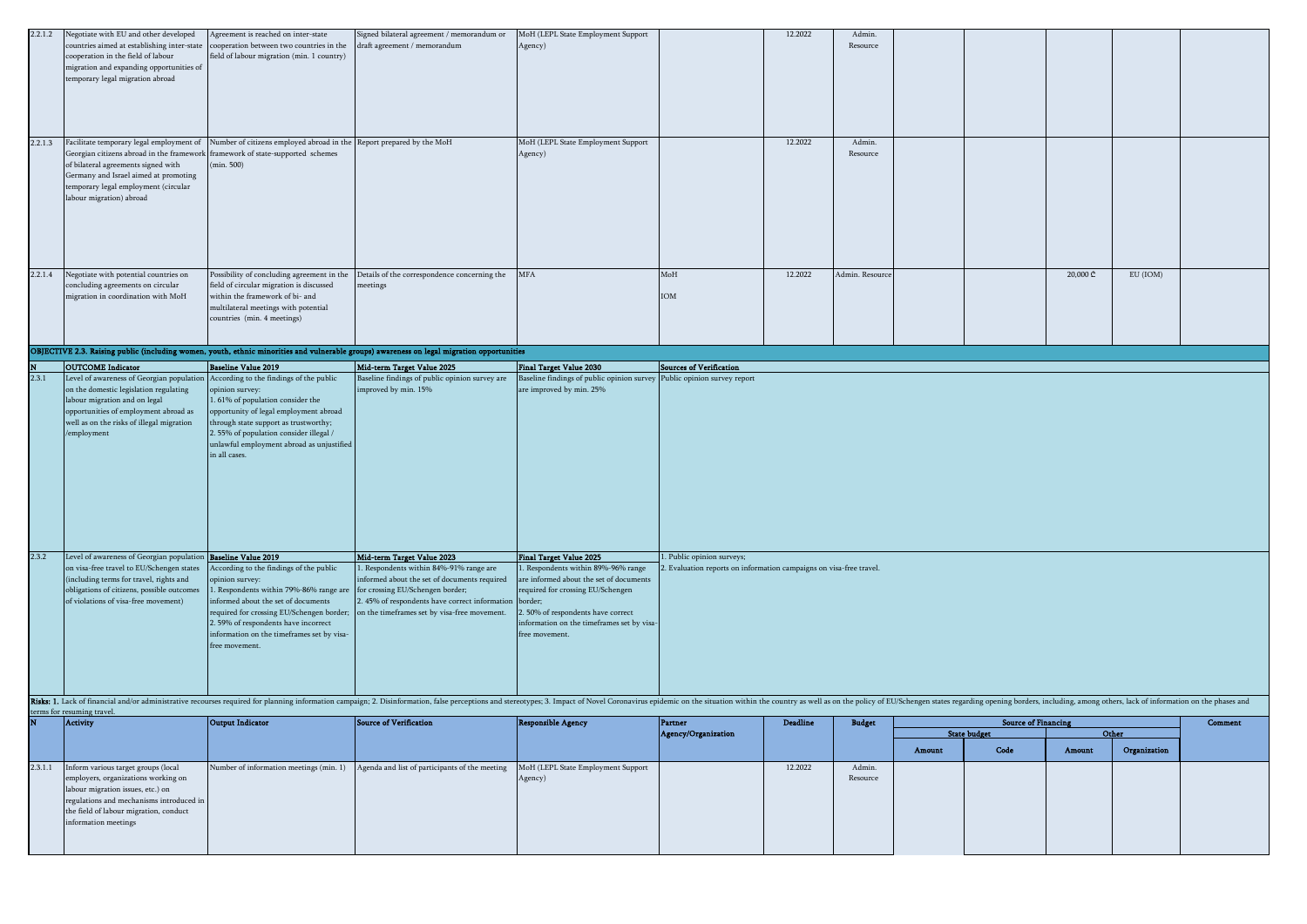| 2.2.1.2                 | Negotiate with EU and other developed                                                | Agreement is reached on inter-state                                   | Signed bilateral agreement / memorandum or                                                                                                                                                                                    | MoH (LEPL State Employment Support                                                                        |                                                                                               | 12.2022         | Admin.          |        |                            |          |              |         |
|-------------------------|--------------------------------------------------------------------------------------|-----------------------------------------------------------------------|-------------------------------------------------------------------------------------------------------------------------------------------------------------------------------------------------------------------------------|-----------------------------------------------------------------------------------------------------------|-----------------------------------------------------------------------------------------------|-----------------|-----------------|--------|----------------------------|----------|--------------|---------|
|                         | countries aimed at establishing inter-state                                          | cooperation between two countries in the                              | draft agreement / memorandum                                                                                                                                                                                                  | Agency)                                                                                                   |                                                                                               |                 | Resource        |        |                            |          |              |         |
|                         | cooperation in the field of labour                                                   | field of labour migration (min. 1 country)                            |                                                                                                                                                                                                                               |                                                                                                           |                                                                                               |                 |                 |        |                            |          |              |         |
|                         | migration and expanding opportunities of                                             |                                                                       |                                                                                                                                                                                                                               |                                                                                                           |                                                                                               |                 |                 |        |                            |          |              |         |
|                         | temporary legal migration abroad                                                     |                                                                       |                                                                                                                                                                                                                               |                                                                                                           |                                                                                               |                 |                 |        |                            |          |              |         |
|                         |                                                                                      |                                                                       |                                                                                                                                                                                                                               |                                                                                                           |                                                                                               |                 |                 |        |                            |          |              |         |
|                         |                                                                                      |                                                                       |                                                                                                                                                                                                                               |                                                                                                           |                                                                                               |                 |                 |        |                            |          |              |         |
|                         |                                                                                      |                                                                       |                                                                                                                                                                                                                               |                                                                                                           |                                                                                               |                 |                 |        |                            |          |              |         |
|                         |                                                                                      |                                                                       |                                                                                                                                                                                                                               |                                                                                                           |                                                                                               |                 |                 |        |                            |          |              |         |
| 2.2.1.3                 | Facilitate temporary legal employment of                                             | Number of citizens employed abroad in the                             | Report prepared by the MoH                                                                                                                                                                                                    | MoH (LEPL State Employment Support                                                                        |                                                                                               | 12.2022         | Admin.          |        |                            |          |              |         |
|                         | Georgian citizens abroad in the framework                                            | framework of state-supported schemes                                  |                                                                                                                                                                                                                               | Agency)                                                                                                   |                                                                                               |                 | Resource        |        |                            |          |              |         |
|                         | of bilateral agreements signed with                                                  | (min. 500)                                                            |                                                                                                                                                                                                                               |                                                                                                           |                                                                                               |                 |                 |        |                            |          |              |         |
|                         | Germany and Israel aimed at promoting                                                |                                                                       |                                                                                                                                                                                                                               |                                                                                                           |                                                                                               |                 |                 |        |                            |          |              |         |
|                         | temporary legal employment (circular                                                 |                                                                       |                                                                                                                                                                                                                               |                                                                                                           |                                                                                               |                 |                 |        |                            |          |              |         |
|                         | labour migration) abroad                                                             |                                                                       |                                                                                                                                                                                                                               |                                                                                                           |                                                                                               |                 |                 |        |                            |          |              |         |
|                         |                                                                                      |                                                                       |                                                                                                                                                                                                                               |                                                                                                           |                                                                                               |                 |                 |        |                            |          |              |         |
|                         |                                                                                      |                                                                       |                                                                                                                                                                                                                               |                                                                                                           |                                                                                               |                 |                 |        |                            |          |              |         |
|                         |                                                                                      |                                                                       |                                                                                                                                                                                                                               |                                                                                                           |                                                                                               |                 |                 |        |                            |          |              |         |
|                         |                                                                                      |                                                                       |                                                                                                                                                                                                                               |                                                                                                           |                                                                                               |                 |                 |        |                            |          |              |         |
|                         |                                                                                      |                                                                       |                                                                                                                                                                                                                               |                                                                                                           |                                                                                               |                 |                 |        |                            |          |              |         |
| 2.2.1.4                 | Negotiate with potential countries on                                                | Possibility of concluding agreement in the                            | Details of the correspondence concerning the                                                                                                                                                                                  | MFA                                                                                                       | $_{\rm MoH}$                                                                                  | 12.2022         | Admin. Resource |        |                            | 20,000 ₾ | EU (IOM)     |         |
|                         | concluding agreements on circular                                                    | field of circular migration is discussed                              | meetings                                                                                                                                                                                                                      |                                                                                                           |                                                                                               |                 |                 |        |                            |          |              |         |
|                         | migration in coordination with MoH                                                   | within the framework of bi- and                                       |                                                                                                                                                                                                                               |                                                                                                           | IOM                                                                                           |                 |                 |        |                            |          |              |         |
|                         |                                                                                      | multilateral meetings with potential                                  |                                                                                                                                                                                                                               |                                                                                                           |                                                                                               |                 |                 |        |                            |          |              |         |
|                         |                                                                                      | countries (min. 4 meetings)                                           |                                                                                                                                                                                                                               |                                                                                                           |                                                                                               |                 |                 |        |                            |          |              |         |
|                         |                                                                                      |                                                                       |                                                                                                                                                                                                                               |                                                                                                           |                                                                                               |                 |                 |        |                            |          |              |         |
|                         |                                                                                      |                                                                       | OBJECTIVE 2.3. Raising public (including women, youth, ethnic minorities and vulnerable groups) awareness on legal migration opportunities                                                                                    |                                                                                                           |                                                                                               |                 |                 |        |                            |          |              |         |
|                         |                                                                                      |                                                                       |                                                                                                                                                                                                                               |                                                                                                           |                                                                                               |                 |                 |        |                            |          |              |         |
| 2.3.1                   | <b>OUTCOME</b> Indicator<br>Level of awareness of Georgian population                | <b>Baseline Value 2019</b><br>According to the findings of the public | Mid-term Target Value 2025<br>Baseline findings of public opinion survey are                                                                                                                                                  | <b>Final Target Value 2030</b><br>Baseline findings of public opinion survey Public opinion survey report | <b>Sources of Verification</b>                                                                |                 |                 |        |                            |          |              |         |
|                         | on the domestic legislation regulating                                               | opinion survey:                                                       | mproved by min. 15%                                                                                                                                                                                                           | are improved by min. 25%                                                                                  |                                                                                               |                 |                 |        |                            |          |              |         |
|                         | labour migration and on legal                                                        | . 61% of population consider the                                      |                                                                                                                                                                                                                               |                                                                                                           |                                                                                               |                 |                 |        |                            |          |              |         |
|                         | opportunities of employment abroad as                                                | opportunity of legal employment abroad                                |                                                                                                                                                                                                                               |                                                                                                           |                                                                                               |                 |                 |        |                            |          |              |         |
|                         | well as on the risks of illegal migration                                            | through state support as trustworthy;                                 |                                                                                                                                                                                                                               |                                                                                                           |                                                                                               |                 |                 |        |                            |          |              |         |
|                         | /employment                                                                          | 2.55% of population consider illegal /                                |                                                                                                                                                                                                                               |                                                                                                           |                                                                                               |                 |                 |        |                            |          |              |         |
|                         |                                                                                      | unlawful employment abroad as unjustified                             |                                                                                                                                                                                                                               |                                                                                                           |                                                                                               |                 |                 |        |                            |          |              |         |
|                         |                                                                                      | in all cases.                                                         |                                                                                                                                                                                                                               |                                                                                                           |                                                                                               |                 |                 |        |                            |          |              |         |
|                         |                                                                                      |                                                                       |                                                                                                                                                                                                                               |                                                                                                           |                                                                                               |                 |                 |        |                            |          |              |         |
|                         |                                                                                      |                                                                       |                                                                                                                                                                                                                               |                                                                                                           |                                                                                               |                 |                 |        |                            |          |              |         |
|                         |                                                                                      |                                                                       |                                                                                                                                                                                                                               |                                                                                                           |                                                                                               |                 |                 |        |                            |          |              |         |
|                         |                                                                                      |                                                                       |                                                                                                                                                                                                                               |                                                                                                           |                                                                                               |                 |                 |        |                            |          |              |         |
|                         |                                                                                      |                                                                       |                                                                                                                                                                                                                               |                                                                                                           |                                                                                               |                 |                 |        |                            |          |              |         |
|                         |                                                                                      |                                                                       |                                                                                                                                                                                                                               |                                                                                                           |                                                                                               |                 |                 |        |                            |          |              |         |
|                         |                                                                                      |                                                                       |                                                                                                                                                                                                                               |                                                                                                           |                                                                                               |                 |                 |        |                            |          |              |         |
|                         |                                                                                      |                                                                       |                                                                                                                                                                                                                               |                                                                                                           |                                                                                               |                 |                 |        |                            |          |              |         |
|                         |                                                                                      |                                                                       |                                                                                                                                                                                                                               |                                                                                                           |                                                                                               |                 |                 |        |                            |          |              |         |
| 2.3.2                   | Level of awareness of Georgian population Baseline Value 2019                        |                                                                       | Mid-term Target Value 2023                                                                                                                                                                                                    | <b>Final Target Value 2025</b>                                                                            | . Public opinion surveys;<br>Evaluation reports on information campaigns on visa-free travel. |                 |                 |        |                            |          |              |         |
|                         | on visa-free travel to EU/Schengen states<br>(including terms for travel, rights and | According to the findings of the public<br>ppinion survey:            | . Respondents within 84%-91% range are<br>informed about the set of documents required                                                                                                                                        | . Respondents within 89%-96% range<br>are informed about the set of documents                             |                                                                                               |                 |                 |        |                            |          |              |         |
|                         | obligations of citizens, possible outcomes                                           | Respondents within 79%-86% range are                                  | for crossing EU/Schengen border;                                                                                                                                                                                              | required for crossing EU/Schengen                                                                         |                                                                                               |                 |                 |        |                            |          |              |         |
|                         | of violations of visa-free movement)                                                 | informed about the set of documents                                   | . 45% of respondents have correct information                                                                                                                                                                                 | border;                                                                                                   |                                                                                               |                 |                 |        |                            |          |              |         |
|                         |                                                                                      | required for crossing EU/Schengen border;                             | on the timeframes set by visa-free movement.                                                                                                                                                                                  | 2.50% of respondents have correct                                                                         |                                                                                               |                 |                 |        |                            |          |              |         |
|                         |                                                                                      | 2. 59% of respondents have incorrect                                  |                                                                                                                                                                                                                               | information on the timeframes set by visa-                                                                |                                                                                               |                 |                 |        |                            |          |              |         |
|                         |                                                                                      | information on the timeframes set by visa-                            |                                                                                                                                                                                                                               | free movement.                                                                                            |                                                                                               |                 |                 |        |                            |          |              |         |
|                         |                                                                                      | free movement.                                                        |                                                                                                                                                                                                                               |                                                                                                           |                                                                                               |                 |                 |        |                            |          |              |         |
|                         |                                                                                      |                                                                       |                                                                                                                                                                                                                               |                                                                                                           |                                                                                               |                 |                 |        |                            |          |              |         |
|                         |                                                                                      |                                                                       |                                                                                                                                                                                                                               |                                                                                                           |                                                                                               |                 |                 |        |                            |          |              |         |
|                         |                                                                                      |                                                                       |                                                                                                                                                                                                                               |                                                                                                           |                                                                                               |                 |                 |        |                            |          |              |         |
|                         |                                                                                      |                                                                       | Risks: 1. Lack of financial and/or administrative recourses required for planning information campaign; 2. Disinformation, false perceptions and stereotypes; 3. Impact of Novel Coronavirus epidemic on the situation within |                                                                                                           |                                                                                               |                 |                 |        |                            |          |              |         |
|                         | terms for resuming travel.                                                           |                                                                       |                                                                                                                                                                                                                               |                                                                                                           |                                                                                               |                 |                 |        |                            |          |              |         |
| $\overline{\mathbf{N}}$ | Activity                                                                             | Output Indicator                                                      | Source of Verification                                                                                                                                                                                                        | <b>Responsible Agency</b>                                                                                 | Partner                                                                                       | <b>Deadline</b> | <b>Budget</b>   |        | <b>Source of Financing</b> |          |              | Comment |
|                         |                                                                                      |                                                                       |                                                                                                                                                                                                                               |                                                                                                           | Agency/Organization                                                                           |                 |                 |        | <b>State budget</b>        | Other    |              |         |
|                         |                                                                                      |                                                                       |                                                                                                                                                                                                                               |                                                                                                           |                                                                                               |                 |                 | Amount | Code                       | Amount   | Organization |         |
| 2.3.1.1                 | Inform various target groups (local                                                  | Number of information meetings (min. 1)                               | Agenda and list of participants of the meeting                                                                                                                                                                                | MoH (LEPL State Employment Support                                                                        |                                                                                               | 12.2022         | Admin.          |        |                            |          |              |         |
|                         | employers, organizations working on                                                  |                                                                       |                                                                                                                                                                                                                               | Agency)                                                                                                   |                                                                                               |                 | Resource        |        |                            |          |              |         |
|                         | labour migration issues, etc.) on                                                    |                                                                       |                                                                                                                                                                                                                               |                                                                                                           |                                                                                               |                 |                 |        |                            |          |              |         |
|                         | regulations and mechanisms introduced in                                             |                                                                       |                                                                                                                                                                                                                               |                                                                                                           |                                                                                               |                 |                 |        |                            |          |              |         |
|                         | the field of labour migration, conduct                                               |                                                                       |                                                                                                                                                                                                                               |                                                                                                           |                                                                                               |                 |                 |        |                            |          |              |         |
|                         | information meetings                                                                 |                                                                       |                                                                                                                                                                                                                               |                                                                                                           |                                                                                               |                 |                 |        |                            |          |              |         |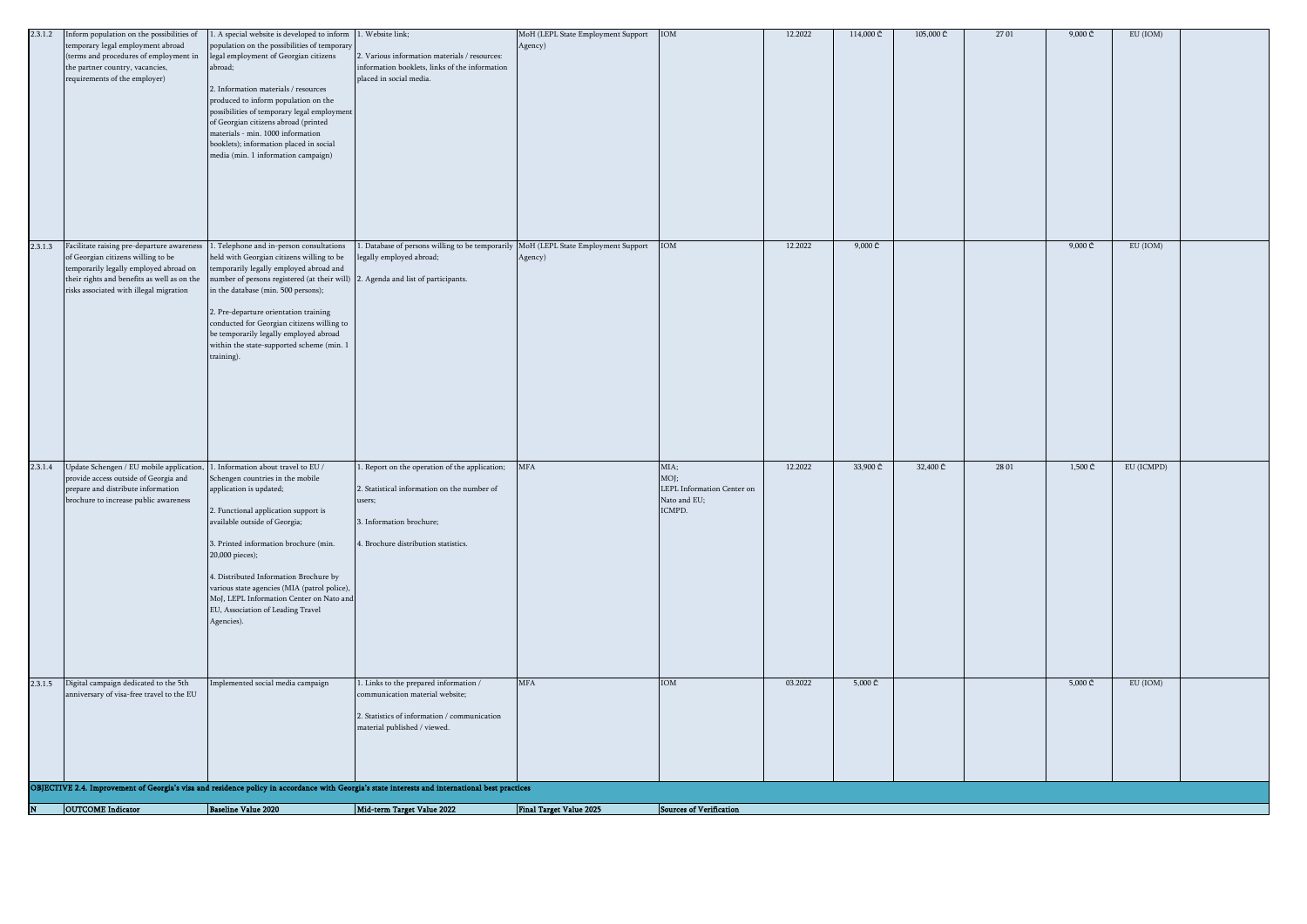|         | <b>OUTCOME</b> Indicator                                                              | <b>Baseline Value 2020</b>                                                                                                 | Mid-term Target Value 2022                                                                                                                      | <b>Final Target Value 2025</b>     | <b>Sources of Verification</b>     |         |                              |           |       |                              |            |  |
|---------|---------------------------------------------------------------------------------------|----------------------------------------------------------------------------------------------------------------------------|-------------------------------------------------------------------------------------------------------------------------------------------------|------------------------------------|------------------------------------|---------|------------------------------|-----------|-------|------------------------------|------------|--|
|         |                                                                                       |                                                                                                                            |                                                                                                                                                 |                                    |                                    |         |                              |           |       |                              |            |  |
|         |                                                                                       |                                                                                                                            | OBJECTIVE 2.4. Improvement of Georgia's visa and residence policy in accordance with Georgia's state interests and international best practices |                                    |                                    |         |                              |           |       |                              |            |  |
|         |                                                                                       |                                                                                                                            |                                                                                                                                                 |                                    |                                    |         |                              |           |       |                              |            |  |
|         |                                                                                       |                                                                                                                            |                                                                                                                                                 |                                    |                                    |         |                              |           |       |                              |            |  |
|         |                                                                                       |                                                                                                                            | 2. Statistics of information / communication<br>material published / viewed.                                                                    |                                    |                                    |         |                              |           |       |                              |            |  |
|         | anniversary of visa-free travel to the EU                                             |                                                                                                                            | ommunication material website;                                                                                                                  |                                    |                                    |         |                              |           |       |                              |            |  |
| 2.3.1.5 | Digital campaign dedicated to the 5th                                                 | Implemented social media campaign                                                                                          | 1. Links to the prepared information $\prime$                                                                                                   | <b>MFA</b>                         | IOM                                | 03.2022 | $5,000 \text{ } \mathcal{L}$ |           |       | $5,000 \subset$              | EU (IOM)   |  |
|         |                                                                                       |                                                                                                                            |                                                                                                                                                 |                                    |                                    |         |                              |           |       |                              |            |  |
|         |                                                                                       |                                                                                                                            |                                                                                                                                                 |                                    |                                    |         |                              |           |       |                              |            |  |
|         |                                                                                       | Agencies).                                                                                                                 |                                                                                                                                                 |                                    |                                    |         |                              |           |       |                              |            |  |
|         |                                                                                       | MoJ, LEPL Information Center on Nato and<br>EU, Association of Leading Travel                                              |                                                                                                                                                 |                                    |                                    |         |                              |           |       |                              |            |  |
|         |                                                                                       | 4. Distributed Information Brochure by<br>various state agencies (MIA (patrol police),                                     |                                                                                                                                                 |                                    |                                    |         |                              |           |       |                              |            |  |
|         |                                                                                       | 20,000 pieces);                                                                                                            |                                                                                                                                                 |                                    |                                    |         |                              |           |       |                              |            |  |
|         |                                                                                       | 3. Printed information brochure (min.                                                                                      | 4. Brochure distribution statistics.                                                                                                            |                                    |                                    |         |                              |           |       |                              |            |  |
|         |                                                                                       | 2. Functional application support is<br>available outside of Georgia;                                                      | 3. Information brochure;                                                                                                                        |                                    |                                    |         |                              |           |       |                              |            |  |
|         | brochure to increase public awareness                                                 |                                                                                                                            | users;                                                                                                                                          |                                    | Nato and EU;<br>ICMPD.             |         |                              |           |       |                              |            |  |
|         | provide access outside of Georgia and<br>prepare and distribute information           | Schengen countries in the mobile<br>application is updated;                                                                | 2. Statistical information on the number of                                                                                                     |                                    | MOJ;<br>LEPL Information Center on |         |                              |           |       |                              |            |  |
| 2.3.1.4 | Update Schengen / EU mobile application,                                              | 1. Information about travel to EU /                                                                                        | 1. Report on the operation of the application;                                                                                                  | MFA                                | MIA;                               | 12.2022 | 33,900 ₾                     | 32,400 ₾  | 28 01 | $1,500 \, \text{C}$          | EU (ICMPD) |  |
|         |                                                                                       |                                                                                                                            |                                                                                                                                                 |                                    |                                    |         |                              |           |       |                              |            |  |
|         |                                                                                       |                                                                                                                            |                                                                                                                                                 |                                    |                                    |         |                              |           |       |                              |            |  |
|         |                                                                                       |                                                                                                                            |                                                                                                                                                 |                                    |                                    |         |                              |           |       |                              |            |  |
|         |                                                                                       |                                                                                                                            |                                                                                                                                                 |                                    |                                    |         |                              |           |       |                              |            |  |
|         |                                                                                       | training).                                                                                                                 |                                                                                                                                                 |                                    |                                    |         |                              |           |       |                              |            |  |
|         |                                                                                       | be temporarily legally employed abroad<br>within the state-supported scheme (min. 1                                        |                                                                                                                                                 |                                    |                                    |         |                              |           |       |                              |            |  |
|         |                                                                                       | 2. Pre-departure orientation training<br>conducted for Georgian citizens willing to                                        |                                                                                                                                                 |                                    |                                    |         |                              |           |       |                              |            |  |
|         | risks associated with illegal migration                                               | in the database (min. 500 persons);                                                                                        |                                                                                                                                                 |                                    |                                    |         |                              |           |       |                              |            |  |
|         | temporarily legally employed abroad on<br>their rights and benefits as well as on the | emporarily legally employed abroad and<br>number of persons registered (at their will) 2. Agenda and list of participants. |                                                                                                                                                 |                                    |                                    |         |                              |           |       |                              |            |  |
| 2.3.1.3 | Facilitate raising pre-departure awareness<br>of Georgian citizens willing to be      | . Telephone and in-person consultations<br>held with Georgian citizens willing to be                                       | . Database of persons willing to be temporarily MoH (LEPL State Employment Support<br>egally employed abroad;                                   | Agency)                            | IOM                                | 12.2022 | $9,000 \text{ } \mathcal{L}$ |           |       | $9,000 \text{ } \mathcal{L}$ | EU (IOM)   |  |
|         |                                                                                       |                                                                                                                            |                                                                                                                                                 |                                    |                                    |         |                              |           |       |                              |            |  |
|         |                                                                                       |                                                                                                                            |                                                                                                                                                 |                                    |                                    |         |                              |           |       |                              |            |  |
|         |                                                                                       |                                                                                                                            |                                                                                                                                                 |                                    |                                    |         |                              |           |       |                              |            |  |
|         |                                                                                       |                                                                                                                            |                                                                                                                                                 |                                    |                                    |         |                              |           |       |                              |            |  |
|         |                                                                                       | booklets); information placed in social<br>media (min. 1 information campaign)                                             |                                                                                                                                                 |                                    |                                    |         |                              |           |       |                              |            |  |
|         |                                                                                       | of Georgian citizens abroad (printed<br>materials - min. 1000 information                                                  |                                                                                                                                                 |                                    |                                    |         |                              |           |       |                              |            |  |
|         |                                                                                       | possibilities of temporary legal employment                                                                                |                                                                                                                                                 |                                    |                                    |         |                              |           |       |                              |            |  |
|         |                                                                                       | 2. Information materials / resources<br>produced to inform population on the                                               |                                                                                                                                                 |                                    |                                    |         |                              |           |       |                              |            |  |
|         | the partner country, vacancies,<br>requirements of the employer)                      | abroad:                                                                                                                    | information booklets, links of the information<br>placed in social media.                                                                       |                                    |                                    |         |                              |           |       |                              |            |  |
|         | temporary legal employment abroad<br>(terms and procedures of employment in           | population on the possibilities of temporary<br>legal employment of Georgian citizens                                      | 2. Various information materials / resources:                                                                                                   | Agency)                            |                                    |         |                              |           |       |                              |            |  |
|         | 2.3.1.2 Inform population on the possibilities of                                     | . A special website is developed to inform                                                                                 | . Website link;                                                                                                                                 | MoH (LEPL State Employment Support | <b>IOM</b>                         | 12.2022 | 114,000 ₾                    | 105,000 ₾ | 27 01 | $9,000 \subset $             | EU (IOM)   |  |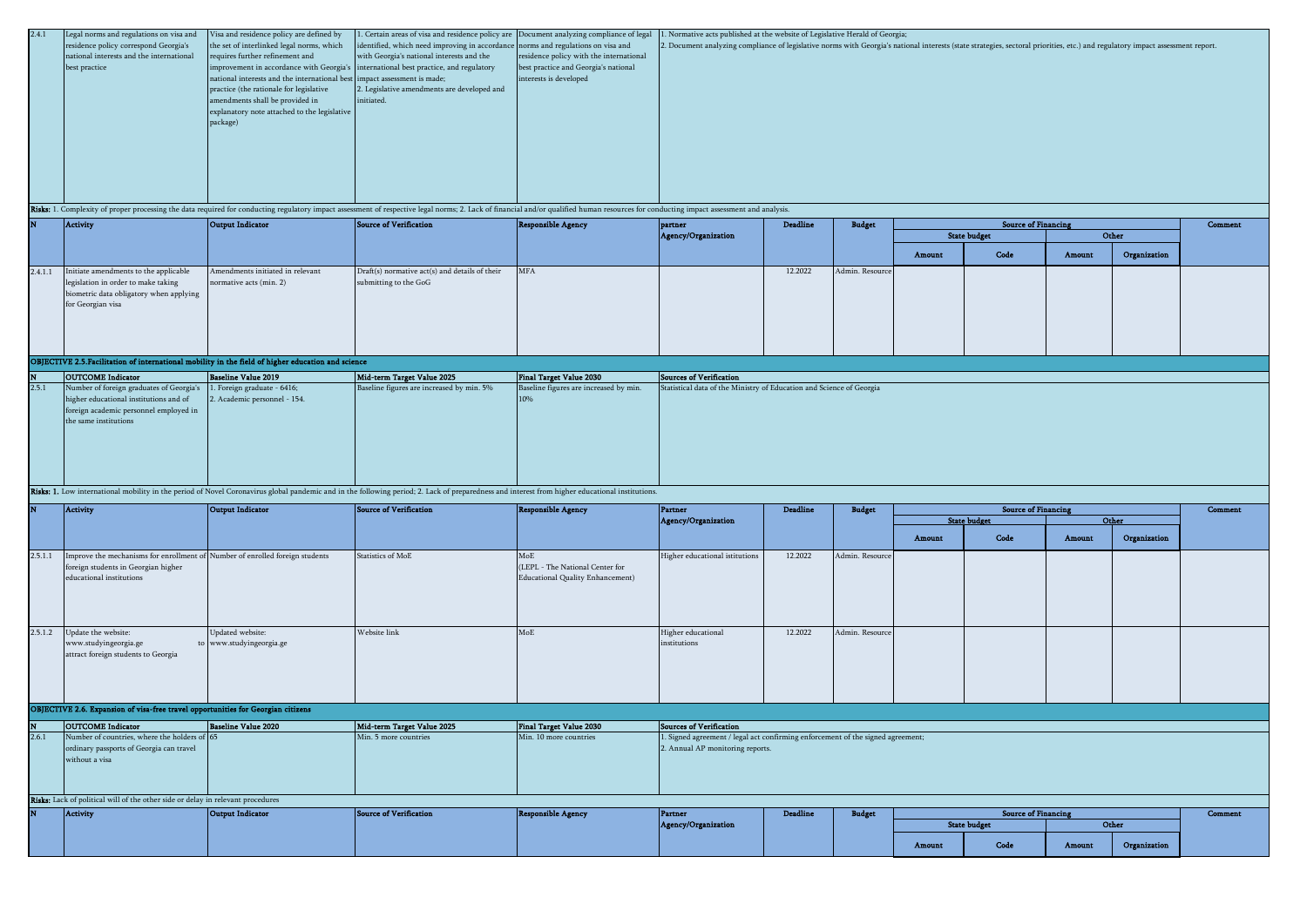| 2.4.1 | Legal norms and regulations on visa and  | Visa and residence policy are defined by                                 | 1. Certain areas of visa and residence policy are Document analyzing compliance of legal |                                         | 1. Normative acts published at the website of Legislative Herald of Georgia;                                                                                                   |
|-------|------------------------------------------|--------------------------------------------------------------------------|------------------------------------------------------------------------------------------|-----------------------------------------|--------------------------------------------------------------------------------------------------------------------------------------------------------------------------------|
|       | residence policy correspond Georgia's    | the set of interlinked legal norms, which                                | identified, which need improving in accordance norms and regulations on visa and         |                                         | 2. Document analyzing compliance of legislative norms with Georgia's national interests (state strategies, sectoral priorities, etc.) and regulatory impact assessment report. |
|       | national interests and the international | requires further refinement and                                          | with Georgia's national interests and the                                                | residence policy with the international |                                                                                                                                                                                |
|       | best practice                            |                                                                          | improvement in accordance with Georgia's international best practice, and regulatory     | best practice and Georgia's national    |                                                                                                                                                                                |
|       |                                          | national interests and the international best impact assessment is made; |                                                                                          | interests is developed                  |                                                                                                                                                                                |
|       |                                          | practice (the rationale for legislative                                  | 2. Legislative amendments are developed and                                              |                                         |                                                                                                                                                                                |
|       |                                          | amendments shall be provided in                                          | initiated.                                                                               |                                         |                                                                                                                                                                                |
|       |                                          | explanatory note attached to the legislative                             |                                                                                          |                                         |                                                                                                                                                                                |
|       |                                          | package)                                                                 |                                                                                          |                                         |                                                                                                                                                                                |
|       |                                          |                                                                          |                                                                                          |                                         |                                                                                                                                                                                |
|       |                                          |                                                                          |                                                                                          |                                         |                                                                                                                                                                                |
|       |                                          |                                                                          |                                                                                          |                                         |                                                                                                                                                                                |
|       |                                          |                                                                          |                                                                                          |                                         |                                                                                                                                                                                |
|       |                                          |                                                                          |                                                                                          |                                         |                                                                                                                                                                                |
|       |                                          |                                                                          |                                                                                          |                                         |                                                                                                                                                                                |
|       | man and a state of                       |                                                                          |                                                                                          |                                         |                                                                                                                                                                                |

Risks: 1. Complexity of proper processing the data required for conducting regulatory impact assessment of respective legal norms: 2. Lack of financial and/or qualified human resources for conducting impact assessment and

| N |         | Activity                                                                                                                                     | Output Indicator                                            | Source of Verification                                                  | Responsible Agency | partner             | Deadline | <b>Budget</b>   | <b>Source of Financing</b> |                     | Comment |              |  |
|---|---------|----------------------------------------------------------------------------------------------------------------------------------------------|-------------------------------------------------------------|-------------------------------------------------------------------------|--------------------|---------------------|----------|-----------------|----------------------------|---------------------|---------|--------------|--|
|   |         |                                                                                                                                              |                                                             |                                                                         |                    | Agency/Organization |          |                 |                            | <b>State budget</b> |         | Other        |  |
|   |         |                                                                                                                                              |                                                             |                                                                         |                    |                     |          |                 | Amount                     | Code                | Amount  | Organization |  |
|   | 2.4.1.1 | Initiate amendments to the applicable<br>legislation in order to make taking<br>biometric data obligatory when applying<br>for Georgian visa | Amendments initiated in relevant<br>normative acts (min. 2) | Draft(s) normative act(s) and details of their<br>submitting to the GoG | <b>MFA</b>         |                     | 12.2022  | Admin. Resource |                            |                     |         |              |  |

# OBJECTIVE 2.5.Facilitation of international mobility in the field of higher education and science

|       | <b>OUTCOME</b> Indicator                                                                                                                                                                        | Baseline Value 2019          | Mid-term Target Value 2025                | Final Target Value 2030                | Sources of Verification                                              |  |  |  |  |  |  |
|-------|-------------------------------------------------------------------------------------------------------------------------------------------------------------------------------------------------|------------------------------|-------------------------------------------|----------------------------------------|----------------------------------------------------------------------|--|--|--|--|--|--|
| 2.5.1 | Number of foreign graduates of Georgia's 1. Foreign graduate - 6416;                                                                                                                            |                              | Baseline figures are increased by min. 5% | Baseline figures are increased by min. | Statistical data of the Ministry of Education and Science of Georgia |  |  |  |  |  |  |
|       | higher educational institutions and of                                                                                                                                                          | 2. Academic personnel - 154. |                                           | 10%                                    |                                                                      |  |  |  |  |  |  |
|       | foreign academic personnel employed in                                                                                                                                                          |                              |                                           |                                        |                                                                      |  |  |  |  |  |  |
|       | the same institutions                                                                                                                                                                           |                              |                                           |                                        |                                                                      |  |  |  |  |  |  |
|       |                                                                                                                                                                                                 |                              |                                           |                                        |                                                                      |  |  |  |  |  |  |
|       |                                                                                                                                                                                                 |                              |                                           |                                        |                                                                      |  |  |  |  |  |  |
|       |                                                                                                                                                                                                 |                              |                                           |                                        |                                                                      |  |  |  |  |  |  |
|       |                                                                                                                                                                                                 |                              |                                           |                                        |                                                                      |  |  |  |  |  |  |
|       |                                                                                                                                                                                                 |                              |                                           |                                        |                                                                      |  |  |  |  |  |  |
|       | Risks: 1. Low international mobility in the period of Novel Coronavirus global pandemic and in the following period; 2. Lack of preparedness and interest from higher educational institutions. |                              |                                           |                                        |                                                                      |  |  |  |  |  |  |

|         | Activity                                                                                                                                        | Output Indicator                             | Source of Verification | Responsible Agency                                                         | Partner                            | Deadline | <b>Budget</b>   | <b>Source of Financing</b> |                     |        | Comment      |  |
|---------|-------------------------------------------------------------------------------------------------------------------------------------------------|----------------------------------------------|------------------------|----------------------------------------------------------------------------|------------------------------------|----------|-----------------|----------------------------|---------------------|--------|--------------|--|
|         |                                                                                                                                                 |                                              |                        |                                                                            | Agency/Organization                |          |                 |                            | <b>State budget</b> |        | Other        |  |
|         |                                                                                                                                                 |                                              |                        |                                                                            |                                    |          |                 | Amount                     | Code                | Amount | Organization |  |
| 2.5.1.1 | Improve the mechanisms for enrollment of Number of enrolled foreign students<br>foreign students in Georgian higher<br>educational institutions |                                              | Statistics of MoE      | MoE<br>(LEPL - The National Center for<br>Educational Quality Enhancement) | Higher educational istitutions     | 12.2022  | Admin. Resource |                            |                     |        |              |  |
| 2.5.1.2 | Update the website:<br>www.studyingeorgia.ge<br>attract foreign students to Georgia                                                             | Updated website:<br>to www.studyingeorgia.ge | Website link           | MoE                                                                        | Higher educational<br>institutions | 12.2022  | Admin. Resource |                            |                     |        |              |  |

# OBJECTIVE 2.6. Expansion of visa-free travel opportunities for Georgian citizens

| <b>OUTCOME</b> Indicator                                                        | Baseline Value 2020 | Mid-term Target Value 2025 | <b>Final Target Value 2030</b> | Sources of Verification                                                         |                 |               |                            |       |         |
|---------------------------------------------------------------------------------|---------------------|----------------------------|--------------------------------|---------------------------------------------------------------------------------|-----------------|---------------|----------------------------|-------|---------|
| Number of countries, where the holders of 65                                    |                     | Min. 5 more countries      | Min. 10 more countries         | 1. Signed agreement / legal act confirming enforcement of the signed agreement; |                 |               |                            |       |         |
| ordinary passports of Georgia can travel                                        |                     |                            |                                | 2. Annual AP monitoring reports.                                                |                 |               |                            |       |         |
| without a visa                                                                  |                     |                            |                                |                                                                                 |                 |               |                            |       |         |
|                                                                                 |                     |                            |                                |                                                                                 |                 |               |                            |       |         |
|                                                                                 |                     |                            |                                |                                                                                 |                 |               |                            |       |         |
|                                                                                 |                     |                            |                                |                                                                                 |                 |               |                            |       |         |
| Risks: Lack of political will of the other side or delay in relevant procedures |                     |                            |                                |                                                                                 |                 |               |                            |       |         |
| Activity                                                                        | Output Indicator    | Source of Verification     | <b>Responsible Agency</b>      | Partner                                                                         | <b>Deadline</b> | <b>Budget</b> | <b>Source of Financing</b> |       | Comment |
|                                                                                 |                     |                            |                                | Agency/Organization                                                             |                 |               | <b>State budget</b>        | Other |         |
|                                                                                 |                     |                            |                                |                                                                                 |                 |               |                            |       |         |

Amount Code Amount Organization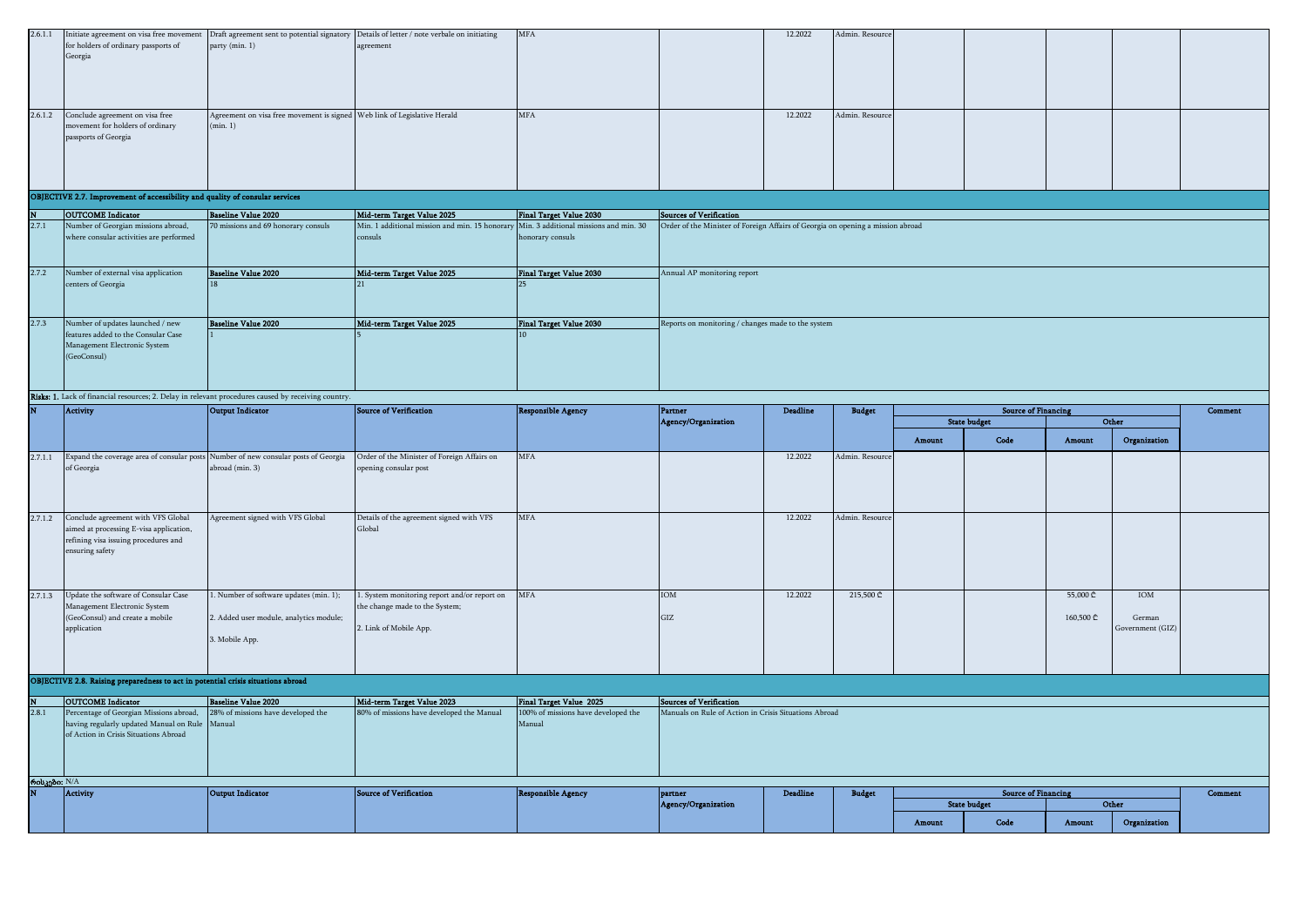| 2.6.1.1 |                                                                              |                                                                          | Initiate agreement on visa free movement Draft agreement sent to potential signatory Details of letter / note verbale on initiating | <b>MFA</b> | 12.2022 | Admin. Resource |  |  |  |
|---------|------------------------------------------------------------------------------|--------------------------------------------------------------------------|-------------------------------------------------------------------------------------------------------------------------------------|------------|---------|-----------------|--|--|--|
|         | for holders of ordinary passports of                                         | party (min. 1)                                                           | agreement                                                                                                                           |            |         |                 |  |  |  |
|         | Georgia                                                                      |                                                                          |                                                                                                                                     |            |         |                 |  |  |  |
|         |                                                                              |                                                                          |                                                                                                                                     |            |         |                 |  |  |  |
|         |                                                                              |                                                                          |                                                                                                                                     |            |         |                 |  |  |  |
|         |                                                                              |                                                                          |                                                                                                                                     |            |         |                 |  |  |  |
|         |                                                                              |                                                                          |                                                                                                                                     |            |         |                 |  |  |  |
|         | 2.6.1.2 Conclude agreement on visa free                                      | Agreement on visa free movement is signed Web link of Legislative Herald |                                                                                                                                     | <b>MFA</b> | 12.2022 | Admin. Resource |  |  |  |
|         | movement for holders of ordinary                                             | (min 1)                                                                  |                                                                                                                                     |            |         |                 |  |  |  |
|         | passports of Georgia                                                         |                                                                          |                                                                                                                                     |            |         |                 |  |  |  |
|         |                                                                              |                                                                          |                                                                                                                                     |            |         |                 |  |  |  |
|         |                                                                              |                                                                          |                                                                                                                                     |            |         |                 |  |  |  |
|         |                                                                              |                                                                          |                                                                                                                                     |            |         |                 |  |  |  |
|         |                                                                              |                                                                          |                                                                                                                                     |            |         |                 |  |  |  |
|         |                                                                              |                                                                          |                                                                                                                                     |            |         |                 |  |  |  |
|         | OBJECTIVE 2.7. Improvement of accessibility and quality of consular services |                                                                          |                                                                                                                                     |            |         |                 |  |  |  |

| N     | <b>OUTCOME</b> Indicator                | Baseline Value 2020                 | Mid-term Target Value 2025                                                            | Final Target Value 2030        | <b>Sources of Verification</b>                                                  |
|-------|-----------------------------------------|-------------------------------------|---------------------------------------------------------------------------------------|--------------------------------|---------------------------------------------------------------------------------|
| 2.7.1 | Number of Georgian missions abroad,     | 70 missions and 69 honorary consuls | Min. 1 additional mission and min. 15 honorary Min. 3 additional missions and min. 30 |                                | Order of the Minister of Foreign Affairs of Georgia on opening a mission abroad |
|       | where consular activities are performed |                                     | consuls                                                                               | honorary consuls               |                                                                                 |
|       |                                         |                                     |                                                                                       |                                |                                                                                 |
|       |                                         |                                     |                                                                                       |                                |                                                                                 |
| 2.7.2 | Number of external visa application     | Baseline Value 2020                 | Mid-term Target Value 2025                                                            | <b>Final Target Value 2030</b> | Annual AP monitoring report                                                     |
|       | centers of Georgia                      |                                     |                                                                                       |                                |                                                                                 |
|       |                                         |                                     |                                                                                       |                                |                                                                                 |
|       |                                         |                                     |                                                                                       |                                |                                                                                 |
|       |                                         |                                     |                                                                                       |                                |                                                                                 |
| 2.7.3 | Number of updates launched / new        | Baseline Value 2020                 | Mid-term Target Value 2025                                                            | Final Target Value 2030        | Reports on monitoring / changes made to the system                              |
|       | features added to the Consular Case     |                                     |                                                                                       |                                |                                                                                 |
|       | Management Electronic System            |                                     |                                                                                       |                                |                                                                                 |
|       | (GeoConsul)                             |                                     |                                                                                       |                                |                                                                                 |
|       |                                         |                                     |                                                                                       |                                |                                                                                 |
|       |                                         |                                     |                                                                                       |                                |                                                                                 |
|       |                                         |                                     |                                                                                       |                                |                                                                                 |

#### Amount Code Amount Organization 2.7.1.1 Expand the coverage area of consular posts Number of new consular posts of Georgia Crder of the Minister of Foreign Affairs on of Georgia abroad (min. 3) opening consular post MFA 12.2022 Admin. Resource 2.7.1.2 Conclude agreement with VFS Global aimed at processing E-visa application, refining visa issuing procedures and ensuring safety Agreement signed with VFS Global Details of the agreement signed with VFS Global MFA 12.2022 Admin. Resource 2.7.1.3 Update the software of Consular Case Management Electronic System (GeoConsul) and create a mobile *application* 1. Number of software updates (min. 1); 2. Added user module, analytics module; 3. Mobile App. 1. System monitoring report and/or report on MFA IOM the change made to the System; 2. Link of Mobile App. GIZ  $12.2022$  215,500 ₾ 160,500 ₾ IOM German Government (GIZ) N OUTCOME Indicator Baseline Value 2020 Mid-term Target Value 2023 Final Target Value 2025 OBJECTIVE 2.8. Raising preparedness to act in potential crisis situations abroad Sources of Verification Comment Budget **Source of Financing** State budget Other Responsible Agency Partner<br>Agency/Organization Deadline Risks: 1. Lack of financial resources; 2. Delay in relevant procedures caused by receiving country. **Number of Activity CERN Activity Output Indicator Source of Verification**

|              | ________________                                                           | __________________ |                                           |                                     |                                                       |                 |               |        |                            |        |              |         |
|--------------|----------------------------------------------------------------------------|--------------------|-------------------------------------------|-------------------------------------|-------------------------------------------------------|-----------------|---------------|--------|----------------------------|--------|--------------|---------|
| 2.8.1        | Percentage of Georgian Missions abroad, 28% of missions have developed the |                    | 80% of missions have developed the Manual | 100% of missions have developed the | Manuals on Rule of Action in Crisis Situations Abroad |                 |               |        |                            |        |              |         |
|              | having regularly updated Manual on Rule Manual                             |                    |                                           | Manual                              |                                                       |                 |               |        |                            |        |              |         |
|              | of Action in Crisis Situations Abroad                                      |                    |                                           |                                     |                                                       |                 |               |        |                            |        |              |         |
|              |                                                                            |                    |                                           |                                     |                                                       |                 |               |        |                            |        |              |         |
|              |                                                                            |                    |                                           |                                     |                                                       |                 |               |        |                            |        |              |         |
|              |                                                                            |                    |                                           |                                     |                                                       |                 |               |        |                            |        |              |         |
| რისკები: N/A |                                                                            |                    |                                           |                                     |                                                       |                 |               |        |                            |        |              |         |
|              | Activity                                                                   | Output Indicator   | Source of Verification                    | <b>Responsible Agency</b>           | partner                                               | <b>Deadline</b> | <b>Budget</b> |        | <b>Source of Financing</b> |        |              | Comment |
|              |                                                                            |                    |                                           |                                     | Agency/Organization                                   |                 |               |        | <b>State budget</b>        | Other  |              |         |
|              |                                                                            |                    |                                           |                                     |                                                       |                 |               |        |                            |        |              |         |
|              |                                                                            |                    |                                           |                                     |                                                       |                 |               | Amount | Code                       | Amount | Organization |         |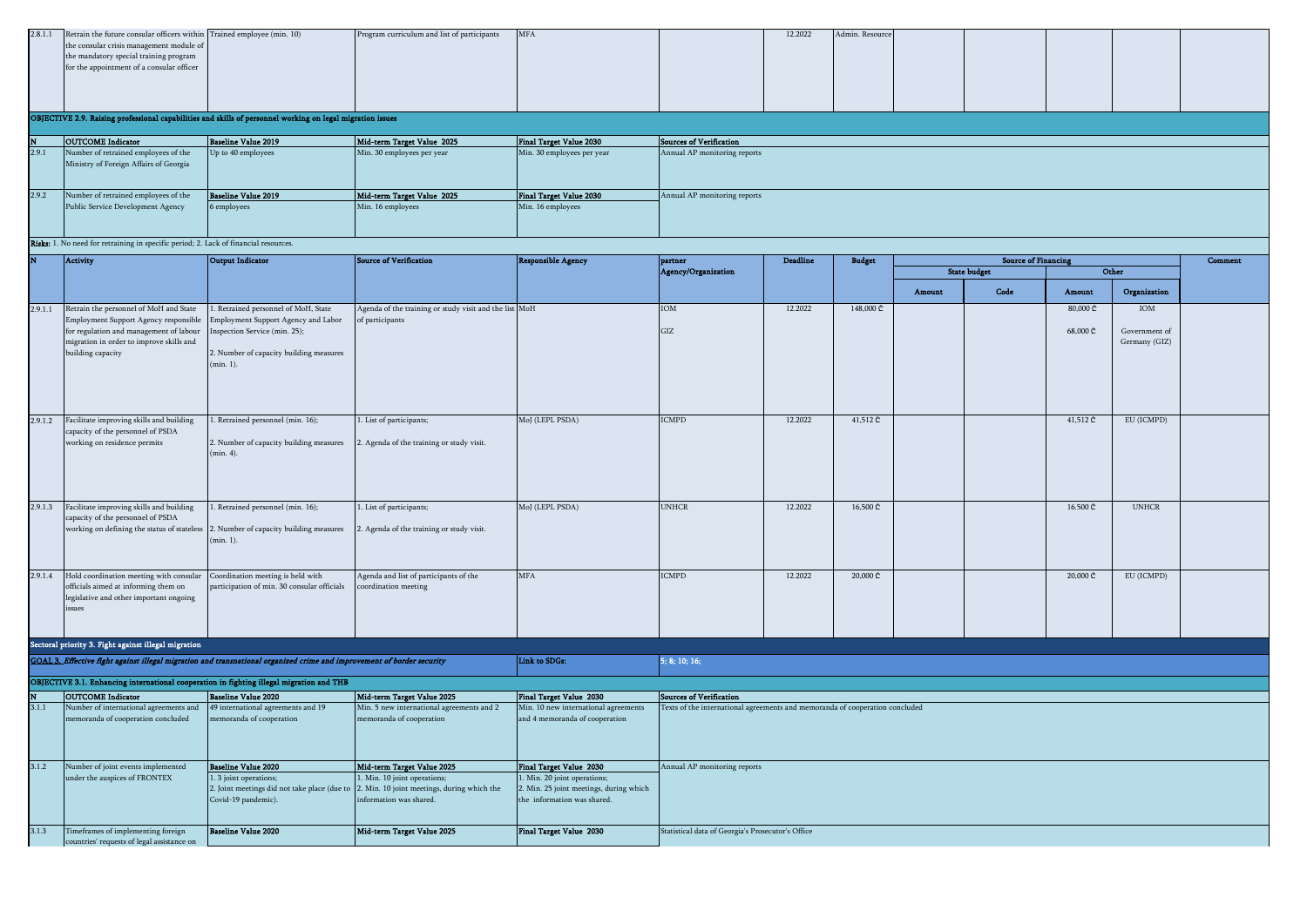|  | 2.8.1.1 Retrain the future consular officers within Trained employee (min. 10)                             |  | Program curriculum and list of participants | <b>MFA</b> |  | 12.2022 | Admin. Resource |  |  |  |  |  |
|--|------------------------------------------------------------------------------------------------------------|--|---------------------------------------------|------------|--|---------|-----------------|--|--|--|--|--|
|  | the consular crisis management module of                                                                   |  |                                             |            |  |         |                 |  |  |  |  |  |
|  | the mandatory special training program                                                                     |  |                                             |            |  |         |                 |  |  |  |  |  |
|  | for the appointment of a consular officer                                                                  |  |                                             |            |  |         |                 |  |  |  |  |  |
|  |                                                                                                            |  |                                             |            |  |         |                 |  |  |  |  |  |
|  |                                                                                                            |  |                                             |            |  |         |                 |  |  |  |  |  |
|  |                                                                                                            |  |                                             |            |  |         |                 |  |  |  |  |  |
|  |                                                                                                            |  |                                             |            |  |         |                 |  |  |  |  |  |
|  | OBJECTIVE 2.9. Raising professional capabilities and skills of personnel working on legal migration issues |  |                                             |            |  |         |                 |  |  |  |  |  |

| <b>OUTCOME</b> Indicator               | Baseline Value 2019        | Mid-term Target Value 2025 | Final Target Value 2030    | Sources of Verification      |
|----------------------------------------|----------------------------|----------------------------|----------------------------|------------------------------|
| Number of retrained employees of the   | Up to 40 employees         | Min. 30 employees per year | Min. 30 employees per year | Annual AP monitoring reports |
| Ministry of Foreign Affairs of Georgia |                            |                            |                            |                              |
|                                        |                            |                            |                            |                              |
|                                        |                            |                            |                            |                              |
| Number of retrained employees of the   | <b>Baseline Value 2019</b> | Mid-term Target Value 2025 | Final Target Value 2030    | Annual AP monitoring reports |
| Public Service Development Agency      | 6 employees                | Min. 16 employees          | Min. 16 employees          |                              |
|                                        |                            |                            |                            |                              |
|                                        |                            |                            |                            |                              |

Risks: 1. No need for retraining in specific period; 2. Lack of financial resources.

|         | <b>Activity</b>                                                                                                                                                                             | <b>Output Indicator</b>                                                                                                                                           | <b>Source of Verification</b>                                                                                                                     | <b>Responsible Agency</b>                                                                             | partner                                                                      | <b>Deadline</b> | <b>Budget</b>     |        | <b>Source of Financing</b> |                      |                                       | <b>Comment</b> |
|---------|---------------------------------------------------------------------------------------------------------------------------------------------------------------------------------------------|-------------------------------------------------------------------------------------------------------------------------------------------------------------------|---------------------------------------------------------------------------------------------------------------------------------------------------|-------------------------------------------------------------------------------------------------------|------------------------------------------------------------------------------|-----------------|-------------------|--------|----------------------------|----------------------|---------------------------------------|----------------|
|         |                                                                                                                                                                                             |                                                                                                                                                                   |                                                                                                                                                   |                                                                                                       | Agency/Organization                                                          |                 |                   |        | <b>State budget</b>        |                      | Other                                 |                |
|         |                                                                                                                                                                                             |                                                                                                                                                                   |                                                                                                                                                   |                                                                                                       |                                                                              |                 |                   | Amount | Code                       | Amount               | Organization                          |                |
| 2.9.1.1 | Retrain the personnel of MoH and State<br>Employment Support Agency responsible<br>for regulation and management of labour<br>migration in order to improve skills and<br>building capacity | Retrained personnel of MoH, State<br>Employment Support Agency and Labor<br>Inspection Service (min. 25);<br>2. Number of capacity building measures<br>(min. 1). | Agenda of the training or study visit and the list MoH<br>of participants                                                                         |                                                                                                       | IOM<br>GIZ                                                                   | 12.2022         | 148,000 ₾         |        |                            | 80,000 ₾<br>68,000 ₾ | IOM<br>Government of<br>Germany (GIZ) |                |
| 2.9.1.2 | Facilitate improving skills and building<br>capacity of the personnel of PSDA<br>working on residence permits                                                                               | Retrained personnel (min. 16);<br>2. Number of capacity building measures<br>(min. 4).                                                                            | . List of participants;<br>2. Agenda of the training or study visit.                                                                              | MoJ (LEPL PSDA)                                                                                       | <b>CMPD</b>                                                                  | 12.2022         | 41,512 ₾          |        |                            | 41,512 ₾             | EU (ICMPD)                            |                |
| 2.9.1.3 | Facilitate improving skills and building<br>capacity of the personnel of PSDA<br>working on defining the status of stateless                                                                | . Retrained personnel (min. 16);<br>2. Number of capacity building measures<br>(min. 1).                                                                          | . List of participants;<br>2. Agenda of the training or study visit.                                                                              | MoJ (LEPL PSDA)                                                                                       | UNHCR                                                                        | 12.2022         | 16,500 ₾          |        |                            | 16.500 ₾             | <b>UNHCR</b>                          |                |
| 2.9.1.4 | Hold coordination meeting with consular<br>officials aimed at informing them on<br>legislative and other important ongoing<br>issues                                                        | Coordination meeting is held with<br>participation of min. 30 consular officials                                                                                  | Agenda and list of participants of the<br>coordination meeting                                                                                    | <b>MFA</b>                                                                                            | <b>CMPD</b>                                                                  | 12.2022         | $20,000 \text{ }$ |        |                            | 20,000 ₾             | EU (ICMPD)                            |                |
|         | Sectoral priority 3. Fight against illegal migration                                                                                                                                        |                                                                                                                                                                   |                                                                                                                                                   |                                                                                                       |                                                                              |                 |                   |        |                            |                      |                                       |                |
|         | GOAL 3. Effective fight against illegal migration and transnational organized crime and improvement of border security                                                                      |                                                                                                                                                                   |                                                                                                                                                   | Link to SDGs:                                                                                         | 5; 8; 10; 16;                                                                |                 |                   |        |                            |                      |                                       |                |
|         | OBJECTIVE 3.1. Enhancing international cooperation in fighting illegal migration and THB                                                                                                    |                                                                                                                                                                   |                                                                                                                                                   |                                                                                                       |                                                                              |                 |                   |        |                            |                      |                                       |                |
|         | <b>OUTCOME</b> Indicator                                                                                                                                                                    | <b>Baseline Value 2020</b>                                                                                                                                        | Mid-term Target Value 2025                                                                                                                        | Final Target Value 2030                                                                               | <b>Sources of Verification</b>                                               |                 |                   |        |                            |                      |                                       |                |
| 3.1.1   | Number of international agreements and<br>memoranda of cooperation concluded                                                                                                                | 49 international agreements and 19<br>memoranda of cooperation                                                                                                    | Min. 5 new international agreements and 2<br>memoranda of cooperation                                                                             | Min. 10 new international agreements<br>and 4 memoranda of cooperation                                | Texts of the international agreements and memoranda of cooperation concluded |                 |                   |        |                            |                      |                                       |                |
| 3.1.2   | Number of joint events implemented                                                                                                                                                          | <b>Baseline Value 2020</b>                                                                                                                                        | Mid-term Target Value 2025                                                                                                                        | Final Target Value 2030                                                                               | Annual AP monitoring reports                                                 |                 |                   |        |                            |                      |                                       |                |
|         | under the auspices of FRONTEX                                                                                                                                                               | 1. 3 joint operations;<br>Covid-19 pandemic).                                                                                                                     | . Min. 10 joint operations;<br>2. Joint meetings did not take place (due to 2. Min. 10 joint meetings, during which the<br>nformation was shared. | . Min. 20 joint operations;<br>2. Min. 25 joint meetings, during which<br>the information was shared. |                                                                              |                 |                   |        |                            |                      |                                       |                |
| 3.1.3   | Timeframes of implementing foreign<br>countries' requests of legal assistance on                                                                                                            | <b>Baseline Value 2020</b>                                                                                                                                        | Mid-term Target Value 2025                                                                                                                        | Final Target Value 2030                                                                               | Statistical data of Georgia's Prosecutor's Office                            |                 |                   |        |                            |                      |                                       |                |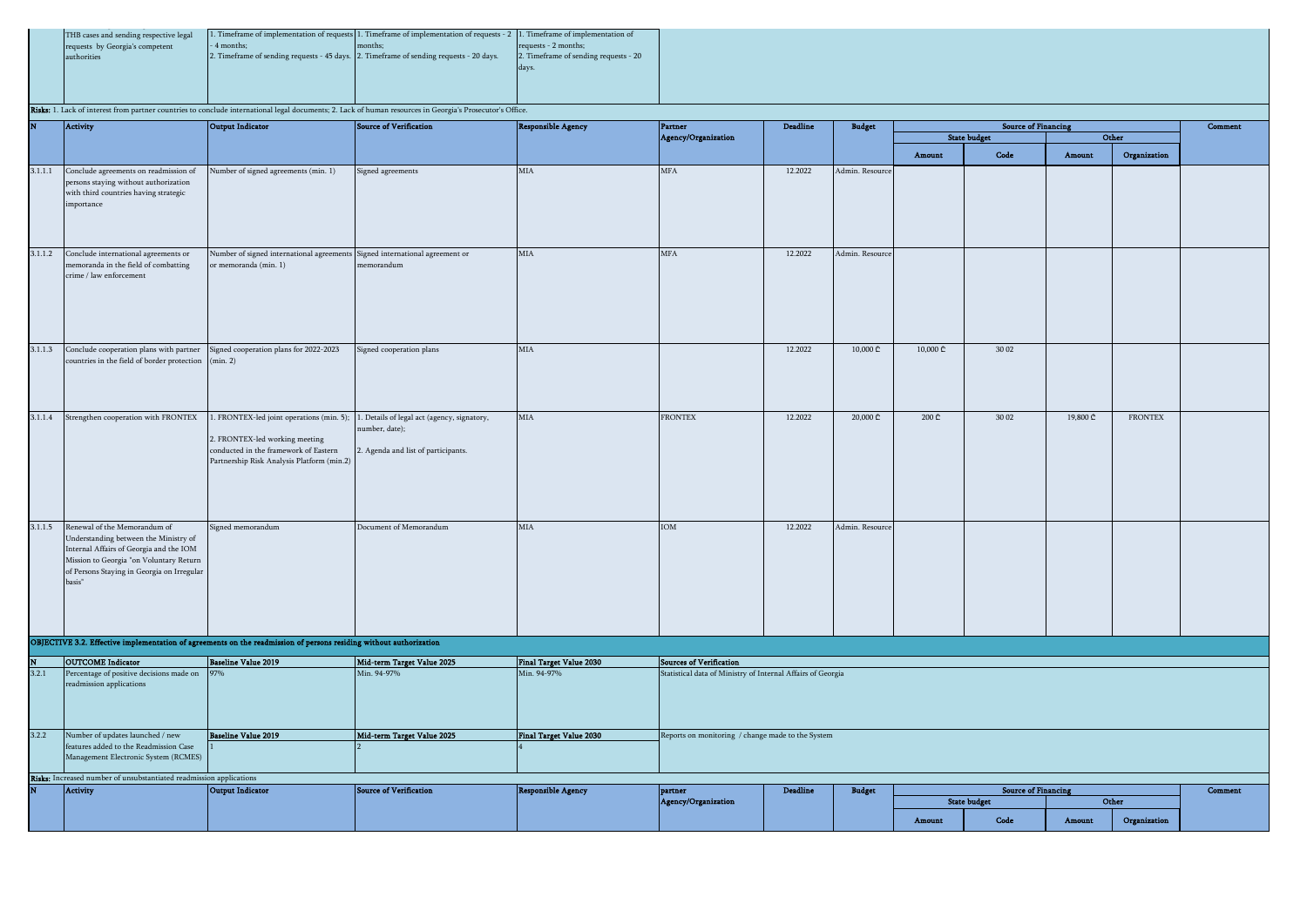| THB cases and sending respective legal |             | 1. Timeframe of implementation of requests 1. Timeframe of implementation of requests - 2 1. Timeframe of implementation of |                                       |
|----------------------------------------|-------------|-----------------------------------------------------------------------------------------------------------------------------|---------------------------------------|
| requests by Georgia's competent        | - 4 months: | months:                                                                                                                     | requests - 2 months:                  |
| authorities                            |             | 2. Timeframe of sending requests - 45 days. 2. Timeframe of sending requests - 20 days.                                     | 2. Timeframe of sending requests - 20 |
|                                        |             |                                                                                                                             |                                       |
|                                        |             |                                                                                                                             |                                       |
|                                        |             |                                                                                                                             |                                       |

Risks: 1. Lack of interest from partner countries to conclude international legal documents; 2. Lack of human resources in Georgia's Prosecutor's Office

|         |                                                                                                                                                                                                                             |                                                                                                                                                                                                                | a, i. Lack of interest from partner countries to concident international regardocuments, 2. Lack of numan resources in Georgia's 1 rosecutor's Office |                                |                                                             |          |                 |          |                                                   |          |                |         |
|---------|-----------------------------------------------------------------------------------------------------------------------------------------------------------------------------------------------------------------------------|----------------------------------------------------------------------------------------------------------------------------------------------------------------------------------------------------------------|-------------------------------------------------------------------------------------------------------------------------------------------------------|--------------------------------|-------------------------------------------------------------|----------|-----------------|----------|---------------------------------------------------|----------|----------------|---------|
| N       | <b>Activity</b>                                                                                                                                                                                                             | Output Indicator                                                                                                                                                                                               | Source of Verification                                                                                                                                | <b>Responsible Agency</b>      | Partner<br>Agency/Organization                              | Deadline | <b>Budget</b>   |          | <b>Source of Financing</b><br><b>State budget</b> |          | Other          | Comment |
|         |                                                                                                                                                                                                                             |                                                                                                                                                                                                                |                                                                                                                                                       |                                |                                                             |          |                 | Amount   | Code                                              | Amount   | Organization   |         |
| 3.1.1.1 | Conclude agreements on readmission of<br>persons staying without authorization<br>with third countries having strategic<br>importance                                                                                       | Number of signed agreements (min. 1)                                                                                                                                                                           | Signed agreements                                                                                                                                     | MIA                            | <b>MFA</b>                                                  | 12.2022  | Admin. Resource |          |                                                   |          |                |         |
| 3.1.1.2 | Conclude international agreements or<br>memoranda in the field of combatting<br>crime / law enforcement                                                                                                                     | Number of signed international agreements Signed international agreement or<br>or memoranda (min. 1)                                                                                                           | memorandum                                                                                                                                            | MIA                            | <b>MFA</b>                                                  | 12.2022  | Admin. Resource |          |                                                   |          |                |         |
| 3.1.1.3 | Conclude cooperation plans with partner Signed cooperation plans for 2022-2023<br>countries in the field of border protection (min. 2)                                                                                      |                                                                                                                                                                                                                | Signed cooperation plans                                                                                                                              | <b>MIA</b>                     |                                                             | 12.2022  | 10,000 ₾        | 10,000 ₾ | 30 02                                             |          |                |         |
| 3.1.1.4 | Strengthen cooperation with FRONTEX                                                                                                                                                                                         | 1. FRONTEX-led joint operations (min. 5); 1. Details of legal act (agency, signatory,<br>2. FRONTEX-led working meeting<br>conducted in the framework of Eastern<br>Partnership Risk Analysis Platform (min.2) | number, date);<br>2. Agenda and list of participants.                                                                                                 | MIA                            | <b>FRONTEX</b>                                              | 12.2022  | 20,000 ₾        | 200 ₾    | 30 02                                             | 19,800 ₾ | <b>FRONTEX</b> |         |
|         | 3.1.1.5 Renewal of the Memorandum of<br>Understanding between the Ministry of<br>Internal Affairs of Georgia and the IOM<br>Mission to Georgia "on Voluntary Return<br>of Persons Staying in Georgia on Irregular<br>basis" | Signed memorandum                                                                                                                                                                                              | Document of Memorandum                                                                                                                                | MIA                            | IOM                                                         | 12.2022  | Admin. Resource |          |                                                   |          |                |         |
|         |                                                                                                                                                                                                                             | OBJECTIVE 3.2. Effective implementation of agreements on the readmission of persons residing without authorization                                                                                             |                                                                                                                                                       |                                |                                                             |          |                 |          |                                                   |          |                |         |
|         | <b>OUTCOME</b> Indicator                                                                                                                                                                                                    | <b>Baseline Value 2019</b>                                                                                                                                                                                     | Mid-term Target Value 2025                                                                                                                            | <b>Final Target Value 2030</b> | <b>Sources of Verification</b>                              |          |                 |          |                                                   |          |                |         |
| 3.2.1   | Percentage of positive decisions made on<br>readmission applications                                                                                                                                                        |                                                                                                                                                                                                                | Min. 94-97%                                                                                                                                           | Min. 94-97%                    | Statistical data of Ministry of Internal Affairs of Georgia |          |                 |          |                                                   |          |                |         |
| 3.2.2   | Number of updates launched / new                                                                                                                                                                                            | <b>Baseline Value 2019</b>                                                                                                                                                                                     | Mid-term Target Value 2025                                                                                                                            | Final Target Value 2030        | Reports on monitoring / change made to the System           |          |                 |          |                                                   |          |                |         |
|         | features added to the Readmission Case<br>Management Electronic System (RCMES)                                                                                                                                              |                                                                                                                                                                                                                |                                                                                                                                                       |                                |                                                             |          |                 |          |                                                   |          |                |         |
|         | Risks: Increased number of unsubstantiated readmission applications                                                                                                                                                         |                                                                                                                                                                                                                |                                                                                                                                                       |                                |                                                             |          |                 |          |                                                   |          |                |         |
|         | <b>Activity</b>                                                                                                                                                                                                             | Output Indicator                                                                                                                                                                                               | <b>Source of Verification</b>                                                                                                                         | <b>Responsible Agency</b>      | partner                                                     | Deadline | <b>Budget</b>   |          | <b>Source of Financing</b>                        |          |                | Comment |
|         |                                                                                                                                                                                                                             |                                                                                                                                                                                                                |                                                                                                                                                       |                                | Agency/Organization                                         |          |                 |          | <b>State budget</b>                               |          | Other          |         |
|         |                                                                                                                                                                                                                             |                                                                                                                                                                                                                |                                                                                                                                                       |                                |                                                             |          |                 | Amount   | Code                                              | Amount   | Organization   |         |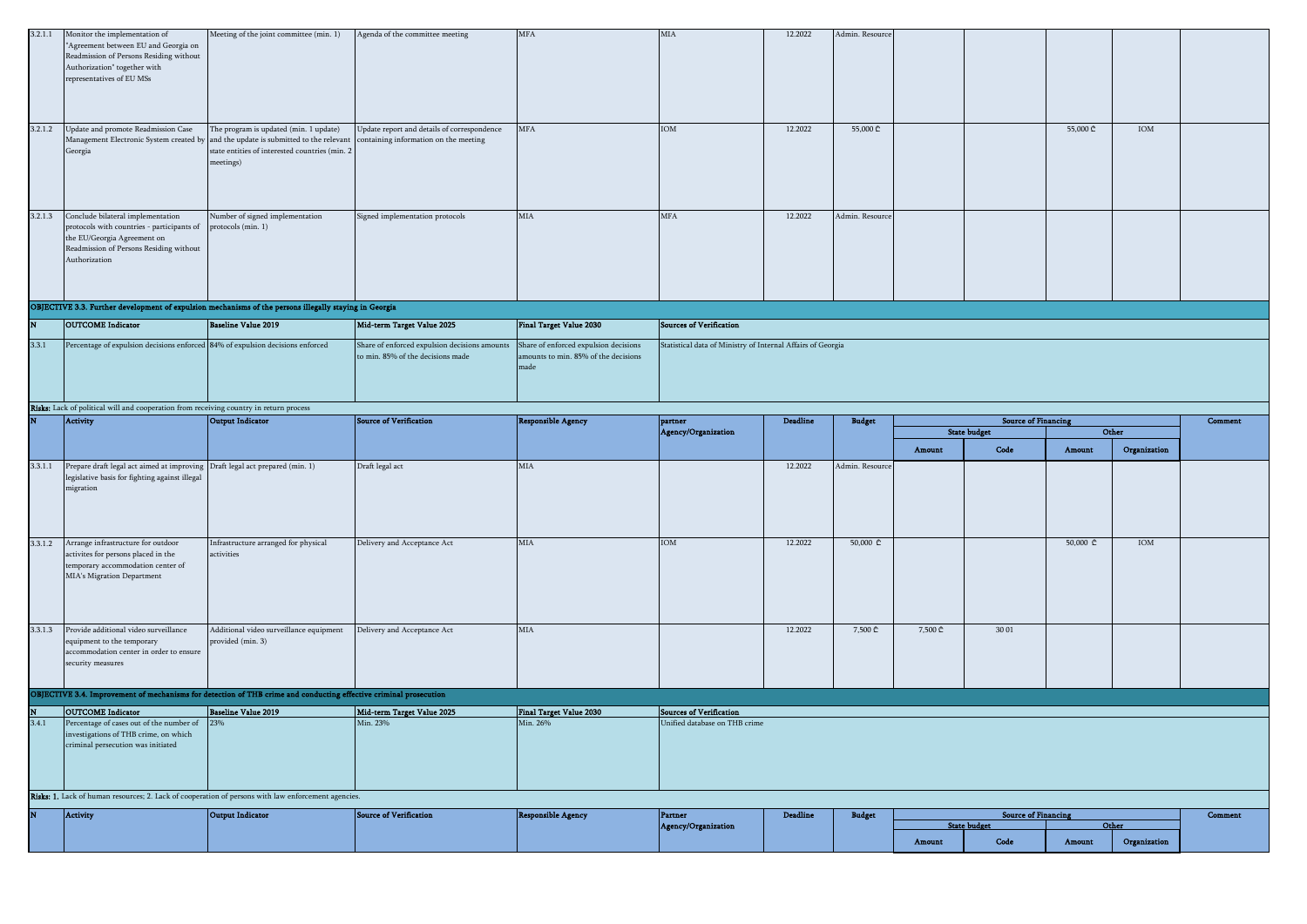|         | 3.2.1.1 Monitor the implementation of<br>"Agreement between EU and Georgia on<br>Readmission of Persons Residing without<br>Authorization" together with<br>representatives of EU MSs | Meeting of the joint committee (min. 1)                                                                                                                                                      | Agenda of the committee meeting                                                      | MFA                                                                                   | $_{\rm MIA}$                                                | 12.2022         | Admin. Resource |         |                                                   |          |              |         |
|---------|---------------------------------------------------------------------------------------------------------------------------------------------------------------------------------------|----------------------------------------------------------------------------------------------------------------------------------------------------------------------------------------------|--------------------------------------------------------------------------------------|---------------------------------------------------------------------------------------|-------------------------------------------------------------|-----------------|-----------------|---------|---------------------------------------------------|----------|--------------|---------|
| 3.2.1.2 | Update and promote Readmission Case<br>Georgia                                                                                                                                        | The program is updated (min. 1 update)<br>Management Electronic System created by and the update is submitted to the relevant<br>state entities of interested countries (min. 2<br>meetings) | Update report and details of correspondence<br>containing information on the meeting | MFA                                                                                   | IOM                                                         | 12.2022         | 55,000 ₾        |         |                                                   | 55,000 ₾ | IOM          |         |
| 3.2.1.3 | Conclude bilateral implementation<br>protocols with countries - participants of<br>the EU/Georgia Agreement on<br>Readmission of Persons Residing without<br>Authorization            | Number of signed implementation<br>protocols (min. 1)                                                                                                                                        | Signed implementation protocols                                                      | MIA                                                                                   | $_{\rm MFA}$                                                | 12.2022         | Admin. Resource |         |                                                   |          |              |         |
|         | OBJECTIVE 3.3. Further development of expulsion mechanisms of the persons illegally staying in Georgia                                                                                |                                                                                                                                                                                              |                                                                                      |                                                                                       |                                                             |                 |                 |         |                                                   |          |              |         |
|         | <b>OUTCOME</b> Indicator                                                                                                                                                              | <b>Baseline Value 2019</b>                                                                                                                                                                   | Mid-term Target Value 2025                                                           | <b>Final Target Value 2030</b>                                                        | Sources of Verification                                     |                 |                 |         |                                                   |          |              |         |
| 3.3.1   | Percentage of expulsion decisions enforced 84% of expulsion decisions enforced                                                                                                        |                                                                                                                                                                                              | Share of enforced expulsion decisions amounts<br>to min. 85% of the decisions made   | Share of enforced expulsion decisions<br>amounts to min. 85% of the decisions<br>made | Statistical data of Ministry of Internal Affairs of Georgia |                 |                 |         |                                                   |          |              |         |
|         | Risks: Lack of political will and cooperation from receiving country in return process                                                                                                |                                                                                                                                                                                              |                                                                                      |                                                                                       |                                                             |                 |                 |         |                                                   |          |              |         |
|         | <b>Activity</b>                                                                                                                                                                       | Output Indicator                                                                                                                                                                             | <b>Source of Verification</b>                                                        | <b>Responsible Agency</b>                                                             | partner<br>Agency/Organization                              | <b>Deadline</b> | <b>Budget</b>   |         | <b>Source of Financing</b><br><b>State budget</b> |          | Other        | Comment |
|         |                                                                                                                                                                                       |                                                                                                                                                                                              |                                                                                      |                                                                                       |                                                             |                 |                 |         |                                                   |          | Organization |         |
|         |                                                                                                                                                                                       |                                                                                                                                                                                              |                                                                                      |                                                                                       |                                                             |                 |                 | Amount  | Code                                              | Amount   |              |         |
| 3.3.1.1 | Prepare draft legal act aimed at improving Draft legal act prepared (min. 1)<br>legislative basis for fighting against illegal<br>migration                                           |                                                                                                                                                                                              | Draft legal act                                                                      | MIA                                                                                   |                                                             | 12.2022         | Admin. Resource |         |                                                   |          |              |         |
| 3.3.1.2 | Arrange infrastructure for outdoor<br>activites for persons placed in the<br>temporary accommodation center of<br>MIA's Migration Department                                          | Infrastructure arranged for physical<br>activities                                                                                                                                           | Delivery and Acceptance Act                                                          | MIA                                                                                   | IOM                                                         | 12.2022         | 50,000 ₾        |         |                                                   | 50,000 ₾ | IOM          |         |
| 3.3.1.3 | Provide additional video surveillance<br>equipment to the temporary<br>accommodation center in order to ensure<br>security measures                                                   | Additional video surveillance equipment<br>provided (min. 3)                                                                                                                                 | Delivery and Acceptance Act                                                          | MIA                                                                                   |                                                             | 12.2022         | 7,500 ₾         | 7,500 ₾ | 30 01                                             |          |              |         |
|         | OBJECTIVE 3.4. Improvement of mechanisms for detection of THB crime and conducting effective criminal prosecution                                                                     |                                                                                                                                                                                              |                                                                                      |                                                                                       |                                                             |                 |                 |         |                                                   |          |              |         |
|         | <b>OUTCOME</b> Indicator                                                                                                                                                              | <b>Baseline Value 2019</b>                                                                                                                                                                   | Mid-term Target Value 2025                                                           | <b>Final Target Value 2030</b>                                                        | Sources of Verification                                     |                 |                 |         |                                                   |          |              |         |
| 3.4.1   | Percentage of cases out of the number of 23%<br>investigations of THB crime, on which<br>criminal persecution was initiated                                                           |                                                                                                                                                                                              | Min. 23%                                                                             | Min. 26%                                                                              | Unified database on THB crime                               |                 |                 |         |                                                   |          |              |         |
|         | Risks: 1. Lack of human resources; 2. Lack of cooperation of persons with law enforcement agencies.                                                                                   |                                                                                                                                                                                              |                                                                                      |                                                                                       |                                                             |                 |                 |         |                                                   |          |              |         |
|         | Activity                                                                                                                                                                              | Output Indicator                                                                                                                                                                             | Source of Verification                                                               | <b>Responsible Agency</b>                                                             | Partner<br>Agency/Organization                              | Deadline        | <b>Budget</b>   |         | <b>Source of Financing</b><br><b>State budget</b> | Other    |              | Comment |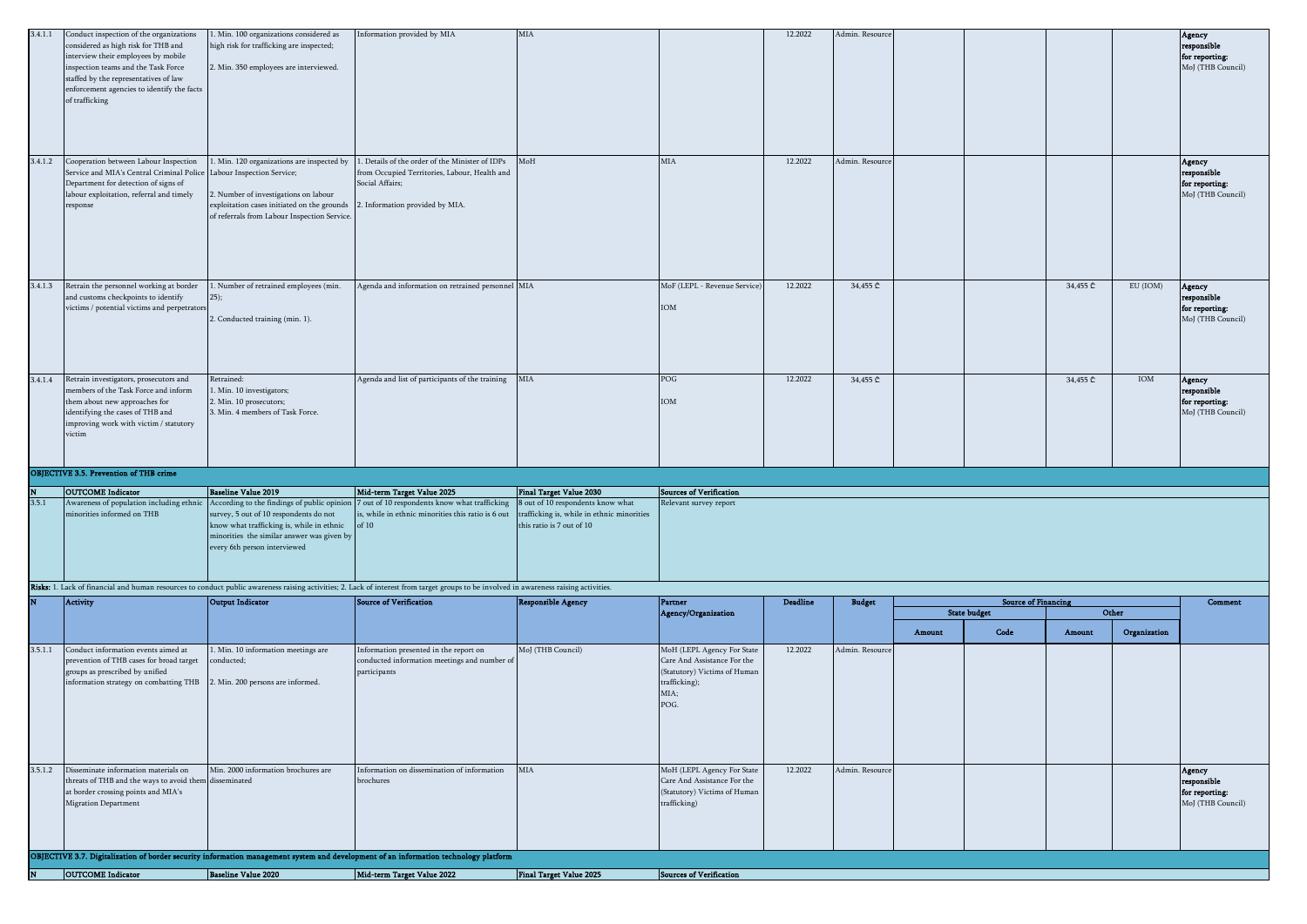| 3.4.1.1 | Conduct inspection of the organizations<br>considered as high risk for THB and<br>interview their employees by mobile<br>inspection teams and the Task Force<br>staffed by the representatives of law<br>enforcement agencies to identify the facts<br>of trafficking | 1. Min. 100 organizations considered as<br>high risk for trafficking are inspected;<br>2. Min. 350 employees are interviewed.                                                                                                                  | Information provided by MIA                                                                                                                                                                                             | $_{\rm MIA}$                                                                                                                                   |                                                                                                                            | 12.2022  | Admin. Resource |        |                            |          |              | Agency<br>responsible<br>for reporting:<br>MoJ (THB Council) |
|---------|-----------------------------------------------------------------------------------------------------------------------------------------------------------------------------------------------------------------------------------------------------------------------|------------------------------------------------------------------------------------------------------------------------------------------------------------------------------------------------------------------------------------------------|-------------------------------------------------------------------------------------------------------------------------------------------------------------------------------------------------------------------------|------------------------------------------------------------------------------------------------------------------------------------------------|----------------------------------------------------------------------------------------------------------------------------|----------|-----------------|--------|----------------------------|----------|--------------|--------------------------------------------------------------|
| 3.4.1.2 | Cooperation between Labour Inspection<br>Service and MIA's Central Criminal Police Labour Inspection Service;<br>Department for detection of signs of<br>labour exploitation, referral and timely<br>response                                                         | . Min. 120 organizations are inspected by<br>2. Number of investigations on labour<br>exploitation cases initiated on the grounds<br>of referrals from Labour Inspection Service.                                                              | Details of the order of the Minister of IDPs<br>from Occupied Territories, Labour, Health and<br>Social Affairs;<br>2. Information provided by MIA.                                                                     | MoH                                                                                                                                            | MIA                                                                                                                        | 12.2022  | Admin. Resource |        |                            |          |              | Agency<br>responsible<br>for reporting:<br>MoJ (THB Council) |
| 3.4.1.3 | Retrain the personnel working at border<br>and customs checkpoints to identify<br>victims / potential victims and perpetrators                                                                                                                                        | . Number of retrained employees (min.<br>2. Conducted training (min. 1).                                                                                                                                                                       | Agenda and information on retrained personnel MIA                                                                                                                                                                       |                                                                                                                                                | MoF (LEPL - Revenue Service)<br>$\rm IOM$                                                                                  | 12.2022  | 34,455 ₾        |        |                            | 34,455 ₾ | EU (IOM)     | Agency<br>responsible<br>for reporting:<br>MoJ (THB Council) |
| 3.4.1.4 | Retrain investigators, prosecutors and<br>members of the Task Force and inform<br>them about new approaches for<br>identifying the cases of THB and<br>improving work with victim / statutory<br>victim                                                               | Retrained:<br>. Min. 10 investigators;<br>2. Min. 10 prosecutors;<br>3. Min. 4 members of Task Force.                                                                                                                                          | Agenda and list of participants of the training                                                                                                                                                                         | MIA                                                                                                                                            | POG<br>$\rm IOM$                                                                                                           | 12.2022  | 34,455 ₾        |        |                            | 34,455 ₾ | $\rm IOM$    | Agency<br>responsible<br>for reporting:<br>MoJ (THB Council) |
|         | <b>OBJECTIVE 3.5. Prevention of THB crime</b>                                                                                                                                                                                                                         |                                                                                                                                                                                                                                                |                                                                                                                                                                                                                         |                                                                                                                                                |                                                                                                                            |          |                 |        |                            |          |              |                                                              |
| 3.5.1   | <b>OUTCOME</b> Indicator<br>Awareness of population including ethnic<br>minorities informed on THB                                                                                                                                                                    | <b>Baseline Value 2019</b><br>According to the findings of public opinion<br>survey, 5 out of 10 respondents do not<br>know what trafficking is, while in ethnic<br>minorities the similar answer was given by<br>every 6th person interviewed | Mid-term Target Value 2025<br>7 out of 10 respondents know what trafficking<br>is, while in ethnic minorities this ratio is 6 out<br>of 10                                                                              | <b>Final Target Value 2030</b><br>8 out of 10 respondents know what<br>trafficking is, while in ethnic minorities<br>this ratio is 7 out of 10 | Sources of Verification<br>Relevant survey report                                                                          |          |                 |        |                            |          |              |                                                              |
|         | Activity                                                                                                                                                                                                                                                              | Output Indicator                                                                                                                                                                                                                               | Risks: 1. Lack of financial and human resources to conduct public awareness raising activities; 2. Lack of interest from target groups to be involved in awareness raising activities.<br><b>Source of Verification</b> | <b>Responsible Agency</b>                                                                                                                      | <b>Partner</b>                                                                                                             | Deadline | <b>Budget</b>   |        | <b>Source of Financing</b> |          |              | Comment                                                      |
|         |                                                                                                                                                                                                                                                                       |                                                                                                                                                                                                                                                |                                                                                                                                                                                                                         |                                                                                                                                                | Agency/Organization                                                                                                        |          |                 |        | <b>State budget</b>        |          | Other        |                                                              |
|         |                                                                                                                                                                                                                                                                       |                                                                                                                                                                                                                                                |                                                                                                                                                                                                                         |                                                                                                                                                |                                                                                                                            |          |                 | Amount | Code                       | Amount   | Organization |                                                              |
| 3.5.1.1 | Conduct information events aimed at<br>prevention of THB cases for broad target<br>groups as prescribed by unified<br>information strategy on combatting THB                                                                                                          | 1. Min. 10 information meetings are<br>onducted;<br>2. Min. 200 persons are informed.                                                                                                                                                          | Information presented in the report on<br>conducted information meetings and number of<br>participants                                                                                                                  | MoJ (THB Council)                                                                                                                              | MoH (LEPL Agency For State<br>Care And Assistance For the<br>(Statutory) Victims of Human<br>trafficking);<br>MIA;<br>POG. | 12.2022  | Admin. Resource |        |                            |          |              |                                                              |
| 3.5.1.2 | Disseminate information materials on<br>threats of THB and the ways to avoid them disseminated<br>at border crossing points and MIA's<br><b>Migration Department</b>                                                                                                  | Min. 2000 information brochures are                                                                                                                                                                                                            | Information on dissemination of information<br>brochures                                                                                                                                                                | $_{\rm MIA}$                                                                                                                                   | MoH (LEPL Agency For State<br>Care And Assistance For the<br>(Statutory) Victims of Human<br>trafficking)                  | 12.2022  | Admin. Resource |        |                            |          |              | Agency<br>responsible<br>for reporting:<br>MoJ (THB Council) |
|         |                                                                                                                                                                                                                                                                       |                                                                                                                                                                                                                                                | OBJECTIVE 3.7. Digitalization of border security information management system and development of an information technology platform                                                                                    |                                                                                                                                                |                                                                                                                            |          |                 |        |                            |          |              |                                                              |
|         | <b>OUTCOME</b> Indicator                                                                                                                                                                                                                                              | <b>Baseline Value 2020</b>                                                                                                                                                                                                                     | Mid-term Target Value 2022                                                                                                                                                                                              | Final Target Value 2025                                                                                                                        | <b>Sources of Verification</b>                                                                                             |          |                 |        |                            |          |              |                                                              |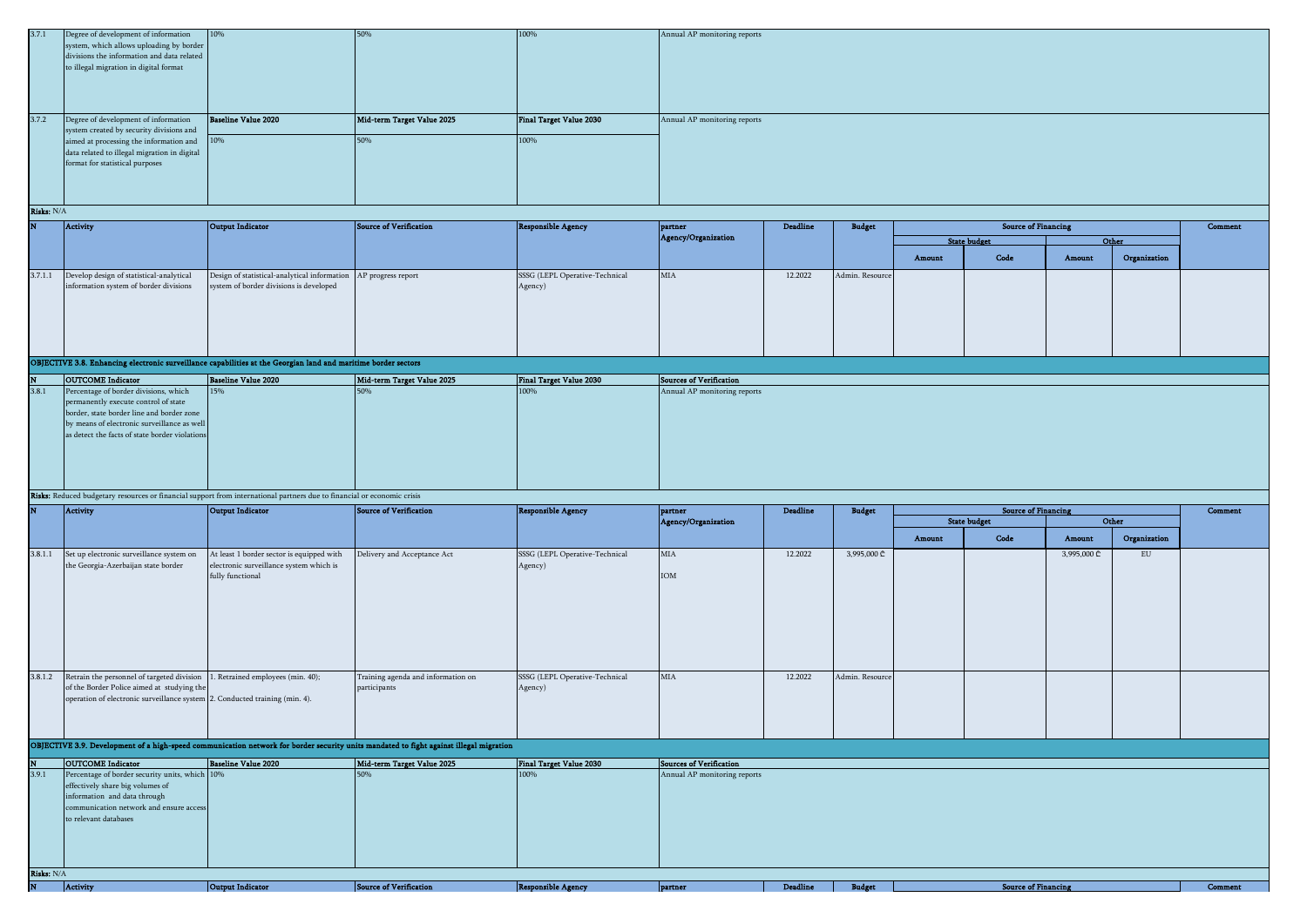| 3.7.1 | Degree of development of information<br>system, which allows uploading by border            | 10%                        | <b>50%</b>                 | 100%                    | Annual AP monitoring reports |
|-------|---------------------------------------------------------------------------------------------|----------------------------|----------------------------|-------------------------|------------------------------|
|       | divisions the information and data related                                                  |                            |                            |                         |                              |
|       | to illegal migration in digital format                                                      |                            |                            |                         |                              |
|       |                                                                                             |                            |                            |                         |                              |
|       |                                                                                             |                            |                            |                         |                              |
|       |                                                                                             |                            |                            |                         |                              |
| 3.7.2 | Degree of development of information                                                        | <b>Baseline Value 2020</b> | Mid-term Target Value 2025 | Final Target Value 2030 | Annual AP monitoring reports |
|       | system created by security divisions and                                                    |                            |                            |                         |                              |
|       |                                                                                             |                            |                            |                         |                              |
|       |                                                                                             |                            | 50%                        | 100%                    |                              |
|       | aimed at processing the information and 10%<br>data related to illegal migration in digital |                            |                            |                         |                              |
|       | format for statistical purposes                                                             |                            |                            |                         |                              |
|       |                                                                                             |                            |                            |                         |                              |
|       |                                                                                             |                            |                            |                         |                              |
|       |                                                                                             |                            |                            |                         |                              |

| N | Activity                                         | Output Indicator                                                | Source of Verification | Responsible Agency             | partner             | Deadline | <b>Budget</b>   |        | <b>Source of Financing</b> |        |              | Comment |
|---|--------------------------------------------------|-----------------------------------------------------------------|------------------------|--------------------------------|---------------------|----------|-----------------|--------|----------------------------|--------|--------------|---------|
|   |                                                  |                                                                 |                        |                                | Agency/Organization |          |                 |        | <b>State budget</b>        |        | Other        |         |
|   |                                                  |                                                                 |                        |                                |                     |          |                 | Amount | Code                       | Amount | Organization |         |
|   | 3.7.1.1 Develop design of statistical-analytical | Design of statistical-analytical information AP progress report |                        | SSSG (LEPL Operative-Technical | <b>MIA</b>          | 12.2022  | Admin. Resource |        |                            |        |              |         |
|   | information system of border divisions           | system of border divisions is developed                         |                        | Agency)                        |                     |          |                 |        |                            |        |              |         |
|   |                                                  |                                                                 |                        |                                |                     |          |                 |        |                            |        |              |         |
|   |                                                  |                                                                 |                        |                                |                     |          |                 |        |                            |        |              |         |
|   |                                                  |                                                                 |                        |                                |                     |          |                 |        |                            |        |              |         |
|   |                                                  |                                                                 |                        |                                |                     |          |                 |        |                            |        |              |         |
|   |                                                  |                                                                 |                        |                                |                     |          |                 |        |                            |        |              |         |

OBJECTIVE 3.8. Enhancing electronic surveillance capabilities at the Georgian land and maritime border sectors

| N     | <b>OUTCOME</b> Indicator                       | <b>Baseline Value 2020</b> | Mid-term Target Value 2025 | Final Target Value 2030 | Sources of Verification      |
|-------|------------------------------------------------|----------------------------|----------------------------|-------------------------|------------------------------|
| 3.8.1 | Percentage of border divisions, which          | 15%                        | 50%                        | 100%                    | Annual AP monitoring reports |
|       | permanently execute control of state           |                            |                            |                         |                              |
|       | border, state border line and border zone      |                            |                            |                         |                              |
|       | by means of electronic surveillance as well    |                            |                            |                         |                              |
|       | as detect the facts of state border violations |                            |                            |                         |                              |
|       |                                                |                            |                            |                         |                              |
|       |                                                |                            |                            |                         |                              |
|       |                                                |                            |                            |                         |                              |
|       |                                                |                            |                            |                         |                              |
|       |                                                |                            |                            |                         |                              |

Risks: Reduced budgetary resources or financial support from international partners due to financial or economic crisis

| N       | Activity                                                                                                                                                                                                  | Output Indicator                                                                                         | Source of Verification                                                                                                                 | <b>Responsible Agency</b>                 | partner                      | <b>Deadline</b> | <b>Budget</b>   |        | <b>Source of Financing</b> |             |              | Comment |
|---------|-----------------------------------------------------------------------------------------------------------------------------------------------------------------------------------------------------------|----------------------------------------------------------------------------------------------------------|----------------------------------------------------------------------------------------------------------------------------------------|-------------------------------------------|------------------------------|-----------------|-----------------|--------|----------------------------|-------------|--------------|---------|
|         |                                                                                                                                                                                                           |                                                                                                          |                                                                                                                                        |                                           | Agency/Organization          |                 |                 |        | <b>State budget</b>        |             | Other        |         |
|         |                                                                                                                                                                                                           |                                                                                                          |                                                                                                                                        |                                           |                              |                 |                 | Amount | Code                       | Amount      | Organization |         |
| 3.8.1.1 | Set up electronic surveillance system on<br>the Georgia-Azerbaijan state border                                                                                                                           | At least 1 border sector is equipped with<br>electronic surveillance system which is<br>fully functional | Delivery and Acceptance Act                                                                                                            | SSSG (LEPL Operative-Technical<br>Agency) | $_{\rm MIA}$<br>IOM          | 12.2022         | 3,995,000 ₾     |        |                            | 3,995,000 ₾ | ${\rm EU}$   |         |
| 3.8.1.2 | Retrain the personnel of targeted division 1. Retrained employees (min. 40);<br>of the Border Police aimed at studying the<br>operation of electronic surveillance system 2. Conducted training (min. 4). |                                                                                                          | Training agenda and information on<br>participants                                                                                     | SSSG (LEPL Operative-Technical<br>Agency) | <b>MIA</b>                   | 12.2022         | Admin. Resource |        |                            |             |              |         |
|         |                                                                                                                                                                                                           |                                                                                                          | OBJECTIVE 3.9. Development of a high-speed communication network for border security units mandated to fight against illegal migration |                                           |                              |                 |                 |        |                            |             |              |         |
| N       | <b>OUTCOME</b> Indicator                                                                                                                                                                                  | <b>Baseline Value 2020</b>                                                                               | Mid-term Target Value 2025                                                                                                             | <b>Final Target Value 2030</b>            | Sources of Verification      |                 |                 |        |                            |             |              |         |
| 3.9.1   | Percentage of border security units, which 10%<br>effectively share big volumes of<br>information and data through<br>communication network and ensure access<br>to relevant databases                    |                                                                                                          | 50%                                                                                                                                    | 100%                                      | Annual AP monitoring reports |                 |                 |        |                            |             |              |         |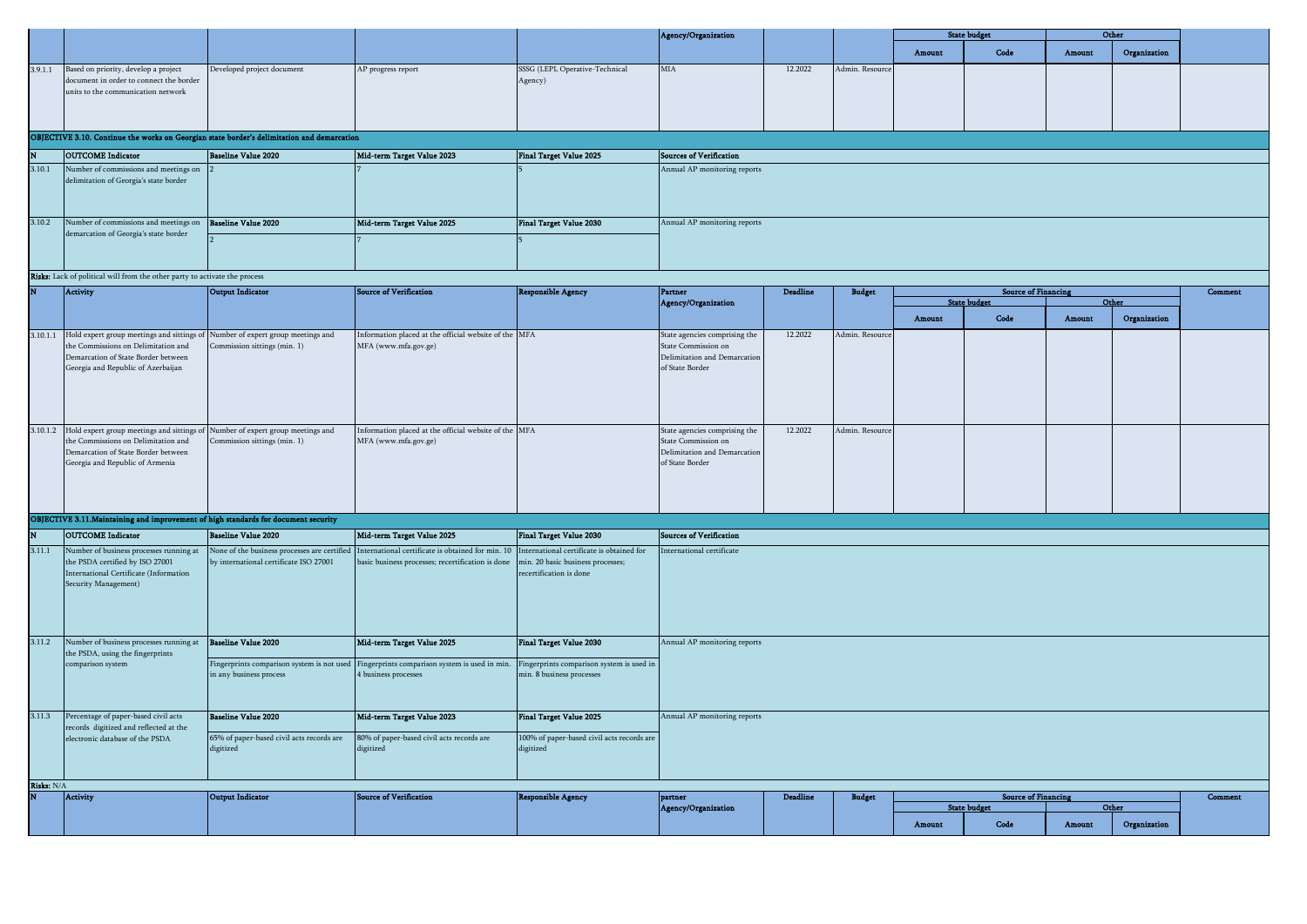|            |                                                                                                                                                                                                          |                                                                                        |                                                                                                        |                                                                        | Agency/Organization                                                                                     |                 |                 |        | <b>State budget</b>                               |        | Other        |         |
|------------|----------------------------------------------------------------------------------------------------------------------------------------------------------------------------------------------------------|----------------------------------------------------------------------------------------|--------------------------------------------------------------------------------------------------------|------------------------------------------------------------------------|---------------------------------------------------------------------------------------------------------|-----------------|-----------------|--------|---------------------------------------------------|--------|--------------|---------|
|            |                                                                                                                                                                                                          |                                                                                        |                                                                                                        |                                                                        |                                                                                                         |                 |                 | Amount | Code                                              | Amount | Organization |         |
| 3.9.1.1    | Based on priority, develop a project<br>document in order to connect the border<br>units to the communication network                                                                                    | Developed project document                                                             | AP progress report                                                                                     | SSSG (LEPL Operative-Technical<br>Agency)                              | MIA                                                                                                     | 12.2022         | Admin. Resource |        |                                                   |        |              |         |
|            | OBJECTIVE 3.10. Continue the works on Georgian state border's delimitation and demarcation                                                                                                               |                                                                                        |                                                                                                        |                                                                        |                                                                                                         |                 |                 |        |                                                   |        |              |         |
|            | <b>OUTCOME</b> Indicator                                                                                                                                                                                 | <b>Baseline Value 2020</b>                                                             | Mid-term Target Value 2023                                                                             | Final Target Value 2025                                                | <b>Sources of Verification</b>                                                                          |                 |                 |        |                                                   |        |              |         |
| 3.10.1     | Number of commissions and meetings on                                                                                                                                                                    |                                                                                        |                                                                                                        |                                                                        | Annual AP monitoring reports                                                                            |                 |                 |        |                                                   |        |              |         |
|            | delimitation of Georgia's state border                                                                                                                                                                   |                                                                                        |                                                                                                        |                                                                        |                                                                                                         |                 |                 |        |                                                   |        |              |         |
| 3.10.2     | Number of commissions and meetings on                                                                                                                                                                    | <b>Baseline Value 2020</b>                                                             | Mid-term Target Value 2025                                                                             | Final Target Value 2030                                                | Annual AP monitoring reports                                                                            |                 |                 |        |                                                   |        |              |         |
|            | demarcation of Georgia's state border<br>Risks: Lack of political will from the other party to activate the process                                                                                      |                                                                                        |                                                                                                        |                                                                        |                                                                                                         |                 |                 |        |                                                   |        |              |         |
|            |                                                                                                                                                                                                          |                                                                                        |                                                                                                        |                                                                        |                                                                                                         |                 |                 |        |                                                   |        |              |         |
|            | <b>Activity</b>                                                                                                                                                                                          | <b>Output Indicator</b>                                                                | <b>Source of Verification</b>                                                                          | <b>Responsible Agency</b>                                              | Partner<br>Agency/Organization                                                                          | Deadline        | <b>Budget</b>   |        | <b>Source of Financing</b><br><b>State budget</b> |        | Other        | Comment |
|            |                                                                                                                                                                                                          |                                                                                        |                                                                                                        |                                                                        |                                                                                                         |                 |                 | Amount | Code                                              | Amount | Organization |         |
|            | 3.10.1.1 Hold expert group meetings and sittings of Number of expert group meetings and<br>the Commissions on Delimitation and<br>Demarcation of State Border between                                    | Commission sittings (min. 1)                                                           | Information placed at the official website of the MFA<br>MFA (www.mfa.gov.ge)                          |                                                                        | State agencies comprising the<br>State Commission on<br>Delimitation and Demarcation                    | 12.2022         | Admin. Resource |        |                                                   |        |              |         |
|            | Georgia and Republic of Azerbaijan                                                                                                                                                                       |                                                                                        |                                                                                                        |                                                                        | of State Border                                                                                         |                 |                 |        |                                                   |        |              |         |
|            | 3.10.1.2 Hold expert group meetings and sittings of Number of expert group meetings and<br>the Commissions on Delimitation and<br>Demarcation of State Border between<br>Georgia and Republic of Armenia | Commission sittings (min. 1)                                                           | Information placed at the official website of the MFA<br>MFA (www.mfa.gov.ge)                          |                                                                        | State agencies comprising the<br>State Commission on<br>Delimitation and Demarcation<br>of State Border | 12.2022         | Admin. Resource |        |                                                   |        |              |         |
|            | OBJECTIVE 3.11. Maintaining and improvement of high standards for document security                                                                                                                      |                                                                                        |                                                                                                        |                                                                        |                                                                                                         |                 |                 |        |                                                   |        |              |         |
|            | <b>OUTCOME</b> Indicator                                                                                                                                                                                 | <b>Baseline Value 2020</b>                                                             | Mid-term Target Value 2025                                                                             | Final Target Value 2030                                                | <b>Sources of Verification</b>                                                                          |                 |                 |        |                                                   |        |              |         |
| 3.11.1     | Number of business processes running at                                                                                                                                                                  |                                                                                        |                                                                                                        | nternational certificate is obtained for                               | nternational certificate                                                                                |                 |                 |        |                                                   |        |              |         |
|            | the PSDA certified by ISO 27001<br>International Certificate (Information<br>Security Management)                                                                                                        | None of the business processes are certified<br>by international certificate ISO 27001 | International certificate is obtained for min. 10<br>pasic business processes; recertification is done | min. 20 basic business processes;<br>ecertification is done            |                                                                                                         |                 |                 |        |                                                   |        |              |         |
| 3.11.2     | Number of business processes running at                                                                                                                                                                  | <b>Baseline Value 2020</b>                                                             | Mid-term Target Value 2025                                                                             | <b>Final Target Value 2030</b>                                         | Annual AP monitoring reports                                                                            |                 |                 |        |                                                   |        |              |         |
|            | the PSDA, using the fingerprints<br>comparison system                                                                                                                                                    | Fingerprints comparison system is not used<br>in any business process                  | Fingerprints comparison system is used in min.<br><b>I</b> business processes                          | Fingerprints comparison system is used in<br>min. 8 business processes |                                                                                                         |                 |                 |        |                                                   |        |              |         |
|            | 3.11.3 Percentage of paper-based civil acts                                                                                                                                                              | <b>Baseline Value 2020</b>                                                             | Mid-term Target Value 2023                                                                             | Final Target Value 2025                                                | Annual AP monitoring reports                                                                            |                 |                 |        |                                                   |        |              |         |
|            | records digitized and reflected at the<br>electronic database of the PSDA                                                                                                                                | 65% of paper-based civil acts records are<br>digitized                                 | 80% of paper-based civil acts records are<br>digitized                                                 | 100% of paper-based civil acts records are<br>digitized                |                                                                                                         |                 |                 |        |                                                   |        |              |         |
| Risks: N/A | <b>Activity</b>                                                                                                                                                                                          | Output Indicator                                                                       | <b>Source of Verification</b>                                                                          | <b>Responsible Agency</b>                                              | partner                                                                                                 | <b>Deadline</b> | <b>Budget</b>   |        | <b>Source of Financing</b>                        |        |              | Comment |
|            |                                                                                                                                                                                                          |                                                                                        |                                                                                                        |                                                                        | Agency/Organization                                                                                     |                 |                 |        | <b>State budget</b>                               |        | Other        |         |
|            |                                                                                                                                                                                                          |                                                                                        |                                                                                                        |                                                                        |                                                                                                         |                 |                 | Amount | Code                                              | Amount | Organization |         |
|            |                                                                                                                                                                                                          |                                                                                        |                                                                                                        |                                                                        |                                                                                                         |                 |                 |        |                                                   |        |              |         |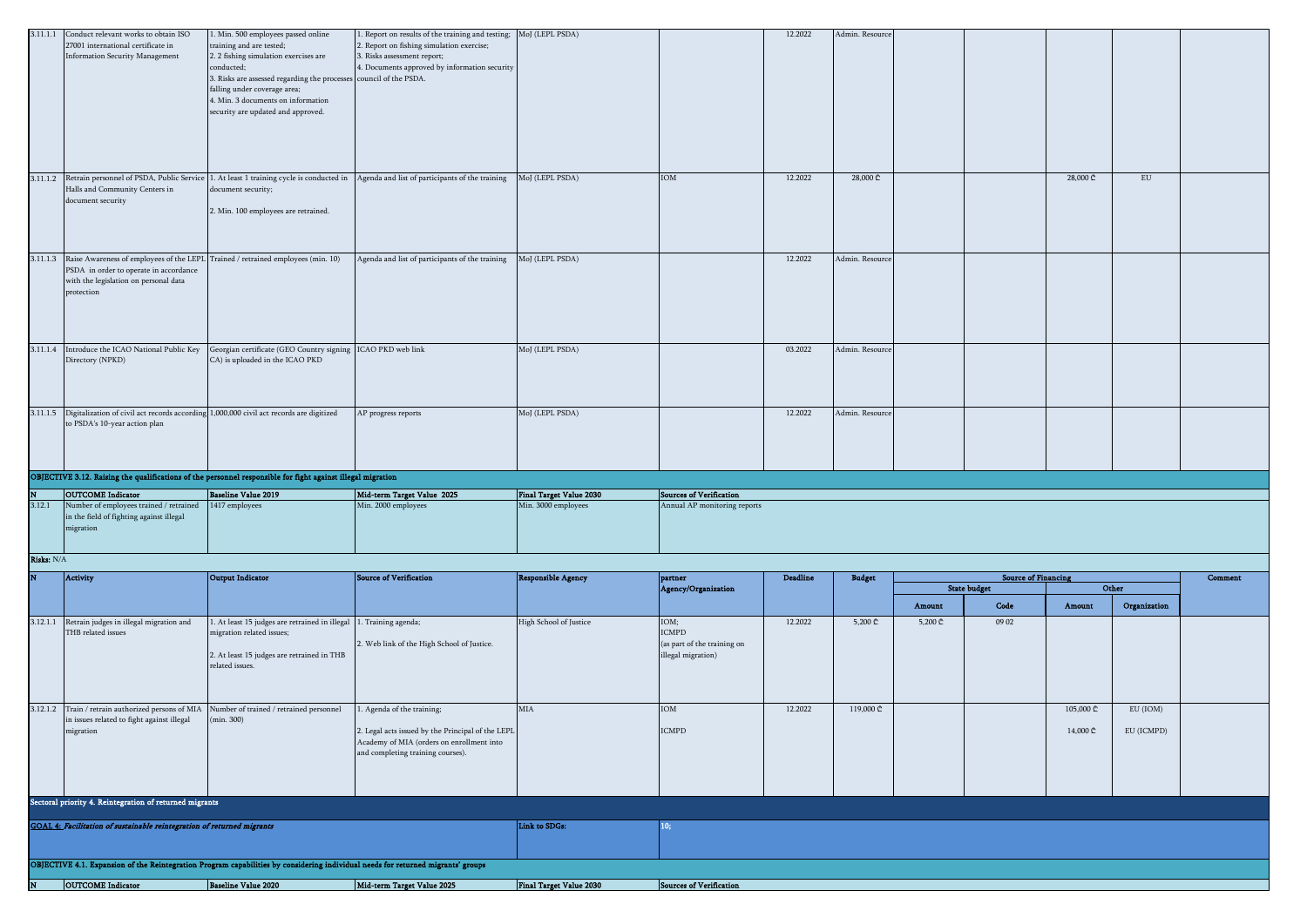|            | 3.11.1.1 Conduct relevant works to obtain ISO<br>27001 international certificate in<br><b>Information Security Management</b>                                                              | 1. Min. 500 employees passed online<br>training and are tested;<br>2. 2 fishing simulation exercises are<br>conducted;<br>3. Risks are assessed regarding the processes council of the PSDA.<br>falling under coverage area;<br>4. Min. 3 documents on information<br>security are updated and approved. | Report on results of the training and testing; MoJ (LEPL PSDA)<br>2. Report on fishing simulation exercise;<br>3. Risks assessment report;<br>4. Documents approved by information security |                                |                                                                           | 12.2022         | Admin. Resource |         |                                                   |           |              |         |
|------------|--------------------------------------------------------------------------------------------------------------------------------------------------------------------------------------------|----------------------------------------------------------------------------------------------------------------------------------------------------------------------------------------------------------------------------------------------------------------------------------------------------------|---------------------------------------------------------------------------------------------------------------------------------------------------------------------------------------------|--------------------------------|---------------------------------------------------------------------------|-----------------|-----------------|---------|---------------------------------------------------|-----------|--------------|---------|
|            | Halls and Community Centers in<br>document security                                                                                                                                        | 3.11.1.2 Retrain personnel of PSDA, Public Service 1. At least 1 training cycle is conducted in<br>document security;<br>2. Min. 100 employees are retrained.                                                                                                                                            | Agenda and list of participants of the training                                                                                                                                             | MoJ (LEPL PSDA)                | IOM                                                                       | 12.2022         | 28,000 ₾        |         |                                                   | 28,000 ₾  | ${\rm EU}$   |         |
|            | 3.11.1.3 Raise Awareness of employees of the LEPL Trained / retrained employees (min. 10)<br>PSDA in order to operate in accordance<br>with the legislation on personal data<br>protection |                                                                                                                                                                                                                                                                                                          | Agenda and list of participants of the training                                                                                                                                             | MoJ (LEPL PSDA)                |                                                                           | 12.2022         | Admin. Resourc  |         |                                                   |           |              |         |
|            | 3.11.1.4 Introduce the ICAO National Public Key<br>Directory (NPKD)                                                                                                                        | Georgian certificate (GEO Country signing ICAO PKD web link<br>CA) is uploaded in the ICAO PKD                                                                                                                                                                                                           |                                                                                                                                                                                             | MoJ (LEPL PSDA)                |                                                                           | 03.2022         | Admin. Resource |         |                                                   |           |              |         |
|            | 3.11.1.5 Digitalization of civil act records according 1,000,000 civil act records are digitized<br>to PSDA's 10-year action plan                                                          |                                                                                                                                                                                                                                                                                                          | AP progress reports                                                                                                                                                                         | MoJ (LEPL PSDA)                |                                                                           | 12.2022         | Admin. Resourc  |         |                                                   |           |              |         |
|            |                                                                                                                                                                                            | OBJECTIVE 3.12. Raising the qualifications of the personnel responsible for fight against illegal migration                                                                                                                                                                                              |                                                                                                                                                                                             |                                |                                                                           |                 |                 |         |                                                   |           |              |         |
|            | <b>OUTCOME</b> Indicator                                                                                                                                                                   | <b>Baseline Value 2019</b>                                                                                                                                                                                                                                                                               | Mid-term Target Value 2025                                                                                                                                                                  | <b>Final Target Value 2030</b> | <b>Sources of Verification</b>                                            |                 |                 |         |                                                   |           |              |         |
| 3.12.1     | Number of employees trained / retrained<br>in the field of fighting against illegal<br>migration                                                                                           | 1417 employees                                                                                                                                                                                                                                                                                           | Min. 2000 employees                                                                                                                                                                         | Min. 3000 employees            | Annual AP monitoring reports                                              |                 |                 |         |                                                   |           |              |         |
| Risks: N/A |                                                                                                                                                                                            |                                                                                                                                                                                                                                                                                                          |                                                                                                                                                                                             |                                |                                                                           |                 |                 |         |                                                   |           |              |         |
|            | Activity                                                                                                                                                                                   | Output Indicator                                                                                                                                                                                                                                                                                         | <b>Source of Verification</b>                                                                                                                                                               | <b>Responsible Agency</b>      | partner<br>Agency/Organization                                            | <b>Deadline</b> | <b>Budget</b>   |         | <b>Source of Financing</b><br><b>State budget</b> |           | Other        | Comment |
|            |                                                                                                                                                                                            |                                                                                                                                                                                                                                                                                                          |                                                                                                                                                                                             |                                |                                                                           |                 |                 | Amount  | Code                                              | Amount    | Organization |         |
|            | 3.12.1.1 Retrain judges in illegal migration and<br>THB related issues                                                                                                                     | 1. At least 15 judges are retrained in illegal                                                                                                                                                                                                                                                           | . Training agenda;                                                                                                                                                                          | High School of Justice         |                                                                           |                 |                 |         |                                                   |           |              |         |
|            |                                                                                                                                                                                            | migration related issues;<br>2. At least 15 judges are retrained in THB<br>related issues.                                                                                                                                                                                                               | 2. Web link of the High School of Justice.                                                                                                                                                  |                                | IOM;<br><b>ICMPD</b><br>(as part of the training on<br>illegal migration) | 12.2022         | 5,200 ₾         | 5,200 ₾ | 09 02                                             |           |              |         |
|            | 3.12.1.2 Train / retrain authorized persons of MIA Number of trained / retrained personnel                                                                                                 |                                                                                                                                                                                                                                                                                                          | Agenda of the training;                                                                                                                                                                     | MIA                            | IOM                                                                       | 12.2022         | 119,000 ₾       |         |                                                   | 105,000 ₾ | EU (IOM)     |         |
|            | in issues related to fight against illegal<br>migration                                                                                                                                    | (min. 300)                                                                                                                                                                                                                                                                                               | 2. Legal acts issued by the Principal of the LEPL<br>Academy of MIA (orders on enrollment into<br>and completing training courses).                                                         |                                | <b>ICMPD</b>                                                              |                 |                 |         |                                                   | 14,000 ₾  | EU (ICMPD)   |         |
|            | Sectoral priority 4. Reintegration of returned migrants                                                                                                                                    |                                                                                                                                                                                                                                                                                                          |                                                                                                                                                                                             |                                |                                                                           |                 |                 |         |                                                   |           |              |         |
|            | GOAL 4: Facilitation of sustainable reintegration of returned migrants                                                                                                                     |                                                                                                                                                                                                                                                                                                          |                                                                                                                                                                                             | Link to SDGs:                  | 10;                                                                       |                 |                 |         |                                                   |           |              |         |
|            |                                                                                                                                                                                            | OBJECTIVE 4.1. Expansion of the Reintegration Program capabilities by considering individual needs for returned migrants' groups                                                                                                                                                                         |                                                                                                                                                                                             |                                |                                                                           |                 |                 |         |                                                   |           |              |         |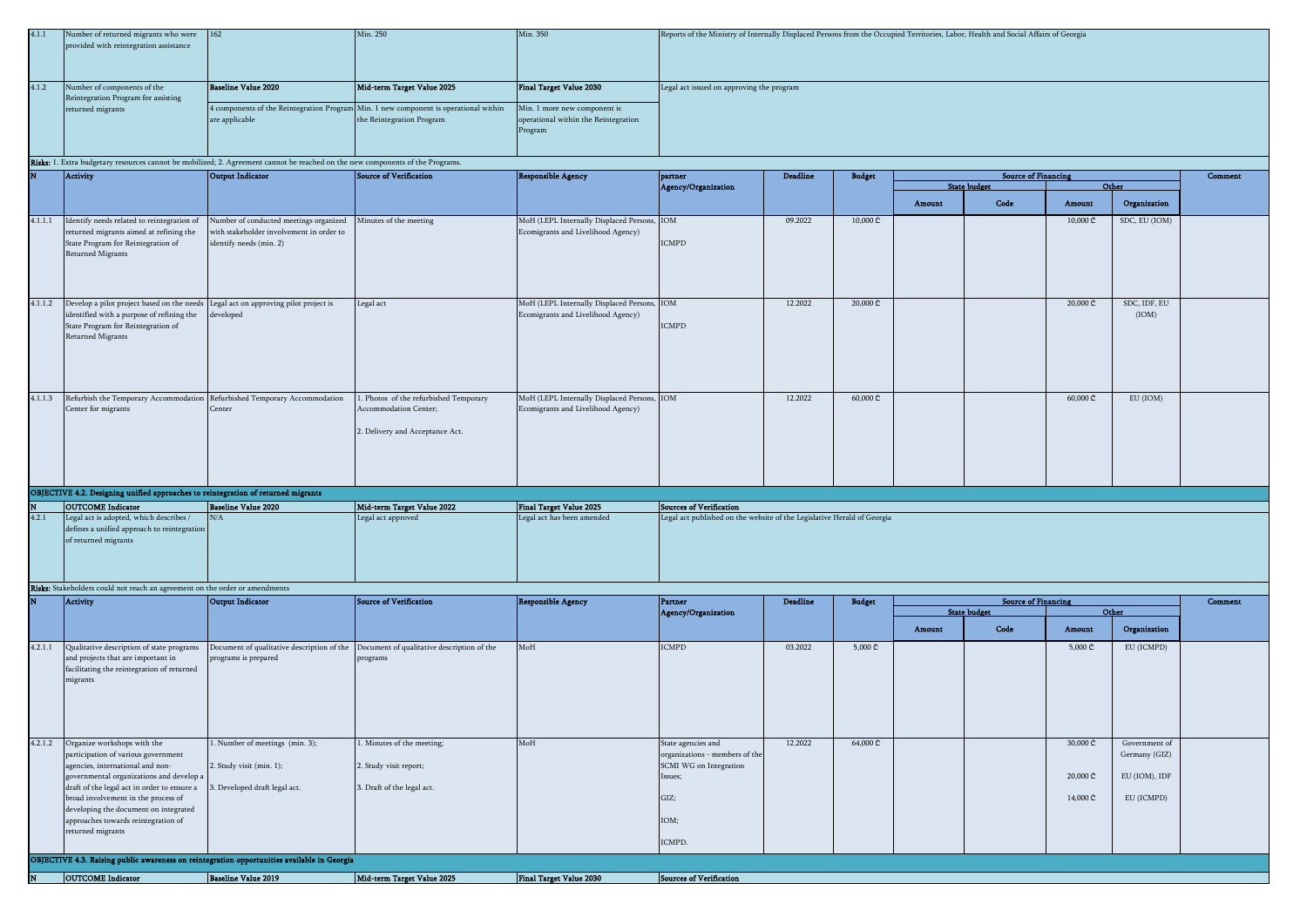| 4.1.1   | Number of returned migrants who were<br>provided with reintegration assistance                                                                     | $ 162\rangle$                                                                                                 | Min. 250                                                                                                          | Min. 350                                                                          | Reports of the Ministry of Internally Displaced Persons from the Occupied Territories, Labor, Health and Social Affairs of Georgia |                 |                |        |                                                   |                              |                       |         |
|---------|----------------------------------------------------------------------------------------------------------------------------------------------------|---------------------------------------------------------------------------------------------------------------|-------------------------------------------------------------------------------------------------------------------|-----------------------------------------------------------------------------------|------------------------------------------------------------------------------------------------------------------------------------|-----------------|----------------|--------|---------------------------------------------------|------------------------------|-----------------------|---------|
| 4.1.2   | Number of components of the<br>Reintegration Program for assisting                                                                                 | <b>Baseline Value 2020</b>                                                                                    | Mid-term Target Value 2025                                                                                        | <b>Final Target Value 2030</b>                                                    | Legal act issued on approving the program                                                                                          |                 |                |        |                                                   |                              |                       |         |
|         | returned migrants                                                                                                                                  | are applicable                                                                                                | 4 components of the Reintegration Program Min. 1 new component is operational within<br>the Reintegration Program | Min. 1 more new component is<br>operational within the Reintegration<br>Program   |                                                                                                                                    |                 |                |        |                                                   |                              |                       |         |
|         | Risks: 1. Extra budgetary resources cannot be mobilized; 2. Agreement cannot be reached on the new components of the Programs.                     |                                                                                                               |                                                                                                                   |                                                                                   |                                                                                                                                    | <b>Deadline</b> |                |        |                                                   |                              |                       |         |
|         | <b>Activity</b>                                                                                                                                    | Output Indicator                                                                                              | <b>Source of Verification</b>                                                                                     | <b>Responsible Agency</b>                                                         | partner<br>Agency/Organization                                                                                                     |                 | <b>Budget</b>  |        | <b>Source of Financing</b><br><b>State budget</b> |                              | Other                 | Comment |
|         |                                                                                                                                                    |                                                                                                               |                                                                                                                   |                                                                                   |                                                                                                                                    |                 |                | Amount | Code                                              | Amount                       | Organization          |         |
| 4.1.1.1 | Identify needs related to reintegration of<br>returned migrants aimed at refining the<br>State Program for Reintegration of<br>Returned Migrants   | Number of conducted meetings organized<br>with stakeholder involvement in order to<br>identify needs (min. 2) | Minutes of the meeting                                                                                            | MoH (LEPL Internally Displaced Persons, IOM<br>Ecomigrants and Livelihood Agency) | <b>ICMPD</b>                                                                                                                       | 09.2022         | 10,000 ₾       |        |                                                   | 10,000 ₾                     | SDC, EU (IOM)         |         |
| 4.1.1.2 | Develop a pilot project based on the needs<br>identified with a purpose of refining the<br>State Program for Reintegration of<br>Returned Migrants | Legal act on approving pilot project is<br>developed                                                          | Legal act                                                                                                         | MoH (LEPL Internally Displaced Persons, IOM<br>Ecomigrants and Livelihood Agency) | <b>ICMPD</b>                                                                                                                       | 12.2022         | 20,000 ₾       |        |                                                   | 20,000 ₾                     | SDC, IDF, EU<br>(IOM) |         |
| 4.1.1.3 | Refurbish the Temporary Accommodation Refurbished Temporary Accommodation<br>Center for migrants                                                   | Center                                                                                                        | . Photos of the refurbished Temporary<br>Accommodation Center;<br>2. Delivery and Acceptance Act.                 | MoH (LEPL Internally Displaced Persons, IOM<br>Ecomigrants and Livelihood Agency) |                                                                                                                                    | 12.2022         | 60,000 ₾       |        |                                                   | $60,000 \text{ } \mathbb{C}$ | EU (IOM)              |         |
|         | OBJECTIVE 4.2. Designing unified approaches to reintegration of returned migrants                                                                  |                                                                                                               |                                                                                                                   |                                                                                   |                                                                                                                                    |                 |                |        |                                                   |                              |                       |         |
| 4.2.1   | <b>OUTCOME</b> Indicator<br>Legal act is adopted, which describes /                                                                                | <b>Baseline Value 2020</b><br>N/A                                                                             | Mid-term Target Value 2022<br>Legal act approved                                                                  | <b>Final Target Value 2025</b><br>Legal act has been amended                      | <b>Sources of Verification</b><br>Legal act published on the website of the Legislative Herald of Georgia                          |                 |                |        |                                                   |                              |                       |         |
|         | defines a unified approach to reintegration<br>of returned migrants                                                                                |                                                                                                               |                                                                                                                   |                                                                                   |                                                                                                                                    |                 |                |        |                                                   |                              |                       |         |
|         | Risks: Stakeholders could not reach an agreement on the order or amendments                                                                        |                                                                                                               |                                                                                                                   |                                                                                   |                                                                                                                                    |                 |                |        |                                                   |                              |                       |         |
|         | Activity                                                                                                                                           | Output Indicator                                                                                              | <b>Source of Verification</b>                                                                                     | <b>Responsible Agency</b>                                                         | <b>Partner</b>                                                                                                                     | Deadline        | <b>Budget</b>  |        | <b>Source of Financing</b><br><b>State budget</b> |                              | Other                 | Comment |
|         |                                                                                                                                                    |                                                                                                               |                                                                                                                   |                                                                                   | Agency/Organization                                                                                                                |                 |                | Amount | Code                                              | Amount                       | Organization          |         |
| 4.2.1.1 | Qualitative description of state programs<br>and projects that are important in<br>facilitating the reintegration of returned<br>migrants          | Document of qualitative description of the Document of qualitative description of the<br>programs is prepared | programs                                                                                                          | MoH                                                                               | <b>ICMPD</b>                                                                                                                       | 03.2022         | $5,000 \oplus$ |        |                                                   | $5,000 \subset$              | EU (ICMPD)            |         |
| 4.2.1.2 | Organize workshops with the                                                                                                                        | 1. Number of meetings (min. 3);                                                                               | . Minutes of the meeting;                                                                                         | MoH                                                                               | State agencies and                                                                                                                 | 12.2022         | 64,000 ₾       |        |                                                   | 30,000 ₾                     | Government of         |         |
|         | participation of various government<br>agencies, international and non-                                                                            | 2. Study visit (min. 1);                                                                                      | 2. Study visit report;                                                                                            |                                                                                   | organizations - members of the<br>SCMI WG on Integration                                                                           |                 |                |        |                                                   |                              | Germany (GIZ)         |         |
|         | governmental organizations and develop a<br>draft of the legal act in order to ensure a                                                            | 3. Developed draft legal act.                                                                                 | 3. Draft of the legal act.                                                                                        |                                                                                   | Issues;                                                                                                                            |                 |                |        |                                                   | 20,000 ₾                     | EU (IOM), IDF         |         |
|         | broad involvement in the process of                                                                                                                |                                                                                                               |                                                                                                                   |                                                                                   | GIZ;                                                                                                                               |                 |                |        |                                                   | 14,000 ₾                     | EU (ICMPD)            |         |
|         | developing the document on integrated<br>approaches towards reintegration of                                                                       |                                                                                                               |                                                                                                                   |                                                                                   | IOM;                                                                                                                               |                 |                |        |                                                   |                              |                       |         |
|         | returned migrants                                                                                                                                  |                                                                                                               |                                                                                                                   |                                                                                   | ICMPD.                                                                                                                             |                 |                |        |                                                   |                              |                       |         |
|         | OBJECTIVE 4.3. Raising public awareness on reintegration opportunities available in Georgia                                                        |                                                                                                               |                                                                                                                   |                                                                                   |                                                                                                                                    |                 |                |        |                                                   |                              |                       |         |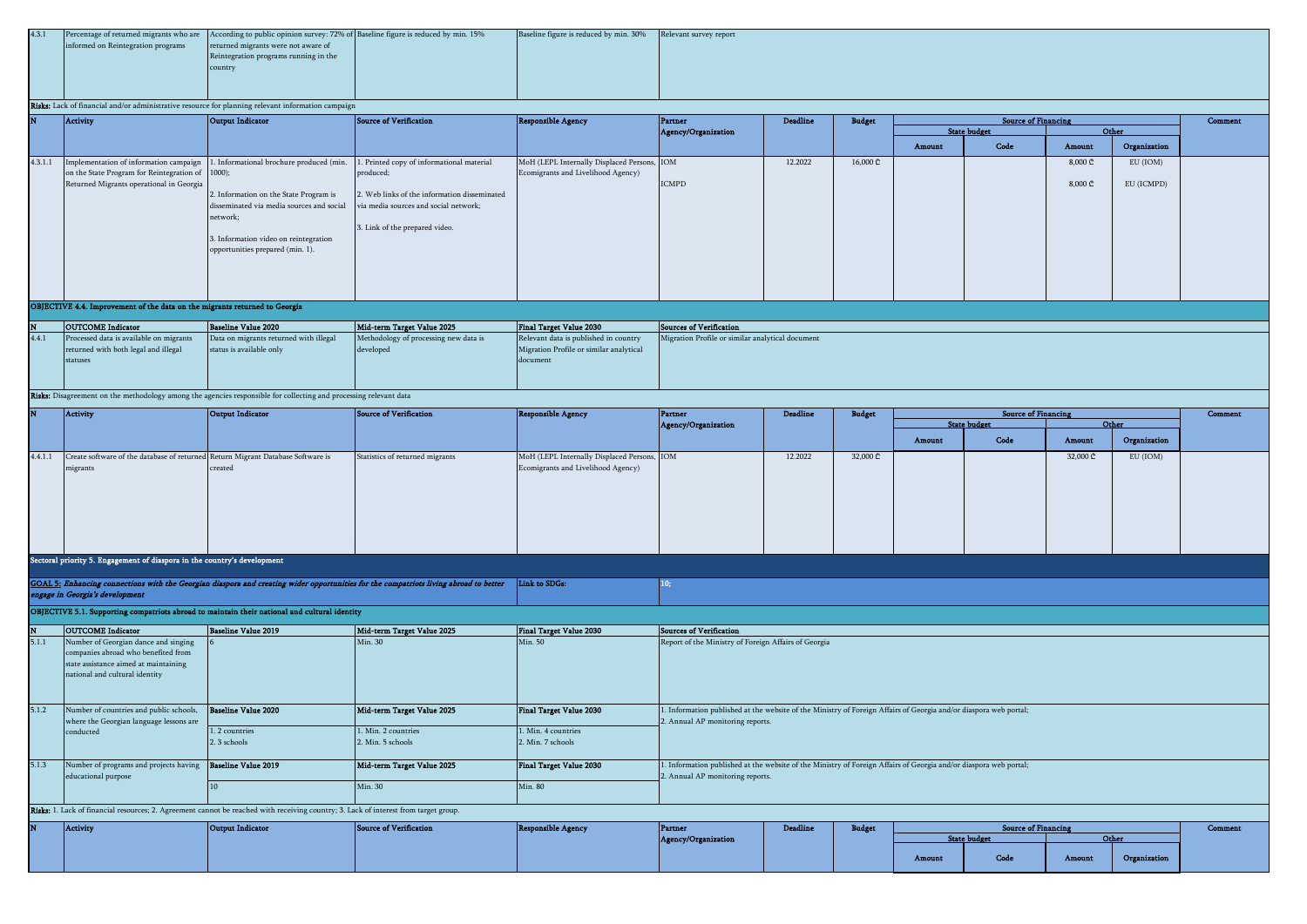| 4.3.1 |                                    | Percentage of returned migrants who are According to public opinion survey: 72% of Baseline figure is reduced by min. 15% | Baseline figure is reduced by min. 30% Relevant survey report |  |
|-------|------------------------------------|---------------------------------------------------------------------------------------------------------------------------|---------------------------------------------------------------|--|
|       | informed on Reintegration programs | returned migrants were not aware of                                                                                       |                                                               |  |
|       |                                    | Reintegration programs running in the                                                                                     |                                                               |  |
|       |                                    | country                                                                                                                   |                                                               |  |
|       |                                    |                                                                                                                           |                                                               |  |
|       |                                    |                                                                                                                           |                                                               |  |

# Risks: Lack of financial and/or administrative resource for planning relevant information campaign

|         | Activity                                         | Output Indicator                                                                | Source of Verification                       | <b>Responsible Agency</b>                   | Partner             | <b>Deadline</b> | <b>Budget</b> |        | <b>Source of Financing</b> |                             |              | Comment |
|---------|--------------------------------------------------|---------------------------------------------------------------------------------|----------------------------------------------|---------------------------------------------|---------------------|-----------------|---------------|--------|----------------------------|-----------------------------|--------------|---------|
|         |                                                  |                                                                                 |                                              |                                             | Agency/Organization |                 |               |        | <b>State budget</b>        |                             | Other        |         |
|         |                                                  |                                                                                 |                                              |                                             |                     |                 |               | Amount | Code                       | Amount                      | Organization |         |
| 4.3.1.1 |                                                  | Implementation of information campaign 1. Informational brochure produced (min. | 1. Printed copy of informational material    | MoH (LEPL Internally Displaced Persons, IOM |                     | 12.2022         | 16,000 ₾      |        |                            | $8,000 \subset$             | EU (IOM)     |         |
|         | on the State Program for Reintegration of 1000); |                                                                                 | produced;                                    | Ecomigrants and Livelihood Agency)          |                     |                 |               |        |                            |                             |              |         |
|         | Returned Migrants operational in Georgia         |                                                                                 |                                              |                                             | <b>ICMPD</b>        |                 |               |        |                            | $8,000 \text{ } \mathbb{C}$ | EU (ICMPD)   |         |
|         |                                                  | 2. Information on the State Program is                                          | 2. Web links of the information disseminated |                                             |                     |                 |               |        |                            |                             |              |         |
|         |                                                  | disseminated via media sources and social                                       | via media sources and social network;        |                                             |                     |                 |               |        |                            |                             |              |         |
|         |                                                  | network;                                                                        |                                              |                                             |                     |                 |               |        |                            |                             |              |         |
|         |                                                  |                                                                                 | 3. Link of the prepared video.               |                                             |                     |                 |               |        |                            |                             |              |         |
|         |                                                  | 3. Information video on reintegration                                           |                                              |                                             |                     |                 |               |        |                            |                             |              |         |
|         |                                                  | opportunities prepared (min. 1).                                                |                                              |                                             |                     |                 |               |        |                            |                             |              |         |
|         |                                                  |                                                                                 |                                              |                                             |                     |                 |               |        |                            |                             |              |         |
|         |                                                  |                                                                                 |                                              |                                             |                     |                 |               |        |                            |                             |              |         |
|         |                                                  |                                                                                 |                                              |                                             |                     |                 |               |        |                            |                             |              |         |
|         |                                                  |                                                                                 |                                              |                                             |                     |                 |               |        |                            |                             |              |         |

# OBJECTIVE 4.4. Improvement of the data on the migrants returned to Georgia

| <b>OUTCOME</b> Indicator                | Baseline Value 2020                    | Mid-term Target Value 2025            | Final Target Value 2030                 | Sources of Verification                          |
|-----------------------------------------|----------------------------------------|---------------------------------------|-----------------------------------------|--------------------------------------------------|
| Processed data is available on migrants | Data on migrants returned with illegal | Methodology of processing new data is | Relevant data is published in country   | Migration Profile or similar analytical document |
| returned with both legal and illegal    | status is available only               | developed                             | Migration Profile or similar analytical |                                                  |
| statuses                                |                                        |                                       | document                                |                                                  |
|                                         |                                        |                                       |                                         |                                                  |
|                                         |                                        |                                       |                                         |                                                  |

Risks: Disagreement on the methodology among the agencies responsible for collecting and processing relevant data

| IN.     | Activity                                                                        | Output Indicator | Source of Verification          | Responsible Agency                          | Partner             | <b>Deadline</b> | <b>Budget</b> |        | <b>Source of Financing</b> |          |              | Comment |
|---------|---------------------------------------------------------------------------------|------------------|---------------------------------|---------------------------------------------|---------------------|-----------------|---------------|--------|----------------------------|----------|--------------|---------|
|         |                                                                                 |                  |                                 |                                             | Agency/Organization |                 |               |        | <b>State budget</b>        | Other    |              |         |
|         |                                                                                 |                  |                                 |                                             |                     |                 |               | Amount | Code                       | Amount   | Organization |         |
| 4.4.1.1 | Create software of the database of returned Return Migrant Database Software is |                  | Statistics of returned migrants | MoH (LEPL Internally Displaced Persons, IOM |                     | 12.2022         | 32,000 ₾      |        |                            | 32,000 ₾ | EU (IOM)     |         |
|         | migrants                                                                        | created          |                                 | Ecomigrants and Livelihood Agency)          |                     |                 |               |        |                            |          |              |         |
|         |                                                                                 |                  |                                 |                                             |                     |                 |               |        |                            |          |              |         |
|         |                                                                                 |                  |                                 |                                             |                     |                 |               |        |                            |          |              |         |
|         |                                                                                 |                  |                                 |                                             |                     |                 |               |        |                            |          |              |         |
|         |                                                                                 |                  |                                 |                                             |                     |                 |               |        |                            |          |              |         |
|         |                                                                                 |                  |                                 |                                             |                     |                 |               |        |                            |          |              |         |
|         |                                                                                 |                  |                                 |                                             |                     |                 |               |        |                            |          |              |         |
|         |                                                                                 |                  |                                 |                                             |                     |                 |               |        |                            |          |              |         |
|         | Sectoral priority 5. Engagement of diaspora in the country's development        |                  |                                 |                                             |                     |                 |               |        |                            |          |              |         |
|         |                                                                                 |                  |                                 |                                             |                     |                 |               |        |                            |          |              |         |

| GOAL 5: Enhancing connections with the Georgian diaspora and creating wider opportunities for the compatriots living abroad to better [Link to SDGs: |  |
|------------------------------------------------------------------------------------------------------------------------------------------------------|--|
| engage in Georgia's development                                                                                                                      |  |

OBJECTIVE 5.1. Supporting compatriots abroad to maintain their national and cultural identity

| N     | <b>OUTCOME</b> Indicator                | <b>Baseline Value 2019</b>                                                                                                           | Mid-term Target Value 2025 | Final Target Value 2030        | <b>Sources of Verification</b>                       |                 |               |                                                                                                                  |         |
|-------|-----------------------------------------|--------------------------------------------------------------------------------------------------------------------------------------|----------------------------|--------------------------------|------------------------------------------------------|-----------------|---------------|------------------------------------------------------------------------------------------------------------------|---------|
| 5.1.1 | Number of Georgian dance and singing    |                                                                                                                                      | Min. 30                    | Min. 50                        | Report of the Ministry of Foreign Affairs of Georgia |                 |               |                                                                                                                  |         |
|       | companies abroad who benefited from     |                                                                                                                                      |                            |                                |                                                      |                 |               |                                                                                                                  |         |
|       | state assistance aimed at maintaining   |                                                                                                                                      |                            |                                |                                                      |                 |               |                                                                                                                  |         |
|       | national and cultural identity          |                                                                                                                                      |                            |                                |                                                      |                 |               |                                                                                                                  |         |
|       |                                         |                                                                                                                                      |                            |                                |                                                      |                 |               |                                                                                                                  |         |
|       |                                         |                                                                                                                                      |                            |                                |                                                      |                 |               |                                                                                                                  |         |
| 5.1.2 | Number of countries and public schools, | Baseline Value 2020                                                                                                                  | Mid-term Target Value 2025 | Final Target Value 2030        |                                                      |                 |               | . Information published at the website of the Ministry of Foreign Affairs of Georgia and/or diaspora web portal; |         |
|       | where the Georgian language lessons are |                                                                                                                                      |                            |                                | 2. Annual AP monitoring reports.                     |                 |               |                                                                                                                  |         |
|       | conducted                               | . 2 countries                                                                                                                        | 1. Min. 2 countries        | 1. Min. 4 countries            |                                                      |                 |               |                                                                                                                  |         |
|       |                                         | 2. 3 schools                                                                                                                         | 2. Min. 5 schools          | 2. Min. 7 schools              |                                                      |                 |               |                                                                                                                  |         |
|       |                                         |                                                                                                                                      |                            |                                |                                                      |                 |               |                                                                                                                  |         |
| 5.1.3 | Number of programs and projects having  | Baseline Value 2019                                                                                                                  | Mid-term Target Value 2025 | <b>Final Target Value 2030</b> |                                                      |                 |               | . Information published at the website of the Ministry of Foreign Affairs of Georgia and/or diaspora web portal; |         |
|       | educational purpose                     |                                                                                                                                      |                            |                                | 2. Annual AP monitoring reports.                     |                 |               |                                                                                                                  |         |
|       |                                         |                                                                                                                                      | Min. 30                    | Min. 80                        |                                                      |                 |               |                                                                                                                  |         |
|       |                                         |                                                                                                                                      |                            |                                |                                                      |                 |               |                                                                                                                  |         |
|       |                                         | Risks: 1. Lack of financial resources; 2. Agreement cannot be reached with receiving country; 3. Lack of interest from target group. |                            |                                |                                                      |                 |               |                                                                                                                  |         |
| N     | Activity                                | Output Indicator                                                                                                                     | Source of Verification     | <b>Responsible Agency</b>      | Partner                                              | <b>Deadline</b> | <b>Budget</b> | <b>Source of Financing</b>                                                                                       | Comment |

| N | <b>Activity</b> | Output Indicator | Source of Verification | <b>Responsible Agency</b> | Partner             | Deadline | <b>The Ameri</b> | <b>Source of Financing</b> |                |        |              |  |
|---|-----------------|------------------|------------------------|---------------------------|---------------------|----------|------------------|----------------------------|----------------|--------|--------------|--|
|   |                 |                  |                        |                           | Agency/Organization |          |                  |                            |                |        | Other        |  |
|   |                 |                  |                        |                           |                     |          |                  |                            |                |        |              |  |
|   |                 |                  |                        |                           |                     |          |                  | Amount                     | Code<br>$\sim$ | Amount | Organization |  |
|   |                 |                  |                        |                           |                     |          |                  |                            |                |        |              |  |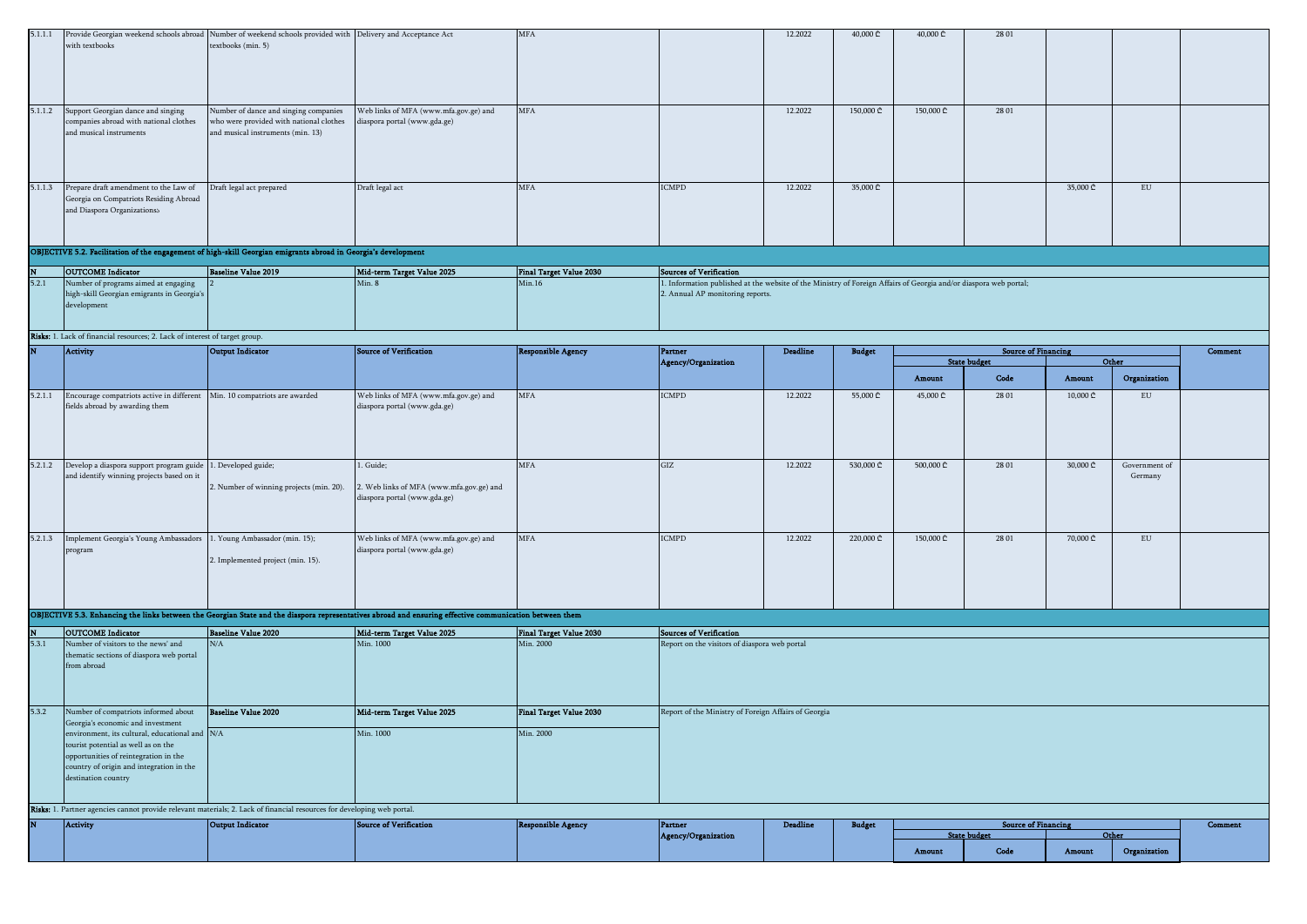| 5.1.1.1 | Provide Georgian weekend schools abroad Number of weekend schools provided with Delivery and Acceptance Act             |                                          |                                                                                                                                                         | <b>MFA</b>                     |                                                                                                                   | 12.2022         | 40,000 ₾      | 40,000 ₾  | 28 01                      |                              |               |         |
|---------|-------------------------------------------------------------------------------------------------------------------------|------------------------------------------|---------------------------------------------------------------------------------------------------------------------------------------------------------|--------------------------------|-------------------------------------------------------------------------------------------------------------------|-----------------|---------------|-----------|----------------------------|------------------------------|---------------|---------|
|         | with textbooks                                                                                                          | textbooks (min. 5)                       |                                                                                                                                                         |                                |                                                                                                                   |                 |               |           |                            |                              |               |         |
|         |                                                                                                                         |                                          |                                                                                                                                                         |                                |                                                                                                                   |                 |               |           |                            |                              |               |         |
|         |                                                                                                                         |                                          |                                                                                                                                                         |                                |                                                                                                                   |                 |               |           |                            |                              |               |         |
|         |                                                                                                                         |                                          |                                                                                                                                                         |                                |                                                                                                                   |                 |               |           |                            |                              |               |         |
|         |                                                                                                                         |                                          |                                                                                                                                                         |                                |                                                                                                                   |                 |               |           |                            |                              |               |         |
|         |                                                                                                                         |                                          |                                                                                                                                                         |                                |                                                                                                                   |                 |               |           |                            |                              |               |         |
|         |                                                                                                                         |                                          |                                                                                                                                                         |                                |                                                                                                                   |                 |               |           |                            |                              |               |         |
| 5.1.1.2 | Support Georgian dance and singing                                                                                      | Number of dance and singing companies    | Web links of MFA (www.mfa.gov.ge) and                                                                                                                   | <b>MFA</b>                     |                                                                                                                   | 12.2022         | 150,000 ₾     | 150,000 ₾ | 28 01                      |                              |               |         |
|         | companies abroad with national clothes                                                                                  | who were provided with national clothes  | diaspora portal (www.gda.ge)                                                                                                                            |                                |                                                                                                                   |                 |               |           |                            |                              |               |         |
|         | and musical instruments                                                                                                 | and musical instruments (min. 13)        |                                                                                                                                                         |                                |                                                                                                                   |                 |               |           |                            |                              |               |         |
|         |                                                                                                                         |                                          |                                                                                                                                                         |                                |                                                                                                                   |                 |               |           |                            |                              |               |         |
|         |                                                                                                                         |                                          |                                                                                                                                                         |                                |                                                                                                                   |                 |               |           |                            |                              |               |         |
|         |                                                                                                                         |                                          |                                                                                                                                                         |                                |                                                                                                                   |                 |               |           |                            |                              |               |         |
|         |                                                                                                                         |                                          |                                                                                                                                                         |                                |                                                                                                                   |                 |               |           |                            |                              |               |         |
| 5.1.1.3 | Prepare draft amendment to the Law of                                                                                   | Draft legal act prepared                 | Draft legal act                                                                                                                                         | <b>MFA</b>                     | <b>ICMPD</b>                                                                                                      | 12.2022         | 35,000 ₾      |           |                            | 35,000 ₾                     | ${\rm EU}$    |         |
|         | Georgia on Compatriots Residing Abroad                                                                                  |                                          |                                                                                                                                                         |                                |                                                                                                                   |                 |               |           |                            |                              |               |         |
|         | and Diaspora Organizationss                                                                                             |                                          |                                                                                                                                                         |                                |                                                                                                                   |                 |               |           |                            |                              |               |         |
|         |                                                                                                                         |                                          |                                                                                                                                                         |                                |                                                                                                                   |                 |               |           |                            |                              |               |         |
|         |                                                                                                                         |                                          |                                                                                                                                                         |                                |                                                                                                                   |                 |               |           |                            |                              |               |         |
|         |                                                                                                                         |                                          |                                                                                                                                                         |                                |                                                                                                                   |                 |               |           |                            |                              |               |         |
|         | OBJECTIVE 5.2. Facilitation of the engagement of high-skill Georgian emigrants abroad in Georgia's development          |                                          |                                                                                                                                                         |                                |                                                                                                                   |                 |               |           |                            |                              |               |         |
|         | <b>OUTCOME</b> Indicator                                                                                                | <b>Baseline Value 2019</b>               | Mid-term Target Value 2025                                                                                                                              | <b>Final Target Value 2030</b> | <b>Sources of Verification</b>                                                                                    |                 |               |           |                            |                              |               |         |
| 5.2.1   | Number of programs aimed at engaging                                                                                    |                                          | Min.8                                                                                                                                                   | Min.16                         | 1. Information published at the website of the Ministry of Foreign Affairs of Georgia and/or diaspora web portal; |                 |               |           |                            |                              |               |         |
|         | high-skill Georgian emigrants in Georgia's                                                                              |                                          |                                                                                                                                                         |                                | 2. Annual AP monitoring reports.                                                                                  |                 |               |           |                            |                              |               |         |
|         | development                                                                                                             |                                          |                                                                                                                                                         |                                |                                                                                                                   |                 |               |           |                            |                              |               |         |
|         |                                                                                                                         |                                          |                                                                                                                                                         |                                |                                                                                                                   |                 |               |           |                            |                              |               |         |
|         |                                                                                                                         |                                          |                                                                                                                                                         |                                |                                                                                                                   |                 |               |           |                            |                              |               |         |
|         | Risks: 1. Lack of financial resources; 2. Lack of interest of target group.                                             |                                          |                                                                                                                                                         |                                |                                                                                                                   |                 |               |           |                            |                              |               |         |
|         | Activity                                                                                                                | <b>Output Indicator</b>                  | Source of Verification                                                                                                                                  |                                | Partner                                                                                                           | <b>Deadline</b> | <b>Budget</b> |           | <b>Source of Financing</b> |                              |               | Comment |
|         |                                                                                                                         |                                          |                                                                                                                                                         | <b>Responsible Agency</b>      | Agency/Organization                                                                                               |                 |               |           | <b>State budget</b>        |                              | Other         |         |
|         |                                                                                                                         |                                          |                                                                                                                                                         |                                |                                                                                                                   |                 |               |           |                            |                              |               |         |
|         |                                                                                                                         |                                          |                                                                                                                                                         |                                |                                                                                                                   |                 |               | Amount    | Code                       | Amount                       | Organization  |         |
| 5.2.1.1 | Encourage compatriots active in different                                                                               | Min. 10 compatriots are awarded          | Web links of MFA (www.mfa.gov.ge) and                                                                                                                   | <b>MFA</b>                     | <b>ICMPD</b>                                                                                                      | 12.2022         | 55,000 ₾      | 45,000 ₾  | 28 01                      | $10,000 \text{ } \mathbb{C}$ | ${\rm EU}$    |         |
|         | fields abroad by awarding them                                                                                          |                                          | diaspora portal (www.gda.ge)                                                                                                                            |                                |                                                                                                                   |                 |               |           |                            |                              |               |         |
|         |                                                                                                                         |                                          |                                                                                                                                                         |                                |                                                                                                                   |                 |               |           |                            |                              |               |         |
|         |                                                                                                                         |                                          |                                                                                                                                                         |                                |                                                                                                                   |                 |               |           |                            |                              |               |         |
|         |                                                                                                                         |                                          |                                                                                                                                                         |                                |                                                                                                                   |                 |               |           |                            |                              |               |         |
|         |                                                                                                                         |                                          |                                                                                                                                                         |                                |                                                                                                                   |                 |               |           |                            |                              |               |         |
|         |                                                                                                                         |                                          |                                                                                                                                                         |                                |                                                                                                                   |                 |               |           |                            |                              |               |         |
| 5.2.1.2 | Develop a diaspora support program guide                                                                                | . Developed guide;                       | 1. Guide;                                                                                                                                               | <b>MFA</b>                     | GIZ                                                                                                               | 12.2022         | 530,000 ₾     | 500,000 ₾ | 28 01                      | 30,000 ₾                     | Government of |         |
|         | and identify winning projects based on it                                                                               |                                          |                                                                                                                                                         |                                |                                                                                                                   |                 |               |           |                            |                              | Germany       |         |
|         |                                                                                                                         | 2. Number of winning projects (min. 20). | 2. Web links of MFA (www.mfa.gov.ge) and                                                                                                                |                                |                                                                                                                   |                 |               |           |                            |                              |               |         |
|         |                                                                                                                         |                                          | diaspora portal (www.gda.ge)                                                                                                                            |                                |                                                                                                                   |                 |               |           |                            |                              |               |         |
|         |                                                                                                                         |                                          |                                                                                                                                                         |                                |                                                                                                                   |                 |               |           |                            |                              |               |         |
|         |                                                                                                                         |                                          |                                                                                                                                                         |                                |                                                                                                                   |                 |               |           |                            |                              |               |         |
| 5.2.1.3 | Implement Georgia's Young Ambassadors                                                                                   | . Young Ambassador (min. 15);            | Web links of MFA (www.mfa.gov.ge) and                                                                                                                   | <b>MFA</b>                     | <b>ICMPD</b>                                                                                                      | 12.2022         | 220,000 ₾     | 150,000 ₾ | 28 01                      | 70,000 ₾                     | ${\rm EU}$    |         |
|         |                                                                                                                         |                                          |                                                                                                                                                         |                                |                                                                                                                   |                 |               |           |                            |                              |               |         |
|         | program                                                                                                                 |                                          | diaspora portal (www.gda.ge)                                                                                                                            |                                |                                                                                                                   |                 |               |           |                            |                              |               |         |
|         |                                                                                                                         | 2. Implemented project (min. 15).        |                                                                                                                                                         |                                |                                                                                                                   |                 |               |           |                            |                              |               |         |
|         |                                                                                                                         |                                          |                                                                                                                                                         |                                |                                                                                                                   |                 |               |           |                            |                              |               |         |
|         |                                                                                                                         |                                          |                                                                                                                                                         |                                |                                                                                                                   |                 |               |           |                            |                              |               |         |
|         |                                                                                                                         |                                          |                                                                                                                                                         |                                |                                                                                                                   |                 |               |           |                            |                              |               |         |
|         |                                                                                                                         |                                          | OBJECTIVE 5.3. Enhancing the links between the Georgian State and the diaspora representatives abroad and ensuring effective communication between them |                                |                                                                                                                   |                 |               |           |                            |                              |               |         |
|         |                                                                                                                         |                                          |                                                                                                                                                         |                                |                                                                                                                   |                 |               |           |                            |                              |               |         |
|         | <b>OUTCOME</b> Indicator                                                                                                | <b>Baseline Value 2020</b>               | Mid-term Target Value 2025                                                                                                                              | <b>Final Target Value 2030</b> | Sources of Verification                                                                                           |                 |               |           |                            |                              |               |         |
| 5.3.1   | Number of visitors to the news' and                                                                                     | N/A                                      | Min. 1000                                                                                                                                               | Min. 2000                      | Report on the visitors of diaspora web portal                                                                     |                 |               |           |                            |                              |               |         |
|         | thematic sections of diaspora web portal                                                                                |                                          |                                                                                                                                                         |                                |                                                                                                                   |                 |               |           |                            |                              |               |         |
|         | from abroad                                                                                                             |                                          |                                                                                                                                                         |                                |                                                                                                                   |                 |               |           |                            |                              |               |         |
|         |                                                                                                                         |                                          |                                                                                                                                                         |                                |                                                                                                                   |                 |               |           |                            |                              |               |         |
|         |                                                                                                                         |                                          |                                                                                                                                                         |                                |                                                                                                                   |                 |               |           |                            |                              |               |         |
|         |                                                                                                                         |                                          |                                                                                                                                                         |                                |                                                                                                                   |                 |               |           |                            |                              |               |         |
| 5.3.2   | Number of compatriots informed about                                                                                    | <b>Baseline Value 2020</b>               | Mid-term Target Value 2025                                                                                                                              | Final Target Value 2030        | Report of the Ministry of Foreign Affairs of Georgia                                                              |                 |               |           |                            |                              |               |         |
|         | Georgia's economic and investment                                                                                       |                                          |                                                                                                                                                         |                                |                                                                                                                   |                 |               |           |                            |                              |               |         |
|         | environment, its cultural, educational and N/A                                                                          |                                          | Min. 1000                                                                                                                                               | Min. 2000                      |                                                                                                                   |                 |               |           |                            |                              |               |         |
|         | tourist potential as well as on the                                                                                     |                                          |                                                                                                                                                         |                                |                                                                                                                   |                 |               |           |                            |                              |               |         |
|         |                                                                                                                         |                                          |                                                                                                                                                         |                                |                                                                                                                   |                 |               |           |                            |                              |               |         |
|         |                                                                                                                         |                                          |                                                                                                                                                         |                                |                                                                                                                   |                 |               |           |                            |                              |               |         |
|         | opportunities of reintegration in the<br>country of origin and integration in the                                       |                                          |                                                                                                                                                         |                                |                                                                                                                   |                 |               |           |                            |                              |               |         |
|         |                                                                                                                         |                                          |                                                                                                                                                         |                                |                                                                                                                   |                 |               |           |                            |                              |               |         |
|         | destination country                                                                                                     |                                          |                                                                                                                                                         |                                |                                                                                                                   |                 |               |           |                            |                              |               |         |
|         |                                                                                                                         |                                          |                                                                                                                                                         |                                |                                                                                                                   |                 |               |           |                            |                              |               |         |
|         | Risks: 1. Partner agencies cannot provide relevant materials; 2. Lack of financial resources for developing web portal. |                                          |                                                                                                                                                         |                                |                                                                                                                   |                 |               |           |                            |                              |               |         |
|         | Activity                                                                                                                | <b>Output Indicator</b>                  | Source of Verification                                                                                                                                  |                                | Partner                                                                                                           | $\bf Dead line$ | <b>Budget</b> |           | <b>Source of Financing</b> |                              |               | Comment |
|         |                                                                                                                         |                                          |                                                                                                                                                         | <b>Responsible Agency</b>      | Agency/Organization                                                                                               |                 |               |           | <b>State budget</b>        |                              | Other         |         |
|         |                                                                                                                         |                                          |                                                                                                                                                         |                                |                                                                                                                   |                 |               | Amount    | Code                       | Amount                       | Organization  |         |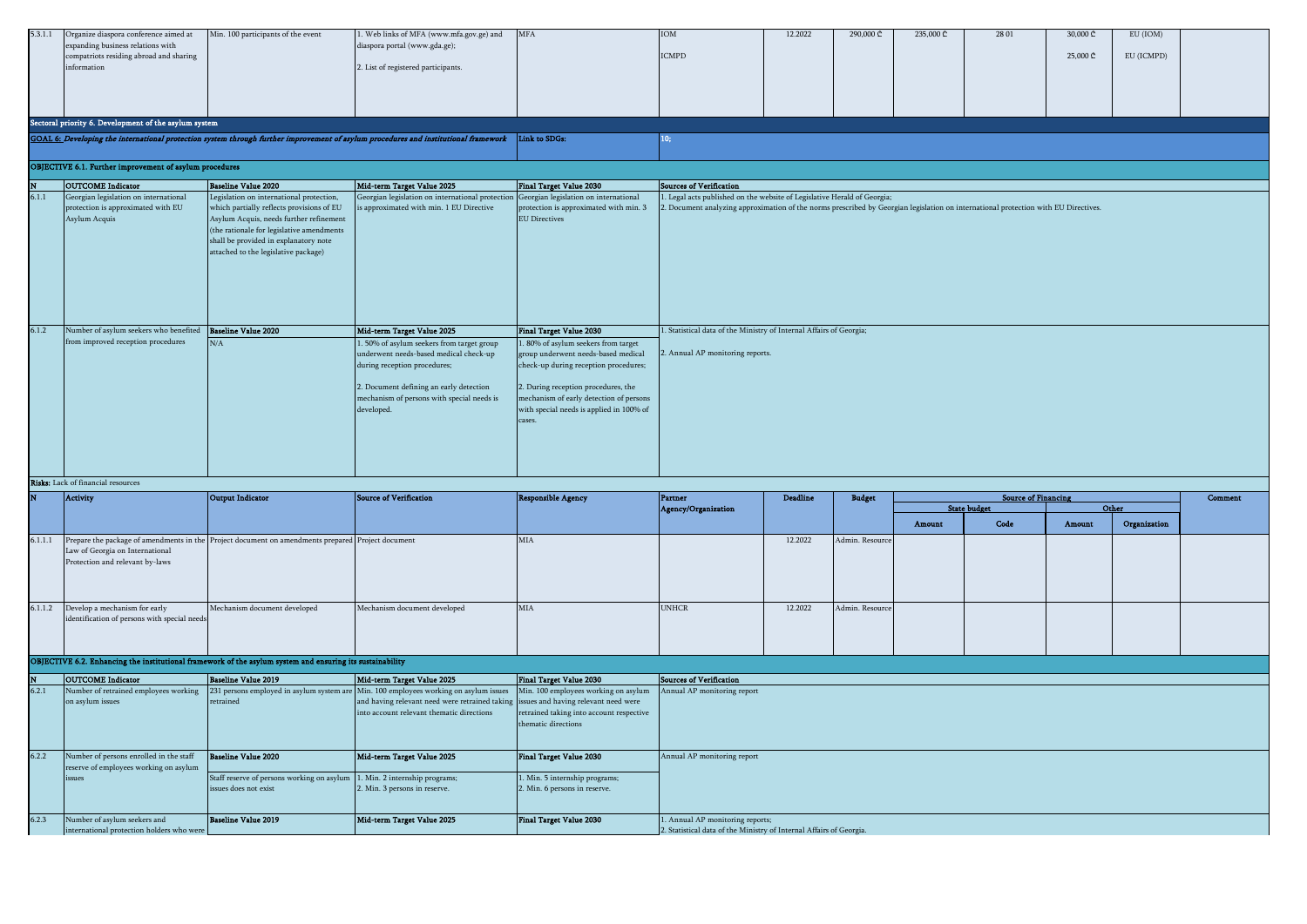| 5.3.1.1 | Organize diaspora conference aimed at<br>expanding business relations with<br>compatriots residing abroad and sharing<br>information | Min. 100 participants of the event                                                                                                                                                                                 | Web links of MFA (www.mfa.gov.ge) and<br>diaspora portal (www.gda.ge);<br>2. List of registered participants.                                     | <b>MFA</b>                                                                                                                           | IOM<br><b>ICMPD</b>                                                                                                                | 12.2022         | 290,000 ₾       | 235,000 ₾ | 28 01                      | 30,000 ₾<br>25,000 ₾ | EU (IOM)<br>EU (ICMPD) |                |
|---------|--------------------------------------------------------------------------------------------------------------------------------------|--------------------------------------------------------------------------------------------------------------------------------------------------------------------------------------------------------------------|---------------------------------------------------------------------------------------------------------------------------------------------------|--------------------------------------------------------------------------------------------------------------------------------------|------------------------------------------------------------------------------------------------------------------------------------|-----------------|-----------------|-----------|----------------------------|----------------------|------------------------|----------------|
|         | Sectoral priority 6. Development of the asylum system                                                                                |                                                                                                                                                                                                                    |                                                                                                                                                   |                                                                                                                                      |                                                                                                                                    |                 |                 |           |                            |                      |                        |                |
|         |                                                                                                                                      |                                                                                                                                                                                                                    | GOAL 6: Developing the international protection system through further improvement of asylum procedures and institutional framework link to SDGs: |                                                                                                                                      | 10;                                                                                                                                |                 |                 |           |                            |                      |                        |                |
|         |                                                                                                                                      |                                                                                                                                                                                                                    |                                                                                                                                                   |                                                                                                                                      |                                                                                                                                    |                 |                 |           |                            |                      |                        |                |
|         | OBJECTIVE 6.1. Further improvement of asylum procedures                                                                              |                                                                                                                                                                                                                    |                                                                                                                                                   |                                                                                                                                      |                                                                                                                                    |                 |                 |           |                            |                      |                        |                |
|         |                                                                                                                                      |                                                                                                                                                                                                                    |                                                                                                                                                   |                                                                                                                                      |                                                                                                                                    |                 |                 |           |                            |                      |                        |                |
| 6.1.1   | <b>OUTCOME</b> Indicator<br>Georgian legislation on international                                                                    | <b>Baseline Value 2020</b><br>Legislation on international protection,                                                                                                                                             | Mid-term Target Value 2025                                                                                                                        | Final Target Value 2030                                                                                                              | <b>Sources of Verification</b><br>. Legal acts published on the website of Legislative Herald of Georgia;                          |                 |                 |           |                            |                      |                        |                |
|         | protection is approximated with EU<br>Asylum Acquis                                                                                  | which partially reflects provisions of EU<br>Asylum Acquis, needs further refinement<br>(the rationale for legislative amendments<br>shall be provided in explanatory note<br>attached to the legislative package) | Georgian legislation on international protection<br>s approximated with min. 1 EU Directive                                                       | Georgian legislation on international<br>protection is approximated with min. 3<br><b>EU Directives</b>                              | . Document analyzing approximation of the norms prescribed by Georgian legislation on international protection with EU Directives. |                 |                 |           |                            |                      |                        |                |
| 6.1.2   | Number of asylum seekers who benefited Baseline Value 2020                                                                           |                                                                                                                                                                                                                    | Mid-term Target Value 2025                                                                                                                        | Final Target Value 2030                                                                                                              | . Statistical data of the Ministry of Internal Affairs of Georgia;                                                                 |                 |                 |           |                            |                      |                        |                |
|         | from improved reception procedures                                                                                                   | N/A                                                                                                                                                                                                                | . 50% of asylum seekers from target group<br>underwent needs-based medical check-up<br>during reception procedures;                               | . 80% of asylum seekers from target<br>group underwent needs-based medical<br>check-up during reception procedures;                  | . Annual AP monitoring reports.                                                                                                    |                 |                 |           |                            |                      |                        |                |
|         |                                                                                                                                      |                                                                                                                                                                                                                    | 2. Document defining an early detection<br>mechanism of persons with special needs is<br>developed.                                               | 2. During reception procedures, the<br>mechanism of early detection of persons<br>with special needs is applied in 100% of<br>cases. |                                                                                                                                    |                 |                 |           |                            |                      |                        |                |
|         | Risks: Lack of financial resources                                                                                                   |                                                                                                                                                                                                                    |                                                                                                                                                   |                                                                                                                                      |                                                                                                                                    |                 |                 |           |                            |                      |                        |                |
|         | <b>Activity</b>                                                                                                                      | <b>Output Indicator</b>                                                                                                                                                                                            | <b>Source of Verification</b>                                                                                                                     | <b>Responsible Agency</b>                                                                                                            | Partner                                                                                                                            | <b>Deadline</b> | <b>Budget</b>   |           | <b>Source of Financing</b> |                      |                        | <b>Comment</b> |
|         |                                                                                                                                      |                                                                                                                                                                                                                    |                                                                                                                                                   |                                                                                                                                      | Agency/Organization                                                                                                                |                 |                 |           | <b>State budget</b>        | Othe                 |                        |                |
|         |                                                                                                                                      |                                                                                                                                                                                                                    |                                                                                                                                                   |                                                                                                                                      |                                                                                                                                    |                 |                 | Amount    | Code                       | Amount               | Organization           |                |
| 6.1.1.1 | aw of Georgia on International<br>Protection and relevant by-laws                                                                    | Prepare the package of amendments in the Project document on amendments prepared Project document                                                                                                                  |                                                                                                                                                   | MIA                                                                                                                                  |                                                                                                                                    | 12.2022         | Admin. Resource |           |                            |                      |                        |                |
| 6.1.1.2 | Develop a mechanism for early                                                                                                        | Mechanism document developed                                                                                                                                                                                       | Mechanism document developed                                                                                                                      | MIA                                                                                                                                  | <b>UNHCR</b>                                                                                                                       | 12.2022         | Admin, Resourc  |           |                            |                      |                        |                |
|         | dentification of persons with special need                                                                                           |                                                                                                                                                                                                                    |                                                                                                                                                   |                                                                                                                                      |                                                                                                                                    |                 |                 |           |                            |                      |                        |                |
|         |                                                                                                                                      | OBJECTIVE 6.2. Enhancing the institutional framework of the asylum system and ensuring its sustainability                                                                                                          |                                                                                                                                                   |                                                                                                                                      |                                                                                                                                    |                 |                 |           |                            |                      |                        |                |
|         | <b>OUTCOME</b> Indicator                                                                                                             | <b>Baseline Value 2019</b>                                                                                                                                                                                         | Mid-term Target Value 2025                                                                                                                        | Final Target Value 2030                                                                                                              | Sources of Verification                                                                                                            |                 |                 |           |                            |                      |                        |                |
| 6.2.1   | Number of retrained employees working                                                                                                | 231 persons employed in asylum system are                                                                                                                                                                          | Min. 100 employees working on asylum issues                                                                                                       | Min. 100 employees working on asylum                                                                                                 | Annual AP monitoring report                                                                                                        |                 |                 |           |                            |                      |                        |                |
|         | on asylum issues                                                                                                                     | retrained                                                                                                                                                                                                          | nd having relevant need were retrained taking<br>into account relevant thematic directions                                                        | issues and having relevant need were<br>retrained taking into account respective<br>hematic directions                               |                                                                                                                                    |                 |                 |           |                            |                      |                        |                |
| 6.2.2   | Number of persons enrolled in the staff                                                                                              | <b>Baseline Value 2020</b>                                                                                                                                                                                         | Mid-term Target Value 2025                                                                                                                        | <b>Final Target Value 2030</b>                                                                                                       | Annual AP monitoring report                                                                                                        |                 |                 |           |                            |                      |                        |                |
|         | reserve of employees working on asylum<br>issues                                                                                     | Staff reserve of persons working on asylum<br>issues does not exist                                                                                                                                                | . Min. 2 internship programs;<br>. Min. 3 persons in reserve.                                                                                     | Min. 5 internship programs;<br>. Min. 6 persons in reserve.                                                                          |                                                                                                                                    |                 |                 |           |                            |                      |                        |                |
| 6.2.3   | Number of asylum seekers and<br>international protection holders who were                                                            | <b>Baseline Value 2019</b>                                                                                                                                                                                         | Mid-term Target Value 2025                                                                                                                        | Final Target Value 2030                                                                                                              | 1. Annual AP monitoring reports;<br>Statistical data of the Ministry of Internal Affairs of Georgia.                               |                 |                 |           |                            |                      |                        |                |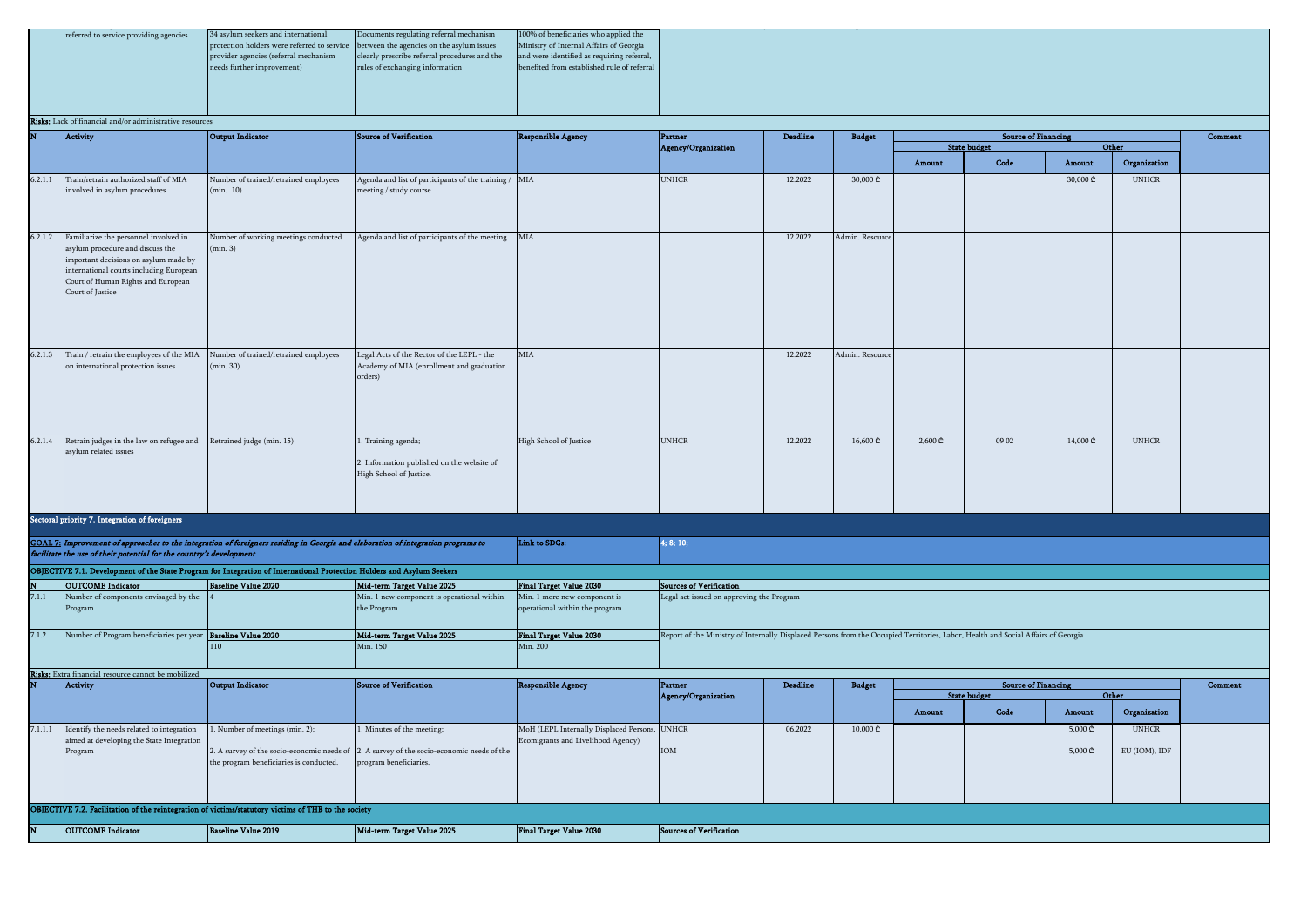|  | referred to service providing agencies | 34 asylum seekers and international                                                   | Documents regulating referral mechanism       | 100% of beneficiaries who applied the       |  |
|--|----------------------------------------|---------------------------------------------------------------------------------------|-----------------------------------------------|---------------------------------------------|--|
|  |                                        | protection holders were referred to service between the agencies on the asylum issues |                                               | Ministry of Internal Affairs of Georgia     |  |
|  |                                        | provider agencies (referral mechanism                                                 | clearly prescribe referral procedures and the | and were identified as requiring referral,  |  |
|  |                                        | needs further improvement)                                                            | rules of exchanging information               | benefited from established rule of referral |  |
|  |                                        |                                                                                       |                                               |                                             |  |
|  |                                        |                                                                                       |                                               |                                             |  |
|  |                                        |                                                                                       |                                               |                                             |  |
|  |                                        |                                                                                       |                                               |                                             |  |

N OUTCOME Indicator Baseline Value 2019 Mid-term Target Value 2025 Final Target Value 2030

OBJECTIVE 7.2. Facilitation of the reintegration of victims/statutory victims of THB to the society

### Risks: Lack of financial and/or adm

|         | <b>aka.</b> Lack of financial and/of administrative resources                                                                                                                                                           |                                                                                                                                   |                                                                                                                     |                                                                |                                                                                                                                   |                 |                |         |                                                   |                             |               |         |
|---------|-------------------------------------------------------------------------------------------------------------------------------------------------------------------------------------------------------------------------|-----------------------------------------------------------------------------------------------------------------------------------|---------------------------------------------------------------------------------------------------------------------|----------------------------------------------------------------|-----------------------------------------------------------------------------------------------------------------------------------|-----------------|----------------|---------|---------------------------------------------------|-----------------------------|---------------|---------|
| N       | Activity                                                                                                                                                                                                                | <b>Output Indicator</b>                                                                                                           | <b>Source of Verification</b>                                                                                       | <b>Responsible Agency</b>                                      | Partner                                                                                                                           | <b>Deadline</b> | <b>Budget</b>  |         | <b>Source of Financing</b><br><b>State budget</b> |                             | Other         | Comment |
|         |                                                                                                                                                                                                                         |                                                                                                                                   |                                                                                                                     |                                                                | Agency/Organization                                                                                                               |                 |                | Amount  | Code                                              | Amount                      | Organization  |         |
| 6.2.1.1 | Train/retrain authorized staff of MIA<br>involved in asylum procedures                                                                                                                                                  | Number of trained/retrained employees<br>(min. 10)                                                                                | Agenda and list of participants of the training / MIA<br>meeting / study course                                     |                                                                | <b>UNHCR</b>                                                                                                                      | 12.2022         | 30,000 ₾       |         |                                                   | 30,000 ₾                    | <b>UNHCR</b>  |         |
| 6.2.1.2 | Familiarize the personnel involved in<br>asylum procedure and discuss the<br>important decisions on asylum made by<br>international courts including European<br>Court of Human Rights and European<br>Court of Justice | Number of working meetings conducted<br>min. 3)                                                                                   | Agenda and list of participants of the meeting                                                                      | MIA                                                            |                                                                                                                                   | 12.2022         | Admin. Resourc |         |                                                   |                             |               |         |
| 6.2.1.3 | Train / retrain the employees of the MIA<br>on international protection issues                                                                                                                                          | Number of trained/retrained employees<br>(min.30)                                                                                 | Legal Acts of the Rector of the LEPL - the<br>Academy of MIA (enrollment and graduation<br>orders)                  | MIA                                                            |                                                                                                                                   | 12.2022         | Admin. Resourc |         |                                                   |                             |               |         |
| 6.2.1.4 | Retrain judges in the law on refugee and<br>asylum related issues                                                                                                                                                       | Retrained judge (min. 15)                                                                                                         | 1. Training agenda;<br>2. Information published on the website of<br>High School of Justice.                        | High School of Justice                                         | <b>UNHCR</b>                                                                                                                      | 12.2022         | 16,600 ₾       | 2,600 ₾ | 09 02                                             | 14,000 ₾                    | <b>UNHCR</b>  |         |
|         | Sectoral priority 7. Integration of foreigners                                                                                                                                                                          |                                                                                                                                   |                                                                                                                     |                                                                |                                                                                                                                   |                 |                |         |                                                   |                             |               |         |
|         | facilitate the use of their potential for the country's development                                                                                                                                                     | GOAL 7: Improvement of approaches to the integration of foreigners residing in Georgia and elaboration of integration programs to |                                                                                                                     | Link to SDGs:                                                  | 4; 8; 10;                                                                                                                         |                 |                |         |                                                   |                             |               |         |
|         |                                                                                                                                                                                                                         | OBJECTIVE 7.1. Development of the State Program for Integration of International Protection Holders and Asylum Seekers            |                                                                                                                     |                                                                |                                                                                                                                   |                 |                |         |                                                   |                             |               |         |
|         | <b>OUTCOME</b> Indicator                                                                                                                                                                                                | <b>Baseline Value 2020</b>                                                                                                        | Mid-term Target Value 2025                                                                                          | <b>Final Target Value 2030</b>                                 | Sources of Verification                                                                                                           |                 |                |         |                                                   |                             |               |         |
| 7.1.1   | Number of components envisaged by the<br>Program                                                                                                                                                                        |                                                                                                                                   | Min. 1 new component is operational within<br>the Program                                                           | Min. 1 more new component is<br>operational within the program | Legal act issued on approving the Program                                                                                         |                 |                |         |                                                   |                             |               |         |
| 7.1.2   | Number of Program beneficiaries per year Baseline Value 2020                                                                                                                                                            | 110                                                                                                                               | Mid-term Target Value 2025<br>Min. 150                                                                              | <b>Final Target Value 2030</b><br>Min. 200                     | Report of the Ministry of Internally Displaced Persons from the Occupied Territories, Labor, Health and Social Affairs of Georgia |                 |                |         |                                                   |                             |               |         |
|         | Risks: Extra financial resource cannot be mobilized<br>Activity                                                                                                                                                         | <b>Output Indicator</b>                                                                                                           | Source of Verification                                                                                              | <b>Responsible Agency</b>                                      | Partner                                                                                                                           | <b>Deadline</b> | <b>Budget</b>  |         | <b>Source of Financing</b>                        |                             |               | Comment |
|         |                                                                                                                                                                                                                         |                                                                                                                                   |                                                                                                                     |                                                                | Agency/Organization                                                                                                               |                 |                |         | <b>State budget</b>                               |                             | Other         |         |
|         |                                                                                                                                                                                                                         |                                                                                                                                   |                                                                                                                     |                                                                |                                                                                                                                   |                 |                | Amount  | Code                                              | Amount                      | Organization  |         |
| 7.1.1.1 | Identify the needs related to integration                                                                                                                                                                               | Number of meetings (min. 2);                                                                                                      | . Minutes of the meeting;                                                                                           | MoH (LEPL Internally Displaced Persons,                        | <b>UNHCR</b>                                                                                                                      | 06.2022         | 10,000 ₾       |         |                                                   | 5,000 ₾                     | <b>UNHCR</b>  |         |
|         | aimed at developing the State Integration<br>Program                                                                                                                                                                    | the program beneficiaries is conducted.                                                                                           | 2. A survey of the socio-economic needs of 2. A survey of the socio-economic needs of the<br>program beneficiaries. | Ecomigrants and Livelihood Agency)                             | IOM                                                                                                                               |                 |                |         |                                                   | $5,000 \text{ } \mathbb{C}$ | EU (IOM), IDF |         |
|         |                                                                                                                                                                                                                         |                                                                                                                                   |                                                                                                                     |                                                                |                                                                                                                                   |                 |                |         |                                                   |                             |               |         |

Sources of Verification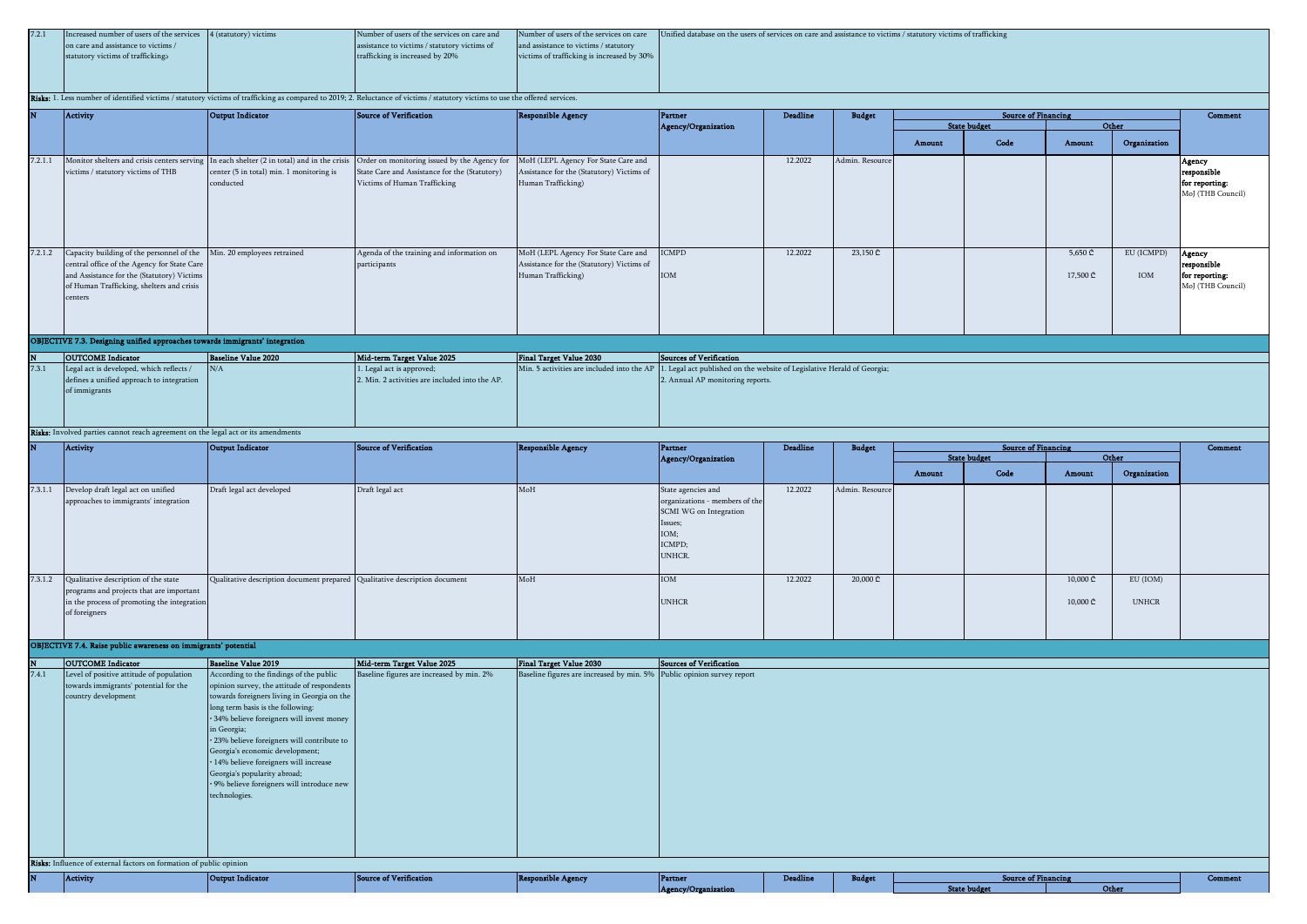| 7.2.1 | Increased number of users of the services 4 (statutory) victims | Number of users of the services on care and  |                                            | Number of users of the services on care Unified database on the users of services on care and assistance to victims / statutory victims of trafficking |
|-------|-----------------------------------------------------------------|----------------------------------------------|--------------------------------------------|--------------------------------------------------------------------------------------------------------------------------------------------------------|
|       | on care and assistance to victims /                             | assistance to victims / statutory victims of | and assistance to victims / statutory      |                                                                                                                                                        |
|       | statutory victims of traffickings                               | trafficking is increased by 20%              | victims of trafficking is increased by 30% |                                                                                                                                                        |
|       |                                                                 |                                              |                                            |                                                                                                                                                        |
|       |                                                                 |                                              |                                            |                                                                                                                                                        |
|       |                                                                 |                                              |                                            |                                                                                                                                                        |

### Risks: 1. Less number of identified victims / statutory victims of trafficking as compared to 2019; 2. Reluctance of victims / statutory victims to use the offered services.

|         | Activity                                                                                                                                                                                                                           | Output Indicator                                      | Source of Verification                                                                                                                                                                                                   | <b>Responsible Agency</b>                                                                              | Partner                    | <b>Deadline</b> | <b>Budget</b>   |        | <b>Source of Financing</b> |                     |                   | Comment                                                      |
|---------|------------------------------------------------------------------------------------------------------------------------------------------------------------------------------------------------------------------------------------|-------------------------------------------------------|--------------------------------------------------------------------------------------------------------------------------------------------------------------------------------------------------------------------------|--------------------------------------------------------------------------------------------------------|----------------------------|-----------------|-----------------|--------|----------------------------|---------------------|-------------------|--------------------------------------------------------------|
|         |                                                                                                                                                                                                                                    |                                                       |                                                                                                                                                                                                                          |                                                                                                        | Agency/Organization        |                 |                 |        | <b>State budget</b>        | Other               |                   |                                                              |
|         |                                                                                                                                                                                                                                    |                                                       |                                                                                                                                                                                                                          |                                                                                                        |                            |                 |                 | Amount | Code                       | Amount              | Organization      |                                                              |
| 7.2.1.1 | victims / statutory victims of THB                                                                                                                                                                                                 | center (5 in total) min. 1 monitoring is<br>conducted | Monitor shelters and crisis centers serving In each shelter (2 in total) and in the crisis Order on monitoring issued by the Agency for<br>State Care and Assistance for the (Statutory)<br>Victims of Human Trafficking | MoH (LEPL Agency For State Care and<br>Assistance for the (Statutory) Victims of<br>Human Trafficking) |                            | 12.2022         | Admin, Resource |        |                            |                     |                   | Agency<br>responsible<br>for reporting:<br>MoJ (THB Council) |
|         | 7.2.1.2 Capacity building of the personnel of the Min. 20 employees retrained<br>central office of the Agency for State Care<br>and Assistance for the (Statutory) Victims<br>of Human Trafficking, shelters and crisis<br>centers |                                                       | Agenda of the training and information on<br>participants                                                                                                                                                                | MoH (LEPL Agency For State Care and<br>Assistance for the (Statutory) Victims of<br>Human Trafficking) | <b>ICMPD</b><br><b>IOM</b> | 12.2022         | 23,150 ₾        |        |                            | 5,650 ₾<br>17,500 ₾ | EU (ICMPD)<br>IOM | Agency<br>responsible<br>for reporting:<br>MoJ (THB Council) |

### OBJECTIVE 7.3. Designing unified approaches towards immigrants' integration

| <b>OUTCOME</b> Indicator                  | Baseline Value 2020 | Mid-term Target Value 2025                     | Final Target Value 2030 | Sources of Verification                                                                                            |
|-------------------------------------------|---------------------|------------------------------------------------|-------------------------|--------------------------------------------------------------------------------------------------------------------|
| Legal act is developed, which reflects /  | N/A                 | 1. Legal act is approved;                      |                         | Min. 5 activities are included into the AP 1. Legal act published on the website of Legislative Herald of Georgia; |
| defines a unified approach to integration |                     | 2. Min. 2 activities are included into the AP. |                         | 2. Annual AP monitoring reports.                                                                                   |
| of immigrants                             |                     |                                                |                         |                                                                                                                    |
|                                           |                     |                                                |                         |                                                                                                                    |
|                                           |                     |                                                |                         |                                                                                                                    |
|                                           |                     |                                                |                         |                                                                                                                    |

### Risks: Involved parties cannot reach agreement on the legal act or its amendments

|         | Activity                                                                                                                                         | Output Indicator                                                           | Source of Verification | <b>Responsible Agency</b> | Partner                                                                                                                      | <b>Deadline</b> | <b>Budget</b>   |        | <b>Source of Financing</b> |                                          |                          | Comment |
|---------|--------------------------------------------------------------------------------------------------------------------------------------------------|----------------------------------------------------------------------------|------------------------|---------------------------|------------------------------------------------------------------------------------------------------------------------------|-----------------|-----------------|--------|----------------------------|------------------------------------------|--------------------------|---------|
|         |                                                                                                                                                  |                                                                            |                        |                           | Agency/Organization                                                                                                          |                 |                 |        | <b>State budget</b>        | Other                                    |                          |         |
|         |                                                                                                                                                  |                                                                            |                        |                           |                                                                                                                              |                 |                 | Amount | Code                       | Amount                                   | Organization             |         |
| 7.3.1.1 | Develop draft legal act on unified<br>approaches to immigrants' integration                                                                      | Draft legal act developed                                                  | Draft legal act        | MoH                       | State agencies and<br>organizations - members of the<br>SCMI WG on Integration<br>Issues;<br>IOM;<br>ICMPD;<br><b>UNHCR.</b> | 12.2022         | Admin. Resource |        |                            |                                          |                          |         |
| 7.3.1.2 | Qualitative description of the state<br>programs and projects that are important<br>in the process of promoting the integration<br>of foreigners | Qualitative description document prepared Qualitative description document |                        | MoH                       | IOM<br><b>UNHCR</b>                                                                                                          | 12.2022         | 20,000 ₾        |        |                            | 10,000 ₾<br>$10,000 \text{ } \mathbb{C}$ | EU (IOM)<br><b>UNHCR</b> |         |

# OBJECTIVE 7.4. Raise public awareness on immigrants' potential

| $\overline{\mathbf{N}}$ | <b>OUTCOME</b> Indicator                                            | Baseline Value 2019                         | Mid-term Target Value 2025                | <b>Final Target Value 2030</b>                                         | Sources of Verification |
|-------------------------|---------------------------------------------------------------------|---------------------------------------------|-------------------------------------------|------------------------------------------------------------------------|-------------------------|
| 7.4.1                   | Level of positive attitude of population                            | According to the findings of the public     | Baseline figures are increased by min. 2% | Baseline figures are increased by min. 5% Public opinion survey report |                         |
|                         | towards immigrants' potential for the                               | opinion survey, the attitude of respondents |                                           |                                                                        |                         |
|                         | country development                                                 | towards foreigners living in Georgia on the |                                           |                                                                        |                         |
|                         |                                                                     | long term basis is the following:           |                                           |                                                                        |                         |
|                         |                                                                     | · 34% believe foreigners will invest money  |                                           |                                                                        |                         |
|                         |                                                                     | in Georgia;                                 |                                           |                                                                        |                         |
|                         |                                                                     | · 23% believe foreigners will contribute to |                                           |                                                                        |                         |
|                         |                                                                     | Georgia's economic development;             |                                           |                                                                        |                         |
|                         |                                                                     | · 14% believe foreigners will increase      |                                           |                                                                        |                         |
|                         |                                                                     | Georgia's popularity abroad;                |                                           |                                                                        |                         |
|                         |                                                                     | · 9% believe foreigners will introduce new  |                                           |                                                                        |                         |
|                         |                                                                     | technologies.                               |                                           |                                                                        |                         |
|                         |                                                                     |                                             |                                           |                                                                        |                         |
|                         |                                                                     |                                             |                                           |                                                                        |                         |
|                         |                                                                     |                                             |                                           |                                                                        |                         |
|                         |                                                                     |                                             |                                           |                                                                        |                         |
|                         |                                                                     |                                             |                                           |                                                                        |                         |
|                         | Risks: Influence of external factors on formation of public opinion |                                             |                                           |                                                                        |                         |

| <b>Activity</b> | lo. | <b>CONTRACTOR</b><br>. | $\mathcal{L}(\mathcal{L})$ and $\mathcal{L}(\mathcal{L})$ and $\mathcal{L}(\mathcal{L})$ and $\mathcal{L}(\mathcal{L})$<br>. | ------      | <b>Chairman</b><br>____ | <b>Contract Contract Contract</b> |  |              | - 65 |
|-----------------|-----|------------------------|------------------------------------------------------------------------------------------------------------------------------|-------------|-------------------------|-----------------------------------|--|--------------|------|
|                 |     |                        |                                                                                                                              | 57 Q.H<br>. |                         |                                   |  | <b>Other</b> |      |
|                 |     |                        |                                                                                                                              |             |                         |                                   |  |              |      |